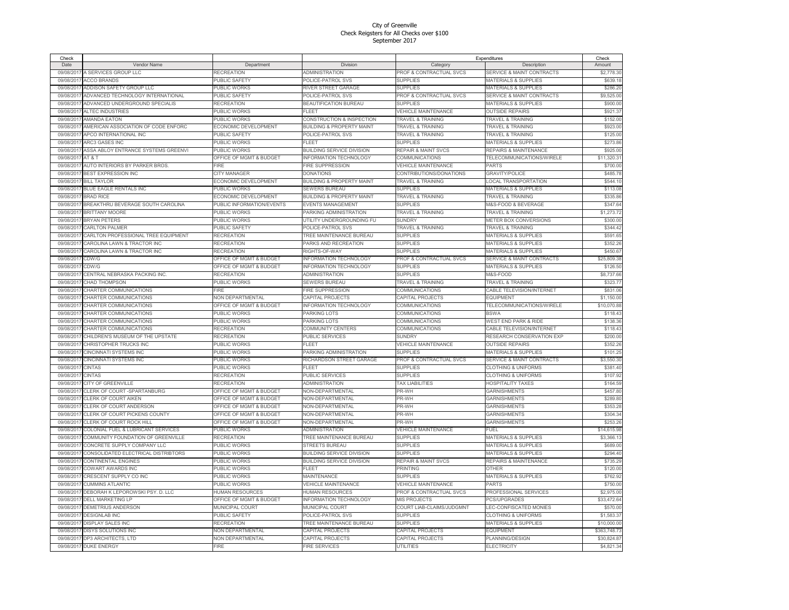| Check      |                                     |                                    |                                      |                                | Expenditures                         | Check        |
|------------|-------------------------------------|------------------------------------|--------------------------------------|--------------------------------|--------------------------------------|--------------|
| Date       | Vendor Name                         | Department                         | Division                             | Category                       | Description                          | Amount       |
| 09/08/201  | A SERVICES GROUP LLC                | RECREATION                         | <b>ADMINISTRATION</b>                | PROF & CONTRACTUAL SVCS        | SERVICE & MAINT CONTRACTS            | \$2,778.30   |
| 09/08/2017 | <b>ACCO BRANDS</b>                  | PUBLIC SAFETY                      | POLICE-PATROL SVS                    | <b>SUPPLIES</b>                | <b>MATERIALS &amp; SUPPLIES</b>      | \$639.18     |
| 09/08/201  | ADDISON SAFETY GROUP LLC            | PUBLIC WORKS                       | RIVER STREET GARAGE                  | <b>SUPPLIES</b>                | <b>MATERIALS &amp; SUPPLIES</b>      | \$286.20     |
| 09/08/201  | ADVANCED TECHNOLOGY INTERNATIONAL   | <b>PUBLIC SAFETY</b>               | POLICE-PATROL SVS                    | PROF & CONTRACTUAL SVCS        | <b>SERVICE &amp; MAINT CONTRACTS</b> | \$9,525.00   |
| 09/08/2017 | ADVANCED UNDERGROUND SPECIALIS      | RECREATION                         | <b>BEAUTIFICATION BUREAU</b>         | <b>SUPPLIES</b>                | <b>MATERIALS &amp; SUPPLIES</b>      | \$900.00     |
| 09/08/2017 | ALTEC INDUSTRIES                    | PUBLIC WORKS                       | <b>FLEET</b>                         | VEHICLE MAINTENANCE            | <b>OUTSIDE REPAIRS</b>               | \$921.37     |
| 09/08/201  | AMANDA FATON                        | PUBLIC WORKS                       | CONSTRUCTION & INSPECTION            | TRAVEL & TRAINING              | <b>TRAVEL &amp; TRAINING</b>         | \$152.00     |
| 09/08/2017 | AMERICAN ASSOCIATION OF CODE ENFORC | ECONOMIC DEVELOPMENT               | <b>BUILDING &amp; PROPERTY MAINT</b> | <b>TRAVEL &amp; TRAINING</b>   | <b>FRAVEL &amp; TRAINING</b>         | \$923.00     |
| 09/08/2017 | APCO INTERNATIONAL INC              | PUBLIC SAFETY                      | POLICE-PATROL SVS                    | TRAVEL & TRAINING              | TRAVEL & TRAINING                    | \$125.00     |
| 09/08/2017 | <b>ARC3 GASES INC</b>               | PUBLIC WORKS                       | FLEET                                | <b>SUPPLIES</b>                | <b>MATERIALS &amp; SUPPLIES</b>      | \$273.86     |
| 09/08/2017 | ASSA ABLOY ENTRANCE SYSTEMS GREENVI | PUBLIC WORKS                       | BUILDING SERVICE DIVISION            | <b>REPAIR &amp; MAINT SVCS</b> | REPAIRS & MAINTENANCE                | \$925.00     |
| 09/08/2017 | AT & T                              | OFFICE OF MGMT & BUDGET            | <b>INFORMATION TECHNOLOGY</b>        | COMMUNICATIONS                 | TELECOMMUNICATIONS/WIRELE            | \$11,320.31  |
| 09/08/201  | AUTO INTERIORS BY PARKER BROS.      | FIRE                               | <b>FIRE SUPPRESSION</b>              | <b>VEHICLE MAINTENANCE</b>     | PARTS                                | \$700.00     |
| 09/08/201  | BEST EXPRESSION INC                 | <b>CITY MANAGER</b>                | <b>DONATIONS</b>                     | CONTRIBUTIONS/DONATIONS        | <b>GRAVITY/POLICE</b>                | \$485.78     |
| 09/08/2017 | <b>BILL TAYLOR</b>                  | ECONOMIC DEVELOPMENT               | <b>BUILDING &amp; PROPERTY MAINT</b> | TRAVEL & TRAINING              | <b>LOCAL TRANSPORTATION</b>          | \$544.10     |
| 09/08/2017 | <b>BLUE EAGLE RENTALS INC</b>       | PUBLIC WORKS                       | <b>SEWERS BUREAU</b>                 | <b>SUPPLIES</b>                | <b>MATERIALS &amp; SUPPLIES</b>      | \$113.08     |
| 09/08/201  | <b>BRAD RICE</b>                    | ECONOMIC DEVELOPMENT               | <b>BUILDING &amp; PROPERTY MAINT</b> | TRAVEL & TRAINING              | <b>TRAVEL &amp; TRAINING</b>         | \$335.86     |
| 09/08/2017 | BREAKTHRU BEVERAGE SOUTH CAROLINA   | PUBLIC INFORMATION/EVENTS          | EVENTS MANAGEMENT                    | <b>SUPPLIES</b>                | M&S-FOOD & BEVERAGE                  | \$347.64     |
| 09/08/2017 | <b>BRITTANY MOORE</b>               | PUBLIC WORKS                       | PARKING ADMINISTRATION               | <b>TRAVEL &amp; TRAINING</b>   | <b>TRAVEL &amp; TRAINING</b>         | \$1,273.72   |
| 09/08/201  | <b>BRYAN PETERS</b>                 | PUBLIC WORKS                       | JTILITY UNDERGROUNDING FU            | <b>SUNDRY</b>                  | METER BOX CONVERSIONS                | \$300.00     |
| 09/08/201  | <b>CARLTON PALMER</b>               | PUBLIC SAFETY                      | POLICE-PATROL SVS                    | <b>TRAVEL &amp; TRAINING</b>   | <b>TRAVEL &amp; TRAINING</b>         | \$344.42     |
| 09/08/2017 | CARLTON PROFESSIONAL TREE EQUIPMENT | RECREATION                         | <b>TREE MAINTENANCE BUREAU</b>       | <b>SUPPLIES</b>                | MATERIALS & SUPPLIES                 | \$591.65     |
| 09/08/201  | CAROLINA LAWN & TRACTOR INC         | RECREATION                         | PARKS AND RECREATION                 | <b>SUPPLIES</b>                | <b>MATERIALS &amp; SUPPLIES</b>      | \$352.26     |
| 09/08/2017 | CAROLINA LAWN & TRACTOR INC         | RECREATION                         | RIGHTS-OF-WAY                        | <b>SUPPLIES</b>                | <b>MATERIALS &amp; SUPPLIES</b>      | \$450.67     |
| 09/08/2017 | CDW/G                               | <b>OFFICE OF MGMT &amp; BUDGET</b> | <b>NFORMATION TECHNOLOGY</b>         | PROF & CONTRACTUAL SVCS        | <b>SERVICE &amp; MAINT CONTRACTS</b> | \$25,809.38  |
| 09/08/201  | CDW/G                               | <b>OFFICE OF MGMT &amp; BUDGET</b> | NFORMATION TECHNOLOGY                | <b>SUPPLIES</b>                | <b>MATERIALS &amp; SUPPLIES</b>      | \$126.50     |
| 09/08/201  | CENTRAL NEBRASKA PACKING INC.       | RECREATION                         | ADMINISTRATION                       | <b>SUPPLIES</b>                | M&S-FOOD                             | \$8,737.66   |
| 09/08/201  | <b>CHAD THOMPSON</b>                | PUBLIC WORKS                       | <b>SEWERS BUREAU</b>                 | TRAVEL & TRAINING              | <b>TRAVEL &amp; TRAINING</b>         | \$323.77     |
| 09/08/201  | CHARTER COMMUNICATIONS              | <b>FIRF</b>                        | <b>FIRE SUPPRESSION</b>              | COMMUNICATIONS                 | CABLE TELEVISION/INTERNET            | \$831.06     |
| 09/08/201  | CHARTER COMMUNICATIONS              | <b>NON DEPARTMENTAL</b>            | CAPITAL PROJECTS                     | CAPITAL PROJECTS               | <b>FOUIPMENT</b>                     | \$1,150.00   |
| 09/08/201  | CHARTER COMMUNICATIONS              | <b>OFFICE OF MGMT &amp; BUDGET</b> | <b>NFORMATION TECHNOLOGY</b>         | COMMUNICATIONS                 | TELECOMMUNICATIONS/WIRELE            | \$10,070.88  |
| 09/08/201  | CHARTER COMMUNICATIONS              | PUBLIC WORKS                       | PARKING LOTS                         | COMMUNICATIONS                 | <b>BSWA</b>                          | \$118.43     |
| 09/08/201  | CHARTER COMMUNICATIONS              | PUBLIC WORKS                       | PARKING LOTS                         | COMMUNICATIONS                 | WEST END PARK & RIDE                 | \$138.36     |
| 09/08/2017 | CHARTER COMMUNICATIONS              | RECREATION                         | COMMUNITY CENTERS                    | COMMUNICATIONS                 | CABLE TELEVISION/INTERNET            | \$118.43     |
| 09/08/2017 | CHILDREN'S MUSEUM OF THE UPSTATE    | <b>RECREATION</b>                  | PUBLIC SERVICES                      | <b>SUNDRY</b>                  | RESEARCH CONSERVATION EXP            | \$200.00     |
| 09/08/201  | CHRISTOPHER TRUCKS INC              | PUBLIC WORKS                       | ELEET                                | VEHICLE MAINTENANCE            | <b>OUTSIDE REPAIRS</b>               | \$352.26     |
| 09/08/201  | CINCINNATI SYSTEMS INC              | PUBLIC WORKS                       | PARKING ADMINISTRATION               | <b>SUPPLIES</b>                | <b>MATERIALS &amp; SUPPLIES</b>      | \$101.25     |
| 09/08/2017 | CINCINNATI SYSTEMS INC              | PUBLIC WORKS                       | RICHARDSON STREET GARAGE             | PROF & CONTRACTUAL SVCS        | <b>SERVICE &amp; MAINT CONTRACTS</b> | \$3,550.30   |
| 09/08/201  | <b>CINTAS</b>                       | PUBLIC WORKS                       | ELEET                                | <b>SUPPLIES</b>                | <b>CLOTHING &amp; UNIFORMS</b>       | \$381.40     |
| 09/08/201  | <b>CINTAS</b>                       | <b>RECREATION</b>                  | PUBLIC SERVICES                      | <b>SUPPLIES</b>                | <b>CLOTHING &amp; UNIFORMS</b>       | \$107.92     |
| 09/08/2017 | CITY OF GREENVILLE                  | <b>RECREATION</b>                  | ADMINISTRATION                       | <b>TAX LIABILITIES</b>         | HOSPITALITY TAXES                    | \$164.59     |
| 09/08/201  | CLERK OF COURT-SPARTANBURG          | OFFICE OF MGMT & BUDGET            | <b>NON-DEPARTMENTAL</b>              | PR-WH                          | <b>GARNISHMENTS</b>                  | \$457.80     |
| 09/08/201  | CLERK OF COURT AIKEN                | <b>OFFICE OF MGMT &amp; BUDGET</b> | <b>NON-DEPARTMENTAL</b>              | PR-WH                          | <b>GARNISHMENTS</b>                  | \$289.80     |
| 09/08/2017 | <b>CLERK OF COURT ANDERSON</b>      | OFFICE OF MGMT & BUDGET            | <b>NON-DEPARTMENTAL</b>              | PR-WH                          | <b>GARNISHMENTS</b>                  | \$353.28     |
| 09/08/2017 | CLERK OF COURT PICKENS COUNTY       | OFFICE OF MGMT & BUDGET            | <b>NON-DEPARTMENTAL</b>              | PR-WH                          | <b>GARNISHMENTS</b>                  | \$304.34     |
| 09/08/201  | CLERK OF COURT ROCK HILL            | OFFICE OF MGMT & BUDGET            | <b>NON-DEPARTMENTAL</b>              | PR-WH                          | <b>GARNISHMENTS</b>                  | \$253.26     |
| 09/08/2017 | COLONIAL FUEL & LUBRICANT SERVICES  | PUBLIC WORKS                       | <b>ADMINISTRATION</b>                | VEHICLE MAINTENANCE            | FUEL                                 | \$14,615.98  |
| 09/08/201  | COMMUNITY FOUNDATION OF GREENVILLE  | RECREATION                         | <b>TREE MAINTENANCE BUREAU</b>       | <b>SUPPLIES</b>                | MATERIALS & SUPPLIES                 | \$3,366.13   |
| 09/08/201  | CONCRETE SUPPLY COMPANY LLC         | PUBLIC WORKS                       | STREETS BUREAU                       | <b>SUPPLIES</b>                | <b>MATERIALS &amp; SUPPLIES</b>      | \$689.00     |
| 09/08/2017 | CONSOLIDATED ELECTRICAL DISTRIBTORS | PUBLIC WORKS                       | <b>BUILDING SERVICE DIVISION</b>     | <b>SUPPLIES</b>                | <b>MATERIALS &amp; SUPPLIES</b>      | \$294.40     |
| 09/08/2017 | CONTINENTAL ENGINES                 | PUBLIC WORKS                       | <b>BUILDING SERVICE DIVISION</b>     | <b>REPAIR &amp; MAINT SVCS</b> | <b>REPAIRS &amp; MAINTENANCE</b>     | \$735.29     |
| 09/08/201  | COWART AWARDS INC                   | PUBLIC WORKS                       | FLEET                                | <b>PRINTING</b>                | OTHER                                | \$120.00     |
| 09/08/201  | CRESCENT SUPPLY CO INC              | PUBLIC WORKS                       | MAINTENANCE                          | <b>SUPPLIES</b>                | MATERIALS & SUPPLIES                 | \$762.92     |
| 09/08/201  | <b>CUMMINS ATLANTIC</b>             | PUBLIC WORKS                       | <b>VEHICLE MAINTENANCE</b>           | <b>VEHICLE MAINTENANCE</b>     | PARTS                                | \$750.00     |
| 09/08/201  | DEBORAH K LEPOROWSKI PSY. D. LLC    | <b>HUMAN RESOURCES</b>             | HUMAN RESOURCES                      | PROF & CONTRACTUAL SVCS        | PROFESSIONAL SERVICES                | \$2,975.00   |
| 09/08/2017 | DELL MARKETING LP                   | OFFICE OF MGMT & BUDGET            | INFORMATION TECHNOLOGY               | MIS PROJECTS                   | <b>PCS/UPGRADES</b>                  | \$33,472.64  |
| 09/08/2017 | DEMETRIUS ANDERSON                  | <b>MUNICIPAL COURT</b>             | <b>MUNICIPAL COURT</b>               | COURT LIAB-CLAIMS/JUDGMNT      | LEC-CONFISCATED MONIES               | \$570.00     |
| 09/08/201  | <b>DESIGNLAB INC</b>                | PUBLIC SAFETY                      | POLICE-PATROL SVS                    | <b>SUPPLIES</b>                | <b>CLOTHING &amp; UNIFORMS</b>       | \$1,583.37   |
| 09/08/201  | DISPI AY SALES INC                  | RECREATION                         | <b>TREE MAINTENANCE BUREAU</b>       | <b>SUPPLIES</b>                | <b>MATERIALS &amp; SUPPLIES</b>      | \$10,000.00  |
| 09/08/2017 | DISYS SOLUTIONS INC                 | <b>VON DEPARTMENTAL</b>            | CAPITAL PROJECTS                     | <b>CAPITAL PROJECTS</b>        | <b>EQUIPMENT</b>                     | \$363,748.73 |
| 09/08/2017 | DP3 ARCHITECTS, LTD                 | NON DEPARTMENTAL                   | CAPITAL PROJECTS                     | CAPITAL PROJECTS               | PLANNING/DESIGN                      | \$30,824.87  |
|            | 09/08/2017 DUKE ENERGY              | <b>FIRE</b>                        | <b>FIRE SERVICES</b>                 | <b>UTILITIES</b>               | <b>ELECTRICITY</b>                   | \$4,821.34   |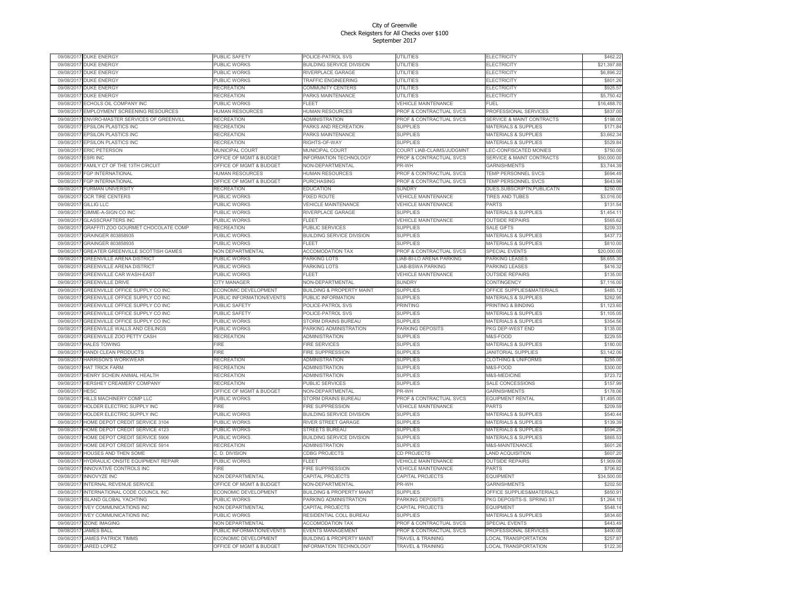|            | 09/08/2017 DUKE ENERGY              | PUBLIC SAFETY                      | POLICE-PATROL SVS                    | UTILITIES                          | ELECTRICITY                          | \$462.22    |
|------------|-------------------------------------|------------------------------------|--------------------------------------|------------------------------------|--------------------------------------|-------------|
| 09/08/2017 | <b>DUKE ENERGY</b>                  | PUBLIC WORKS                       | <b>BUILDING SERVICE DIVISION</b>     | UTILITIES                          | ELECTRICITY                          | \$21,397.88 |
| 09/08/2017 | <b>DUKE ENERGY</b>                  | PUBLIC WORKS                       | RIVERPLACE GARAGE                    | <b>UTILITIES</b>                   | ELECTRICITY                          | \$6,896.22  |
| 09/08/2017 | <b>DUKE ENERGY</b>                  | PUBLIC WORKS                       | <b>TRAFFIC ENGINEERING</b>           | <b>UTILITIES</b>                   | <b>ELECTRICITY</b>                   | \$801.26    |
| 09/08/2017 | <b>DUKE ENERGY</b>                  | RECREATION                         | COMMUNITY CENTERS                    | UTILITIES                          | ELECTRICITY                          | \$925.57    |
| 09/08/2017 | <b>DUKE ENERGY</b>                  | RECREATION                         | PARKS MAINTENANCE                    | <b>UTILITIES</b>                   | ELECTRICITY                          | \$5,750.42  |
| 09/08/2017 | ECHOLS OIL COMPANY INC              | <b>PUBLIC WORKS</b>                | <b>FIFFT</b>                         | <b>VEHICLE MAINTENANCE</b>         | FUFL                                 | \$16,488.70 |
|            |                                     |                                    |                                      |                                    |                                      |             |
| 09/08/2017 | EMPLOYMENT SCREENING RESOURCES      | HUMAN RESOURCES                    | <b>IUMAN RESOURCES</b>               | PROF & CONTRACTUAL SVCS            | PROFESSIONAL SERVICES                | \$837.00    |
| 09/08/2017 | ENVIRO-MASTER SERVICES OF GREENVILL | <b>RECREATION</b>                  | <b>ADMINISTRATION</b>                | PROF & CONTRACTUAL SVCS            | <b>SERVICE &amp; MAINT CONTRACTS</b> | \$198.00    |
| 09/08/2017 | <b>EPSILON PLASTICS INC</b>         | <b>RECREATION</b>                  | PARKS AND RECREATION                 | <b>SUPPLIES</b>                    | MATERIALS & SUPPLIES                 | \$171.84    |
| 09/08/2017 | EPSILON PLASTICS INC                | RECREATION                         | PARKS MAINTENANCE                    | <b>SUPPLIES</b>                    | <b>MATERIALS &amp; SUPPLIES</b>      | \$3,662.34  |
| 09/08/2017 | <b>EPSILON PLASTICS INC</b>         | RECREATION                         | RIGHTS-OF-WAY                        | <b>SUPPLIES</b>                    | <b>MATERIALS &amp; SUPPLIES</b>      | \$529.84    |
| 09/08/2017 | <b>ERIC PETERSON</b>                | <b>MUNICIPAL COURT</b>             | MUNICIPAL COURT                      | COURT LIAB-CLAIMS/JUDGMNT          | LEC-CONFISCATED MONIES               | \$750.00    |
| 09/08/2017 | <b>ESRI INC</b>                     | <b>OFFICE OF MGMT &amp; BUDGET</b> | <b>NFORMATION TECHNOLOGY</b>         | PROF & CONTRACTUAL SVCS            | <b>SERVICE &amp; MAINT CONTRACTS</b> | \$50,000.00 |
| 09/08/2017 | FAMILY CT OF THE 13TH CIRCUIT       | OFFICE OF MGMT & BUDGET            | NON-DEPARTMENTAL                     | PR-WH                              | GARNISHMENTS                         | \$3,744.39  |
| 09/08/2017 | FGP INTERNATIONAL                   | <b>HUMAN RESOURCES</b>             | <b>HUMAN RESOURCES</b>               | <b>PROF &amp; CONTRACTUAL SVCS</b> | TEMP PERSONNEL SVCS                  | \$694.49    |
| 09/08/2017 | <b>FGP INTERNATIONAL</b>            | <b>OFFICE OF MGMT &amp; BUDGET</b> | <b>PURCHASING</b>                    | PROF & CONTRACTUAL SVCS            | TEMP PERSONNEL SVCS                  | \$643.96    |
| 09/08/201  | FURMAN UNIVERSITY                   | <b>RECREATION</b>                  | <b>EDUCATION</b>                     | SUNDRY                             | DUES, SUBSCRIPTN, PUBLICATN          | \$250.00    |
|            |                                     |                                    |                                      |                                    |                                      |             |
| 09/08/2017 | <b>GCR TIRE CENTERS</b>             | PUBLIC WORKS                       | FIXED ROUTE                          | VEHICLE MAINTENANCE                | TIRES AND TUBES                      | \$3,016.00  |
| 09/08/2017 | <b>GILLIG LLC</b>                   | PUBLIC WORKS                       | <b>VEHICLE MAINTENANCE</b>           | <b>VEHICLE MAINTENANCE</b>         | PARTS                                | \$131.54    |
| 09/08/2017 | GIMME-A-SIGN CO INC                 | PUBLIC WORKS                       | RIVERPLACE GARAGE                    | <b>SUPPLIES</b>                    | <b>MATERIALS &amp; SUPPLIES</b>      | \$1,454.11  |
| 09/08/2017 | <b>GLASSCRAFTERS INC</b>            | <b>PUBLIC WORKS</b>                | FLEET                                | <b>VEHICLE MAINTENANCE</b>         | <b>OUTSIDE REPAIRS</b>               | \$565.62    |
| 09/08/2017 | GRAFFITI ZOO GOURMET CHOCOLATE COMP | <b>RECREATION</b>                  | PUBLIC SERVICES                      | <b>SUPPLIES</b>                    | <b>SALE GIFTS</b>                    | \$209.33    |
| 09/08/2017 | GRAINGER 803858935                  | PUBLIC WORKS                       | <b>BUILDING SERVICE DIVISION</b>     | <b>SUPPLIES</b>                    | MATERIALS & SUPPLIES                 | \$437.73    |
| 09/08/201  | GRAINGER 803858935                  | PUBLIC WORKS                       | <b>FLEET</b>                         | <b>SUPPLIES</b>                    | MATERIALS & SUPPLIES                 | \$810.00    |
| 09/08/201  | GREATER GREENVILLE SCOTTISH GAMES   | <b>VON DEPARTMENTAL</b>            | <b>ACCOMODATION TAX</b>              | PROF & CONTRACTUAL SVCS            | <b>SPECIAL EVENTS</b>                | \$20,000.00 |
| 09/08/201  | <b>GREENVILLE ARENA DISTRICT</b>    | PUBLIC WORKS                       | PARKING LOTS                         | LIAB-BI-LO ARENA PARKING           | PARKING LEASES                       | \$8,655.30  |
| 09/08/2017 | <b>GREENVILLE ARENA DISTRICT</b>    | PUBLIC WORKS                       | PARKING LOTS                         | LIAB-BSWA PARKING                  | PARKING LEASES                       | \$416.32    |
| 09/08/201  | <b>GREENVILLE CAR WASH-EAST</b>     | PUBLIC WORKS                       | ELEET                                | <b>VEHICLE MAINTENANCE</b>         | <b>OUTSIDE REPAIRS</b>               | \$135.00    |
| 09/08/201  | <b>GREENVILLE DRIVE</b>             | CITY MANAGER                       | <b>VON-DEPARTMENTAL</b>              | <b>SUNDRY</b>                      | CONTINGENCY                          | \$7,116.00  |
| 09/08/201  |                                     |                                    |                                      |                                    |                                      | \$485.12    |
|            | GREENVILLE OFFICE SUPPLY CO INC     | ECONOMIC DEVELOPMENT               | <b>BUILDING &amp; PROPERTY MAINT</b> | <b>SUPPLIES</b>                    | OFFICE SUPPLIES&MATERIALS            |             |
| 09/08/2017 | GREENVILLE OFFICE SUPPLY CO INC     | PUBLIC INFORMATION/EVENTS          | PUBLIC INFORMATION                   | <b>SUPPLIES</b>                    | <b>MATERIALS &amp; SUPPLIES</b>      | \$262.95    |
| 09/08/201  | GREENVILLE OFFICE SUPPLY CO INC     | PUBLIC SAFETY                      | POLICE-PATROL SVS                    | <b>PRINTING</b>                    | PRINTING & BINDING                   | \$1,123.60  |
| 09/08/2017 | GREENVILLE OFFICE SUPPLY CO INC     | PUBLIC SAFETY                      | POLICE-PATROL SVS                    | <b>SUPPLIES</b>                    | <b>MATERIALS &amp; SUPPLIES</b>      | \$1,105.05  |
| 09/08/201  | GREENVILLE OFFICE SUPPLY CO INC     | PUBLIC WORKS                       | <b>STORM DRAINS BUREAU</b>           | <b>SUPPLIES</b>                    | MATERIALS & SUPPLIES                 | \$354.56    |
| 09/08/201  | GREENVILLE WALLS AND CEILINGS       | PUBLIC WORKS                       | PARKING ADMINISTRATION               | PARKING DEPOSITS                   | PKG DEP-WEST END                     | \$135.00    |
| 09/08/2017 | GREENVILLE ZOO PETTY CASH           | RECREATION                         | ADMINISTRATION                       | <b>SUPPLIES</b>                    | M&S-FOOD                             | \$229.55    |
| 09/08/2017 | <b>HALES TOWING</b>                 | FIRE                               | <b>FIRE SERVICES</b>                 | <b>SUPPLIES</b>                    | MATERIALS & SUPPLIES                 | \$180.00    |
| 09/08/201  | HANDI CLEAN PRODUCTS                | FIRE                               | <b>FIRE SUPPRESSION</b>              | <b>SUPPLIES</b>                    | <b>JANITORIAL SUPPLIES</b>           | \$3,142.06  |
| 09/08/201  | HARRISON'S WORKWEAR                 | RECREATION                         | ADMINISTRATION                       | <b>SUPPLIES</b>                    | <b>CLOTHING &amp; UNIFORMS</b>       | \$255.00    |
| 09/08/201  | <b>HAT TRICK FARM</b>               | RECREATION                         | ADMINISTRATION                       | <b>SUPPLIES</b>                    | <b>M&amp;S-FOOD</b>                  | \$300.00    |
| 09/08/2017 | HENRY SCHEIN ANIMAL HEALTH          | <b>RECREATION</b>                  | <b>ADMINISTRATION</b>                | <b>SUPPLIES</b>                    | <b>M&amp;S-MEDICINE</b>              | \$723.72    |
| 09/08/201  | <b>HERSHEY CREAMERY COMPANY</b>     | RECREATION                         | PUBLIC SERVICES                      | <b>SUPPLIES</b>                    | SALE CONCESSIONS                     | \$157.99    |
| 09/08/2017 | HESC                                | OFFICE OF MGMT & BUDGET            | NON-DEPARTMENTAL                     | PR-WH                              | GARNISHMENTS                         | \$178.06    |
| 09/08/201  | HILLS MACHINERY COMP LLC            | PUBLIC WORKS                       | STORM DRAINS BUREAU                  | PROF & CONTRACTUAL SVCS            | <b>EQUIPMENT RENTAL</b>              | \$1,495.00  |
| 09/08/201  | HOLDER ELECTRIC SUPPLY INC          | <b>FIRF</b>                        | <b>FIRE SUPPRESSION</b>              | <b>VEHICLE MAINTENANCE</b>         | <b>PARTS</b>                         | \$209.59    |
|            |                                     |                                    |                                      |                                    |                                      |             |
| 09/08/201  | HOLDER ELECTRIC SUPPLY INC          | PUBLIC WORKS                       | BUILDING SERVICE DIVISION            | <b>SUPPLIES</b>                    | MATERIALS & SUPPLIES                 | \$540.44    |
| 09/08/2017 | HOME DEPOT CREDIT SERVICE 3104      | PUBLIC WORKS                       | RIVER STREET GARAGE                  | <b>SUPPLIES</b>                    | MATERIALS & SUPPLIES                 | \$139.39    |
| 09/08/201  | HOME DEPOT CREDIT SERVICE 4123      | PUBLIC WORKS                       | <b>STREETS BUREAU</b>                | <b>SUPPLIES</b>                    | <b>MATERIALS &amp; SUPPLIES</b>      | \$594.25    |
| 09/08/2017 | HOME DEPOT CREDIT SERVICE 5906      | PUBLIC WORKS                       | BUILDING SERVICE DIVISION            | <b>SUPPLIES</b>                    | <b>MATERIALS &amp; SUPPLIES</b>      | \$865.53    |
| 09/08/201  | HOME DEPOT CREDIT SERVICE 5914      | <b>RECREATION</b>                  | <b>ADMINISTRATION</b>                | <b>SUPPLIES</b>                    | <b>M&amp;S-MAINTENANCE</b>           | \$601.26    |
| 09/08/201  | HOUSES AND THEN SOME                | C. D. DIVISION                     | CDBG PROJECTS                        | CD PROJECTS                        | AND ACQUISITION                      | \$607.20    |
| 09/08/2017 | HYDRAULIC ONSITE EQUIPMENT REPAIR   | PUBLIC WORKS                       | FLEET                                | VEHICLE MAINTENANCE                | <b>OUTSIDE REPAIRS</b>               | \$1,909.06  |
| 09/08/2017 | <b>INNOVATIVE CONTROLS INC</b>      | <b>FIRE</b>                        | <b>FIRE SUPPRESSION</b>              | <b>VEHICLE MAINTENANCE</b>         | <b>PARTS</b>                         | \$706.82    |
| 09/08/2017 | <b>INNOVYZE INC</b>                 | <b>NON DEPARTMENTAL</b>            | CAPITAL PROJECTS                     | CAPITAL PROJECTS                   | <b>EQUIPMENT</b>                     | \$34,500.00 |
| 09/08/2017 | INTERNAL REVENUE SERVICE            | OFFICE OF MGMT & BUDGET            | NON-DEPARTMENTAL                     | PR-WH                              | GARNISHMENTS                         | \$202.50    |
| 09/08/2017 | INTERNATIONAL CODE COUNCIL INC      | ECONOMIC DEVELOPMENT               | <b>BUILDING &amp; PROPERTY MAINT</b> | <b>SUPPLIES</b>                    | OFFICE SUPPLIES&MATERIALS            | \$850.91    |
| 09/08/2017 | <b>ISLAND GLOBAL YACHTING</b>       | PUBLIC WORKS                       | PARKING ADMINISTRATION               | PARKING DEPOSITS                   | PKG DEPOSITS-S. SPRING ST            | \$1,264.10  |
| 09/08/2017 | <b>IVEY COMMUNICATIONS INC</b>      | NON DEPARTMENTAL                   | CAPITAL PROJECTS                     | CAPITAL PROJECTS                   | <b>EQUIPMENT</b>                     | \$548.14    |
|            |                                     |                                    |                                      | <b>SUPPLIES</b>                    |                                      |             |
| 09/08/2017 | <b>IVEY COMMUNICATIONS INC</b>      | PUBLIC WORKS                       | RESIDENTIAL COLL BUREAU              |                                    | MATERIALS & SUPPLIES                 | \$834.60    |
| 09/08/2017 | <b>ZONE IMAGING</b>                 | <b>VON DEPARTMENTAL</b>            | <b>ACCOMODATION TAX</b>              | PROF & CONTRACTUAL SVCS            | <b>SPECIAL EVENTS</b>                | \$443.49    |
| 09/08/2017 | <b>JAMES BALL</b>                   | PUBLIC INFORMATION/EVENTS          | <b>EVENTS MANAGEMENT</b>             | PROF & CONTRACTUAL SVCS            | PROFESSIONAL SERVICES                | \$400.00    |
| 09/08/2017 | <b>JAMES PATRICK TIMMS</b>          | ECONOMIC DEVELOPMENT               | <b>BUILDING &amp; PROPERTY MAINT</b> | TRAVEL & TRAINING                  | <b>LOCAL TRANSPORTATION</b>          | \$257.87    |
| 09/08/2017 | <b>JARED LOPEZ</b>                  | OFFICE OF MGMT & BUDGET            | <b>INFORMATION TECHNOLOGY</b>        | <b>TRAVEL &amp; TRAINING</b>       | <b>LOCAL TRANSPORTATION</b>          | \$122.30    |
|            |                                     |                                    |                                      |                                    |                                      |             |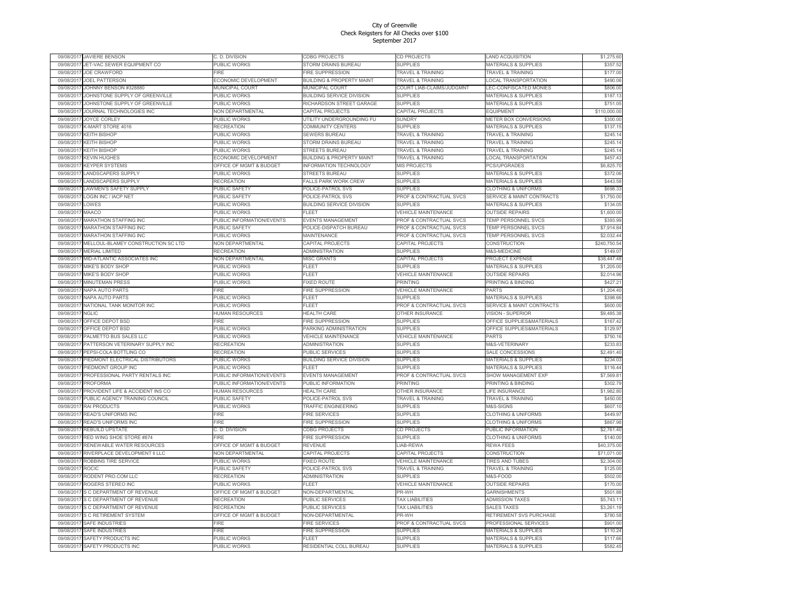| 09/08/2017 | <b>JAVIERE BENSON</b>              | C. D. DIVISION                  | <b>CDBG PROJECTS</b>                 | <b>CD PROJECTS</b>           | AND ACQUISITION                      | \$1,275.60                 |
|------------|------------------------------------|---------------------------------|--------------------------------------|------------------------------|--------------------------------------|----------------------------|
| 09/08/201  | JET-VAC SEWER EQUIPMENT CO         | PUBLIC WORKS                    | STORM DRAINS BUREAU                  | <b>SUPPLIES</b>              | <b>MATERIALS &amp; SUPPLIES</b>      | \$357.52                   |
| 09/08/201  | <b>JOE CRAWFORD</b>                | FIRE                            | FIRE SUPPRESSION                     | TRAVEL & TRAINING            | <b>TRAVEL &amp; TRAINING</b>         | \$177.00                   |
| 09/08/201  | <b>JOEL PATTERSON</b>              | ECONOMIC DEVELOPMENT            | <b>BUILDING &amp; PROPERTY MAINT</b> | <b>TRAVEL &amp; TRAINING</b> | <b>LOCAL TRANSPORTATION</b>          | \$490.06                   |
| 09/08/201  | JOHNNY BENSON #328880              | MUNICIPAL COURT                 | MUNICIPAL COURT                      | COURT LIAB-CLAIMS/JUDGMNT    | LEC-CONFISCATED MONIES               | \$806.00                   |
| 09/08/201  | JOHNSTONE SUPPLY OF GREENVILLE     | <b>PUBLIC WORKS</b>             | <b>BUILDING SERVICE DIVISION</b>     | <b>SUPPLIES</b>              | <b>MATERIALS &amp; SUPPLIES</b>      | \$187.13                   |
| 09/08/2017 | JOHNSTONE SUPPLY OF GREENVILLE     | PUBLIC WORKS                    | RICHARDSON STREET GARAGE             | <b>SUPPLIES</b>              | <b>MATERIALS &amp; SUPPLIES</b>      | \$751.05                   |
| 09/08/2011 | JOURNAL TECHNOLOGIES INC           | <b>NON DEPARTMENTAL</b>         | CAPITAL PROJECTS                     | CAPITAL PROJECTS             | <b>EQUIPMENT</b>                     | \$110,000.00               |
| 09/08/2011 | <b>JOYCE CORLEY</b>                | <b>PUBLIC WORKS</b>             | UTILITY UNDERGROUNDING FU            | SUNDRY                       | METER BOX CONVERSIONS                | \$300.00                   |
| 09/08/201  | <b>K-MART STORE 4016</b>           | RECREATION                      | COMMUNITY CENTERS                    | <b>SUPPLIES</b>              | <b>MATERIALS &amp; SUPPLIES</b>      | \$137.15                   |
| 09/08/201  | <b>KEITH BISHOP</b>                | PUBLIC WORKS                    | SEWERS BUREAU                        | TRAVEL & TRAINING            | <b>TRAVEL &amp; TRAINING</b>         | \$245.14                   |
| 09/08/201  | <b>CEITH BISHOP</b>                | PUBLIC WORKS                    | STORM DRAINS BUREAU                  | TRAVEL & TRAINING            | TRAVEL & TRAINING                    | \$245.14                   |
| 09/08/201  | <b>KEITH BISHOP</b>                | <b>UBLIC WORKS</b>              | <b>STREETS BUREAU</b>                | <b>TRAVEL &amp; TRAINING</b> | <b>FRAVEL &amp; TRAINING</b>         | \$245.14                   |
| 09/08/201  | <b>KEVIN HUGHES</b>                | <b>CONOMIC DEVELOPMENT</b>      | <b>BUILDING &amp; PROPERTY MAINT</b> | TRAVEL & TRAINING            | LOCAL TRANSPORTATION                 | \$457.43                   |
| 09/08/201  | <b>KEYPER SYSTEMS</b>              | OFFICE OF MGMT & BUDGET         | <b>INFORMATION TECHNOLOGY</b>        | <b>MIS PROJECTS</b>          | <b>PCS/UPGRADES</b>                  | \$6,825.70                 |
| 09/08/201  | <b>ANDSCAPERS SUPPLY</b>           | PUBLIC WORKS                    | <b>STREETS BUREAU</b>                | <b>SUPPLIES</b>              | <b>MATERIALS &amp; SUPPLIES</b>      | \$372.06                   |
| 09/08/201  | LANDSCAPERS SUPPLY                 | RECREATION                      | <b>FALLS PARK WORK CREW</b>          | <b>SUPPLIES</b>              | <b>MATERIALS &amp; SUPPLIES</b>      | \$443.58                   |
| 09/08/201  | AWMEN'S SAFETY SUPPLY              | <b>PUBLIC SAFETY</b>            | POLICE-PATROL SVS                    | <b>SUPPLIES</b>              | <b>CLOTHING &amp; UNIFORMS</b>       | \$698.33                   |
| 09/08/201  | OGIN INC / IACP NET                | <b>UBLIC SAFETY</b>             | POLICE-PATROL SVS                    |                              | <b>SERVICE &amp; MAINT CONTRACTS</b> | \$1,750.00                 |
|            |                                    |                                 |                                      | PROF & CONTRACTUAL SVCS      |                                      |                            |
| 09/08/201  | .OWES                              | PUBLIC WORKS                    | <b>BUILDING SERVICE DIVISION</b>     | <b>SUPPLIES</b>              | <b>MATERIALS &amp; SUPPLIES</b>      | \$134.05                   |
| 09/08/201  | MAACO                              | PUBLIC WORKS                    | FLEET                                | <b>VEHICLE MAINTENANCE</b>   | <b>OUTSIDE REPAIRS</b>               | \$1,600.00                 |
| 09/08/201  | <b>MARATHON STAFFING INC</b>       | <b>UBLIC INFORMATION/EVENTS</b> | EVENTS MANAGEMENT                    | PROF & CONTRACTUAL SVCS      | <b>TEMP PERSONNEL SVCS</b>           | \$393.99                   |
| 09/08/201  | MARATHON STAFFING INC              | PUBLIC SAFETY                   | POLICE-DISPATCH BUREAU               | PROF & CONTRACTUAL SVCS      | TEMP PERSONNEL SVCS                  | \$7,914.84                 |
| 09/08/201  | <b>MARATHON STAFFING INC</b>       | PUBLIC WORKS                    | <b>MAINTENANCE</b>                   | PROF & CONTRACTUAL SVCS      | TEMP PERSONNEL SVCS                  | \$2,032.44                 |
| 09/08/201  | MELLOUL-BLAMEY CONSTRUCTION SC LTD | NON DEPARTMENTAL                | CAPITAL PROJECTS                     | CAPITAL PROJECTS             | CONSTRUCTION                         | \$240,750.54               |
| 09/08/201  | MERIAL LIMITED                     | RECREATION                      | ADMINISTRATION                       | <b>SUPPLIES</b>              | M&S-MEDICINE                         | \$149.07                   |
| 09/08/201  | MID-ATLANTIC ASSOCIATES INC        | NON DEPARTMENTAL                | <b>MISC GRANTS</b>                   | CAPITAL PROJECTS             | <b>PROJECT EXPENSE</b>               | \$38,447.48                |
| 09/08/201  | MIKE'S BODY SHOF                   | <b>UBLIC WORKS</b>              | FLEET                                | <b>SUPPLIES</b>              | <b>MATERIALS &amp; SUPPLIES</b>      | \$1,205.00                 |
| 09/08/2011 | MIKE'S BODY SHOF                   | PUBLIC WORKS                    | FLEET                                | VEHICLE MAINTENANCE          | <b>OUTSIDE REPAIRS</b>               | \$2,014.96                 |
| 09/08/201  | <b>MINUTEMAN PRESS</b>             | PUBLIC WORKS                    | <b>FIXED ROUTE</b>                   | PRINTING                     | PRINTING & BINDING                   | \$427.21                   |
| 09/08/201  | <b>JAPA AUTO PARTS</b>             | <b>IRF</b>                      | FIRE SUPPRESSION                     | <b>VEHICLE MAINTENANCE</b>   | PARTS                                | \$1,204.40                 |
| 09/08/201  | <b>VAPA AUTO PARTS</b>             | PUBLIC WORKS                    | FLEET                                | <b>SUPPLIES</b>              | <b>MATERIALS &amp; SUPPLIES</b>      | \$398.66                   |
| 09/08/201  | NATIONAL TANK MONITOR INC          | PUBLIC WORKS                    | <b>FLEET</b>                         | PROF & CONTRACTUAL SVCS      | SERVICE & MAINT CONTRACTS            | \$600.00                   |
| 09/08/201  | <b>JGLIC</b>                       | <b>IUMAN RESOURCES</b>          | <b>HEALTH CARE</b>                   | OTHER INSURANCE              | /ISION - SUPERIOR                    | \$9,485.38                 |
| 09/08/201  | OFFICE DEPOT BSD                   | <b>IRF</b>                      | FIRE SUPPRESSION                     | <b>SUPPLIES</b>              | OFFICE SUPPLIES&MATERIALS            | \$167.42                   |
| 09/08/201  | OFFICE DEPOT BSD                   | <b>PUBLIC WORKS</b>             | PARKING ADMINISTRATION               | <b>SUPPLIES</b>              | OFFICE SUPPLIES&MATERIALS            | \$129.97                   |
| 09/08/201  | PALMETTO BUS SALES LLC             | <b>UBLIC WORKS</b>              | <b>VEHICLE MAINTENANCE</b>           | <b>VEHICLE MAINTENANCE</b>   | PARTS                                | \$750.16                   |
| 09/08/201  | PATTERSON VETERINARY SUPPLY INC    | <b>RECREATION</b>               | <b>ADMINISTRATION</b>                | <b>SUPPLIES</b>              | M&S-VETERINARY                       | \$233.83                   |
| 09/08/201  | PEPSI-COLA BOTTLING CO             | RECREATION                      | PUBLIC SERVICES                      | <b>SUPPLIES</b>              | SALE CONCESSIONS                     | \$2,491.40                 |
| 09/08/201  | PIEDMONT ELECTRICAL DISTRIBUTORS   | <b>UBLIC WORKS</b>              | BUILDING SERVICE DIVISION            | <b>SUPPLIES</b>              | <b>MATERIALS &amp; SUPPLIES</b>      | \$234.03                   |
| 09/08/201  | PIEDMONT GROUP INC                 | PUBLIC WORKS                    | FLEET                                | <b>SUPPLIES</b>              | MATERIALS & SUPPLIES                 | \$116.44                   |
| 09/08/201  | PROFESSIONAL PARTY RENTALS INC     | PUBLIC INFORMATION/EVENTS       | EVENTS MANAGEMENT                    | PROF & CONTRACTUAL SVCS      | SHOW MANAGEMENT EXP                  | \$7,569.81                 |
| 09/08/201  | <b>ROFORMA</b>                     | PUBLIC INFORMATION/EVENTS       | <b>PUBLIC INFORMATION</b>            | <b>PRINTING</b>              | <b>PRINTING &amp; BINDING</b>        | \$302.79                   |
| 09/08/2011 | PROVIDENT LIFE & ACCIDENT INS CO   | HUMAN RESOURCES                 | <b>HEALTH CARE</b>                   | OTHER INSURANCE              | LIFE INSURANCE                       | \$1,982.80                 |
| 09/08/201  | PUBLIC AGENCY TRAINING COUNCIL     | PUBLIC SAFETY                   | POLICE-PATROL SVS                    | <b>TRAVEL &amp; TRAINING</b> | <b>TRAVEL &amp; TRAINING</b>         | \$450.00                   |
| 09/08/201  | RAI PRODUCTS                       | PUBLIC WORKS                    | <b>TRAFFIC ENGINEERING</b>           | <b>SUPPLIES</b>              | <b>M&amp;S-SIGNS</b>                 | \$607.10                   |
| 09/08/201  | <b>READ'S UNIFORMS INC</b>         | <b>IRF</b>                      | <b>FIRE SERVICES</b>                 | <b>SUPPLIES</b>              | <b>CLOTHING &amp; UNIFORMS</b>       | \$449.97                   |
| 09/08/201  | <b>READ'S UNIFORMS INC</b>         | <b>FIRE</b>                     | FIRE SUPPRESSION                     | <b>SUPPLIES</b>              | <b>CLOTHING &amp; UNIFORMS</b>       | \$867.98                   |
| 09/08/201  | <b>REBUILD UPSTATE</b>             | C. D. DIVISION                  | <b>CDBG PROJECTS</b>                 | CD PROJECTS                  | PUBLIC INFORMATION                   | \$2,761.40                 |
| 09/08/2011 | RED WING SHOE STORE #874           | FIRE                            | FIRE SUPPRESSION                     | <b>SUPPLIES</b>              | <b>CLOTHING &amp; UNIFORMS</b>       | \$140.00                   |
| 09/08/201  | RENEWABLE WATER RESOURCES          | OFFICE OF MGMT & BUDGET         | REVENUE                              |                              |                                      |                            |
| 09/08/201  | RIVERPLACE DEVELOPMENT II LLC      | <b>VON DEPARTMENTAL</b>         |                                      | LIAB-REWA                    | <b>REWA FEES</b>                     | \$40,375.00<br>\$71,071.00 |
|            |                                    |                                 | CAPITAL PROJECTS                     | CAPITAL PROJECTS             | CONSTRUCTION                         |                            |
| 09/08/201  | ROBBINS TIRE SERVICE               | PUBLIC WORKS                    | FIXED ROUTE                          | VEHICLE MAINTENANCE          | TIRES AND TUBES                      | \$2,304.00                 |
| 09/08/201  | ROCIC                              | PUBLIC SAFETY                   | POLICE-PATROL SVS                    | TRAVEL & TRAINING            | <b>TRAVEL &amp; TRAINING</b>         | \$125.00                   |
| 09/08/201  | RODENT PRO.COM LLC                 | RECREATION                      | <b>ADMINISTRATION</b>                | <b>SUPPLIES</b>              | <b>M&amp;S-FOOD</b>                  | \$502.00                   |
| 09/08/201  | ROGERS STEREO INC                  | PUBLIC WORKS                    | FLEET                                | VEHICLE MAINTENANCE          | <b>OUTSIDE REPAIRS</b>               | \$170.00                   |
| 09/08/2017 | S C DEPARTMENT OF REVENUE          | OFFICE OF MGMT & BUDGET         | NON-DEPARTMENTAL                     | PR-WH                        | <b>GARNISHMENTS</b>                  | \$501.88                   |
| 09/08/201  | <b>C DEPARTMENT OF REVENUE</b>     | RECREATION                      | PUBLIC SERVICES                      | <b>TAX LIABILITIES</b>       | <b>ADMISSION TAXES</b>               | \$5,743.11                 |
| 09/08/201  | S C DEPARTMENT OF REVENUE          | <b>RECREATION</b>               | PUBLIC SERVICES                      | <b>TAX LIABILITIES</b>       | SALES TAXES                          | \$3,261.19                 |
| 09/08/201  | S C RETIREMENT SYSTEM              | OFFICE OF MGMT & BUDGET         | NON-DEPARTMENTAL                     | PR-WH                        | RETIREMENT SVS PURCHASE              | \$780.58                   |
| 09/08/201  | SAFE INDUSTRIES                    | <b>IRE</b>                      | <b>IRE SERVICES</b>                  | PROF & CONTRACTUAL SVCS      | <b>PROFESSIONAL SERVICES</b>         | \$901.00                   |
| 09/08/201  | SAFE INDUSTRIES                    | <b>IRF</b>                      | FIRE SUPPRESSION                     | <b>SUPPLIES</b>              | <b>MATERIALS &amp; SUPPLIES</b>      | \$110.24                   |
| 09/08/201  | SAFETY PRODUCTS INC                | PUBLIC WORKS                    | FLEET                                | <b>SUPPLIES</b>              | <b>MATERIALS &amp; SUPPLIES</b>      | \$117.66                   |
| 09/08/201  | SAFETY PRODUCTS INC                | PUBLIC WORKS                    | RESIDENTIAL COLL BUREAU              | <b>SUPPLIES</b>              | <b>MATERIALS &amp; SUPPLIES</b>      | \$582.45                   |
|            |                                    |                                 |                                      |                              |                                      |                            |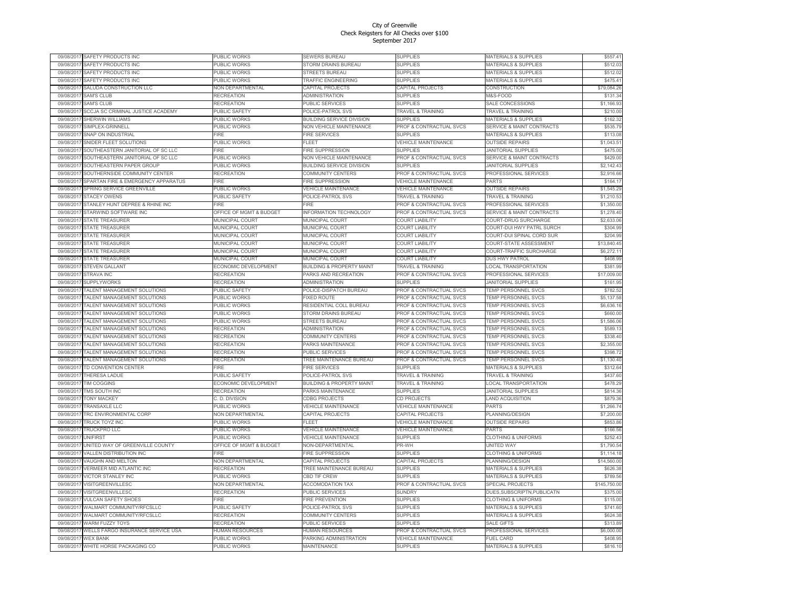| 09/08/201  | SAFETY PRODUCTS INC                       | PUBLIC WORKS            | SEWERS BUREAU                        | <b>SUPPLIES</b>                    | MATERIALS & SUPPLIES                 | \$557.41     |
|------------|-------------------------------------------|-------------------------|--------------------------------------|------------------------------------|--------------------------------------|--------------|
| 09/08/2017 | SAFETY PRODUCTS INC                       | PUBLIC WORKS            | <b>STORM DRAINS BUREAU</b>           | <b>SUPPLIES</b>                    | <b>MATERIALS &amp; SUPPLIES</b>      | \$512.03     |
| 09/08/2017 | SAFETY PRODUCTS INC                       | PUBLIC WORKS            | <b>STREETS BUREAU</b>                | <b>SUPPLIES</b>                    | <b>MATERIALS &amp; SUPPLIES</b>      | \$512.02     |
| 09/08/201  | SAFETY PRODUCTS INC                       | PUBLIC WORKS            | TRAFFIC ENGINEERING                  | <b>SUPPLIES</b>                    | MATERIALS & SUPPLIES                 | \$475.41     |
| 09/08/2017 | SALUDA CONSTRUCTION LLC                   | NON DEPARTMENTAL        | CAPITAL PROJECTS                     | CAPITAL PROJECTS                   | <b>CONSTRUCTION</b>                  | \$79,084.26  |
| 09/08/2011 | <b>SAM'S CLUB</b>                         | <b>RECREATION</b>       | <b>ADMINISTRATION</b>                | <b>SUPPLIES</b>                    | M&S-FOOD                             | \$131.34     |
| 09/08/201  | <b>SAM'S CLUB</b>                         | <b>RECREATION</b>       | PUBLIC SERVICES                      | <b>SUPPLIES</b>                    | SALE CONCESSIONS                     | \$1,166.93   |
| 09/08/2017 |                                           | <b>PUBLIC SAFETY</b>    |                                      |                                    |                                      |              |
|            | SCCJA SC CRIMINAL JUSTICE ACADEMY         |                         | POLICE-PATROL SVS                    | <b>TRAVEL &amp; TRAINING</b>       | <b>TRAVEL &amp; TRAINING</b>         | \$210.00     |
| 09/08/201  | <b>SHERWIN WILLIAMS</b>                   | PUBLIC WORKS            | BUILDING SERVICE DIVISION            | <b>SUPPLIES</b>                    | MATERIALS & SUPPLIES                 | \$162.32     |
| 09/08/201  | SIMPLEX-GRINNELL                          | PUBLIC WORKS            | NON VEHICLE MAINTENANCE              | PROF & CONTRACTUAL SVCS            | SERVICE & MAINT CONTRACTS            | \$535.79     |
| 09/08/2011 | SNAP ON INDUSTRIAL                        | <b>FIRF</b>             | <b>FIRE SERVICES</b>                 | <b>SUPPLIES</b>                    | <b>MATERIALS &amp; SUPPLIES</b>      | \$113.08     |
| 09/08/201  | SNIDER FLEET SOLUTIONS                    | PUBLIC WORKS            | FLEET                                | <b>VEHICLE MAINTENANCE</b>         | <b>OUTSIDE REPAIRS</b>               | \$1,043.51   |
| 09/08/201  | SOUTHEASTERN JANITORIAL OF SC LLC         | FIRE                    | FIRE SUPPRESSION                     | <b>SUPPLIES</b>                    | <b>JANITORIAL SUPPLIES</b>           | \$475.00     |
| 09/08/2013 | SOUTHEASTERN JANITORIAL OF SC LLC         | PUBLIC WORKS            | <b>NON VEHICLE MAINTENANCE</b>       | PROF & CONTRACTUAL SVCS            | <b>SERVICE &amp; MAINT CONTRACTS</b> | \$429.00     |
| 09/08/2011 | SOUTHEASTERN PAPER GROUF                  | PUBLIC WORKS            | BUILDING SERVICE DIVISION            | <b>SUPPLIES</b>                    | <b>JANITORIAL SUPPLIES</b>           | \$2,142.43   |
| 09/08/201  | SOUTHERNSIDE COMMUNITY CENTER             | <b>RECREATION</b>       | COMMUNITY CENTERS                    | PROF & CONTRACTUAL SVCS            | PROFESSIONAL SERVICES                | \$2,916.66   |
| 09/08/2017 | SPARTAN FIRE & EMERGENCY APPARATUS        | FIRF                    | <b>FIRE SUPPRESSION</b>              | <b>VEHICLE MAINTENANCE</b>         | PARTS                                | \$164.17     |
| 09/08/201  | SPRING SERVICE GREENVILLE                 | PUBLIC WORKS            | <b>VEHICLE MAINTENANCE</b>           | <b>VEHICLE MAINTENANCE</b>         | <b>OUTSIDE REPAIRS</b>               | \$1,545.29   |
|            |                                           |                         |                                      |                                    | <b>TRAVEL &amp; TRAINING</b>         | \$1,210.53   |
| 09/08/201  | STACEY OWENS                              | PUBLIC SAFETY           | POLICE-PATROL SVS                    | TRAVEL & TRAINING                  |                                      |              |
| 09/08/2017 | STANLEY HUNT DEPREE & RHINE INC           | <b>FIRE</b>             | <b>FIRF</b>                          | PROF & CONTRACTUAL SVCS            | PROFESSIONAL SERVICES                | \$1,350.00   |
| 09/08/201  | STARWIND SOFTWARE INC                     | OFFICE OF MGMT & BUDGET | <b>INFORMATION TECHNOLOGY</b>        | <b>PROF &amp; CONTRACTUAL SVCS</b> | <b>SERVICE &amp; MAINT CONTRACTS</b> | \$1,278.40   |
| 09/08/201  | STATE TREASURER                           | <b>MUNICIPAL COURT</b>  | MUNICIPAL COURT                      | COURT LIABILITY                    | COURT-DRUG SURCHARGE                 | \$2,633.06   |
| 09/08/2017 | <b>STATE TREASURER</b>                    | <b>MUNICIPAL COURT</b>  | <b>MUNICIPAL COURT</b>               | <b>COURT LIABILITY</b>             | COURT-DUI HWY PATRL SURCH            | \$304.99     |
| 09/08/2011 | <b>STATE TREASURER</b>                    | MUNICIPAL COURT         | MUNICIPAL COURT                      | <b>COURT LIABILITY</b>             | COURT-DUI SPINAL CORD SUR            | \$204.99     |
| 09/08/2017 | <b>STATE TREASURER</b>                    | MUNICIPAL COURT         | MUNICIPAL COURT                      | <b>COURT LIABILITY</b>             | COURT-STATE ASSESSMENT               | \$13,840.45  |
| 09/08/2017 | <b>STATE TREASURER</b>                    | <b>MUNICIPAL COURT</b>  | <b>MUNICIPAL COURT</b>               | <b>COURT LIABILITY</b>             | COURT-TRAFFIC SURCHARGE              | \$6,272.11   |
| 09/08/201  | STATE TREASURER                           | <b>MUNICIPAL COURT</b>  | <b>MUNICIPAL COURT</b>               | <b>COURT LIABILITY</b>             | DUS HWY PATROL                       | \$408.99     |
| 09/08/2017 | <b>STEVEN GALLANT</b>                     | ECONOMIC DEVELOPMENT    | <b>BUILDING &amp; PROPERTY MAINT</b> | TRAVEL & TRAINING                  | <b>LOCAL TRANSPORTATION</b>          | \$381.99     |
| 09/08/2011 | <b>STRAVA INC</b>                         | <b>RECREATION</b>       | PARKS AND RECREATION                 | PROF & CONTRACTUAL SVCS            | PROFESSIONAL SERVICES                | \$17,009.00  |
| 09/08/2011 | <b>SUPPLYWORKS</b>                        | <b>RECREATION</b>       | <b>ADMINISTRATION</b>                | <b>SUPPLIES</b>                    | <b>JANITORIAL SUPPLIES</b>           | \$161.95     |
|            |                                           |                         |                                      |                                    |                                      | \$782.52     |
| 09/08/201  | <b><i>FALENT MANAGEMENT SOLUTIONS</i></b> | PUBLIC SAFETY           | POLICE-DISPATCH BUREAU               | PROF & CONTRACTUAL SVCS            | TEMP PERSONNEL SVCS                  |              |
| 09/08/2017 | TALENT MANAGEMENT SOLUTIONS               | <b>PUBLIC WORKS</b>     | <b>FIXED ROUTE</b>                   | PROF & CONTRACTUAL SVCS            | TEMP PERSONNEL SVCS                  | \$5,137.58   |
| 09/08/201  | TALENT MANAGEMENT SOLUTIONS               | PUBLIC WORKS            | RESIDENTIAL COLL BUREAU              | PROF & CONTRACTUAL SVCS            | TEMP PERSONNEL SVCS                  | \$6,636.16   |
| 09/08/2017 | <b>FALENT MANAGEMENT SOLUTIONS</b>        | PUBLIC WORKS            | <b>STORM DRAINS BUREAU</b>           | PROF & CONTRACTUAL SVCS            | <b>TEMP PERSONNEL SVCS</b>           | \$660.00     |
| 09/08/201  | TALENT MANAGEMENT SOLUTIONS               | PUBLIC WORKS            | <b>STREETS BUREAU</b>                | <b>PROF &amp; CONTRACTUAL SVCS</b> | <b>TEMP PERSONNEL SVCS</b>           | \$1,586.06   |
| 09/08/201  | <b>TALENT MANAGEMENT SOLUTIONS</b>        | <b>RECREATION</b>       | <b>ADMINISTRATION</b>                | PROF & CONTRACTUAL SVCS            | TEMP PERSONNEL SVCS                  | \$589.13     |
| 09/08/201  | ALENT MANAGEMENT SOLUTIONS                | <b>RECREATION</b>       | COMMUNITY CENTERS                    | PROF & CONTRACTUAL SVCS            | TEMP PERSONNEL SVCS                  | \$338.40     |
| 09/08/2013 | TALENT MANAGEMENT SOLUTIONS               | RECREATION              | PARKS MAINTENANCE                    | PROF & CONTRACTUAL SVCS            | TEMP PERSONNEL SVCS                  | \$2,355.00   |
| 09/08/201  | <b>FALENT MANAGEMENT SOLUTIONS</b>        | RECREATION              | PUBLIC SERVICES                      | PROF & CONTRACTUAL SVCS            | TEMP PERSONNEL SVCS                  | \$398.72     |
| 09/08/201  | TALENT MANAGEMENT SOLUTIONS               | RECREATION              | <b>TREE MAINTENANCE BUREAU</b>       | PROF & CONTRACTUAL SVCS            | <b>TEMP PERSONNEL SVCS</b>           | \$1,130.40   |
| 09/08/201  | <b>TD CONVENTION CENTER</b>               | FIRF                    | <b>IRE SERVICES</b>                  | <b>SUPPLIES</b>                    | <b>MATERIALS &amp; SUPPLIES</b>      | \$312.64     |
| 09/08/2017 | <b>THERESA LADUE</b>                      | <b>PUBLIC SAFETY</b>    | POLICE-PATROL SVS                    | <b>TRAVEL &amp; TRAINING</b>       | <b>TRAVEL &amp; TRAINING</b>         | \$437.60     |
| 09/08/2017 | <b>TIM COGGINS</b>                        | ECONOMIC DEVELOPMENT    | <b>BUILDING &amp; PROPERTY MAINT</b> | TRAVEL & TRAINING                  | LOCAL TRANSPORTATION                 | \$478.29     |
| 09/08/2017 | <b>TMS SOUTH INC</b>                      | RECREATION              | PARKS MAINTENANCE                    | <b>SUPPLIES</b>                    | <b>JANITORIAL SUPPLIES</b>           | \$814.36     |
|            |                                           |                         |                                      |                                    |                                      |              |
| 09/08/201  | <b>TONY MACKEY</b>                        | C. D. DIVISION          | <b>CDBG PROJECTS</b>                 | CD PROJECTS                        | <b>LAND ACQUISITION</b><br>PARTS     | \$879.36     |
| 09/08/201  | <b><i>FRANSAXLE LLC</i></b>               | PUBLIC WORKS            | <b>VEHICLE MAINTENANCE</b>           | <b>VEHICLE MAINTENANCE</b>         |                                      | \$1,266.74   |
| 09/08/201  | <b>FRC ENVIRONMENTAL CORP</b>             | NON DEPARTMENTAL        | CAPITAL PROJECTS                     | <b>CAPITAL PROJECTS</b>            | PLANNING/DESIGN                      | \$7,200.00   |
| 09/08/201  | <b>FRUCK TOYZ INC</b>                     | <b>PUBLIC WORKS</b>     | FI FFT                               | <b>VEHICLE MAINTENANCE</b>         | <b>OUTSIDE REPAIRS</b>               | \$853.86     |
| 09/08/2011 | <b>FRUCKPRO LLC</b>                       | PUBLIC WORKS            | /EHICLE MAINTENANCE                  | <b>VEHICLE MAINTENANCE</b>         | PARTS                                | \$166.56     |
| 09/08/2017 | <b>UNIFIRST</b>                           | PUBLIC WORKS            | <b>VEHICLE MAINTENANCE</b>           | <b>SUPPLIES</b>                    | <b>CLOTHING &amp; UNIFORMS</b>       | \$252.43     |
| 09/08/201  | UNITED WAY OF GREENVILLE COUNTY           | OFFICE OF MGMT & BUDGET | NON-DEPARTMENTAL                     | PR-WH                              | UNITED WAY                           | \$1,790.54   |
| 09/08/201  | <b>VALLEN DISTRIBUTION INC</b>            | FIRF                    | <b>FIRE SUPPRESSION</b>              | <b>SUPPLIES</b>                    | <b>CLOTHING &amp; UNIFORMS</b>       | \$1,114.18   |
| 09/08/201  | VAUGHN AND MELTON                         | NON DEPARTMENTAL        | CAPITAL PROJECTS                     | CAPITAL PROJECTS                   | PLANNING/DESIGN                      | \$14,560.00  |
| 09/08/201  | VERMEER MID ATLANTIC INC                  | <b>RECREATION</b>       | TREE MAINTENANCE BUREAU              | <b>SUPPLIES</b>                    | MATERIALS & SUPPLIES                 | \$626.38     |
| 09/08/2017 | <b>VICTOR STANLEY INC</b>                 | PUBLIC WORKS            | <b>CBD TIF CREW</b>                  | <b>SUPPLIES</b>                    | <b>MATERIALS &amp; SUPPLIES</b>      | \$789.56     |
| 09/08/201  | VISITGREENVILLESC                         | NON DEPARTMENTAL        | <b>ACCOMODATION TAX</b>              | PROF & CONTRACTUAL SVCS            | <b>SPECIAL PROJECTS</b>              | \$145,750.00 |
| 09/08/2017 | VISITGREENVILLESC                         | RECREATION              | PUBLIC SERVICES                      | SUNDRY                             | DUES, SUBSCRIPTN, PUBLICATN          | \$375.00     |
| 09/08/201  | <b>VULCAN SAFETY SHOES</b>                | <b>FIRE</b>             | <b>IRE PREVENTION</b>                | <b>SUPPLIES</b>                    | <b>CLOTHING &amp; UNIFORMS</b>       | \$115.00     |
|            |                                           |                         |                                      |                                    |                                      |              |
| 09/08/2017 | WALMART COMMUNITY/RFCSLLC                 | PUBLIC SAFETY           | POLICE-PATROL SVS                    | <b>SUPPLIES</b>                    | MATERIALS & SUPPLIES                 | \$741.60     |
| 09/08/2013 | WALMART COMMUNITY/RFCSLLC                 | <b>RECREATION</b>       | <b>COMMUNITY CENTERS</b>             | <b>SUPPLIES</b>                    | MATERIALS & SUPPLIES                 | \$624.38     |
| 09/08/201  | <b><i>NARM FUZZY TOYS</i></b>             | RECREATION              | PUBLIC SERVICES                      | <b>SUPPLIES</b>                    | <b>SALE GIFTS</b>                    | \$313.89     |
| 09/08/2017 | WELLS FARGO INSURANCE SERVICE USA         | HUMAN RESOURCES         | HUMAN RESOURCES                      | PROF & CONTRACTUAL SVCS            | PROFESSIONAL SERVICES                | \$6,000.00   |
| 09/08/2017 | <b>WEX BANK</b>                           | PUBLIC WORKS            | PARKING ADMINISTRATION               | <b>VEHICLE MAINTENANCE</b>         | <b>FUEL CARD</b>                     | \$408.95     |
| 09/08/2017 | WHITE HORSE PACKAGING CO                  | <b>PUBLIC WORKS</b>     | <b>MAINTENANCE</b>                   | <b>SUPPLIES</b>                    | MATERIALS & SUPPLIES                 | \$816.10     |
|            |                                           |                         |                                      |                                    |                                      |              |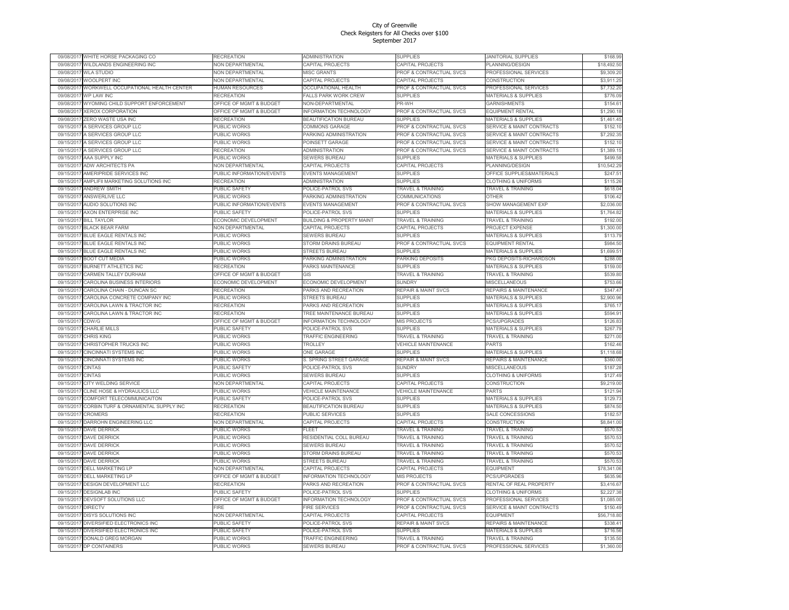| 09/08/201  | WHITE HORSE PACKAGING CO                       | <b>RECREATION</b>                  | ADMINISTRATION                       | <b>SUPPLIES</b>                    | <b>JANITORIAL SUPPLIES</b>                          | \$168.99    |
|------------|------------------------------------------------|------------------------------------|--------------------------------------|------------------------------------|-----------------------------------------------------|-------------|
| 09/08/201  | WILDLANDS ENGINEERING INC                      | <b>NON DEPARTMENTAL</b>            | CAPITAL PROJECTS                     | CAPITAL PROJECTS                   | PLANNING/DESIGN                                     | \$18,492.50 |
| 09/08/201  | <b>WLA STUDIO</b>                              | <b>NON DEPARTMENTAL</b>            | <b>MISC GRANTS</b>                   | PROF & CONTRACTUAL SVCS            | PROFESSIONAL SERVICES                               | \$9,309.20  |
| 09/08/201  | <b>WOOLPERT INC</b>                            | <b>JON DEPARTMENTAL</b>            | CAPITAL PROJECTS                     | CAPITAL PROJECTS                   | CONSTRUCTION                                        | \$3,911.25  |
| 09/08/201  | WORKWELL OCCUPATIONAL HEALTH CENTER            | <b>HUMAN RESOURCES</b>             | OCCUPATIONAL HEALTH                  | PROF & CONTRACTUAL SVCS            | PROFESSIONAL SERVICES                               | \$7,732.20  |
| 09/08/201  | WP LAW INC                                     | RECREATION                         | FALLS PARK WORK CREW                 | <b>SUPPLIES</b>                    | <b>MATERIALS &amp; SUPPLIES</b>                     | \$776.09    |
| 09/08/201  | WYOMING CHILD SUPPORT ENFORCEMENT              | OFFICE OF MGMT & BUDGET            | <b>NON-DEPARTMENTAL</b>              | PR-WH                              | <b>GARNISHMENTS</b>                                 | \$154.61    |
| 09/08/201  | <b>XEROX CORPORATION</b>                       | OFFICE OF MGMT & BUDGET            | INFORMATION TECHNOLOGY               | PROF & CONTRACTUAL SVCS            | <b>EQUIPMENT RENTAL</b>                             | \$1,290.18  |
| 09/08/201  | ZERO WASTE USA INC                             | <b>RECREATION</b>                  | <b>BEAUTIFICATION BUREAU</b>         | <b>SUPPLIES</b>                    | <b>MATERIALS &amp; SUPPLIES</b>                     | \$1,461.45  |
| 09/15/201  | A SERVICES GROUP LLC                           | <b>UBLIC WORKS</b>                 | COMMONS GARAGE                       | <b>PROF &amp; CONTRACTUAL SVCS</b> | <b>SERVICE &amp; MAINT CONTRACTS</b>                | \$152.10    |
| 09/15/201  | A SERVICES GROUP LLC                           | PUBLIC WORKS                       | PARKING ADMINISTRATION               | PROF & CONTRACTUAL SVCS            | <b>SERVICE &amp; MAINT CONTRACTS</b>                | \$7,292.35  |
| 09/15/201  | A SERVICES GROUP LLC                           | PUBLIC WORKS                       | POINSETT GARAGE                      | PROF & CONTRACTUAL SVCS            | <b>SERVICE &amp; MAINT CONTRACTS</b>                | \$152.10    |
| 09/15/201  | A SERVICES GROUP LLC                           | <b>RECREATION</b>                  | ADMINISTRATION                       | PROF & CONTRACTUAL SVCS            | <b>SERVICE &amp; MAINT CONTRACTS</b>                | \$1,389.15  |
| 09/15/201  | AAA SUPPLY INC                                 | PUBLIC WORKS                       | SEWERS BUREAU                        | <b>SUPPLIES</b>                    | MATERIALS & SUPPLIES                                | \$499.58    |
| 09/15/201  | <b>ADW ARCHITECTS PA</b>                       | <b>NON DEPARTMENTAL</b>            | CAPITAL PROJECTS                     | CAPITAL PROJECTS                   | PLANNING/DESIGN                                     | \$10,542.29 |
| 09/15/201  | AMERIPRIDE SERVICES INC                        | PUBLIC INFORMATION/EVENTS          | EVENTS MANAGEMENT                    | <b>SUPPLIES</b>                    | OFFICE SUPPLIES&MATERIALS                           | \$247.51    |
| 09/15/201  | AMPLIFII MARKETING SOLUTIONS INC               | RECREATION                         | <b>ADMINISTRATION</b>                | <b>SUPPLIES</b>                    | <b>CLOTHING &amp; UNIFORMS</b>                      | \$115.26    |
| 09/15/201  | <b>ANDREW SMITH</b>                            | <b>UBLIC SAFETY</b>                | POLICE-PATROL SVS                    | <b>TRAVEL &amp; TRAINING</b>       | <b>TRAVEL &amp; TRAINING</b>                        | \$618.04    |
|            |                                                |                                    |                                      |                                    |                                                     |             |
| 09/15/201  | ANSWERLIVE LLC                                 | PUBLIC WORKS                       | PARKING ADMINISTRATION               | COMMUNICATIONS                     | OTHER                                               | \$106.42    |
| 09/15/201  | AUDIO SOLUTIONS INC                            | PUBLIC INFORMATION/EVENTS          | EVENTS MANAGEMENT                    | PROF & CONTRACTUAL SVCS            | SHOW MANAGEMENT EXP                                 | \$2,036.00  |
| 09/15/2011 | AXON ENTERPRISE INC                            | <b>UBLIC SAFETY</b>                | POLICE-PATROL SVS                    | <b>SUPPLIES</b>                    | <b>MATERIALS &amp; SUPPLIES</b>                     | \$1,764.82  |
| 09/15/201  | <b>BILL TAYLOR</b>                             | ECONOMIC DEVELOPMENT               | <b>BUILDING &amp; PROPERTY MAINT</b> | <b>TRAVEL &amp; TRAINING</b>       | <b>FRAVEL &amp; TRAINING</b>                        | \$192.00    |
| 09/15/201  | <b>BLACK BEAR FARM</b>                         | <b>NON DEPARTMENTAL</b>            | CAPITAL PROJECTS                     | CAPITAL PROJECTS                   | PROJECT EXPENSE                                     | \$1,300.00  |
| 09/15/201  | <b>BLUE EAGLE RENTALS INC</b>                  | PUBLIC WORKS                       | <b>SEWERS BUREAU</b>                 | <b>SUPPLIES</b>                    | <b>MATERIALS &amp; SUPPLIES</b>                     | \$113.79    |
| 09/15/201  | <b>BLUE EAGLE RENTALS INC</b>                  | PUBLIC WORKS                       | STORM DRAINS BUREAU                  | PROF & CONTRACTUAL SVCS            | <b>EQUIPMENT RENTAL</b>                             | \$984.50    |
| 09/15/201  | <b>BLUE EAGLE RENTALS INC</b>                  | PUBLIC WORKS                       | STREETS BUREAU                       | <b>SUPPLIES</b>                    | <b>MATERIALS &amp; SUPPLIES</b>                     | \$1,699.51  |
| 09/15/2011 | <b>BOOT CUT MEDIA</b>                          | PUBLIC WORKS                       | PARKING ADMINISTRATION               | PARKING DEPOSITS                   | PKG DEPOSITS-RICHARDSON                             | \$288.00    |
| 09/15/201  | BURNETT ATHLETICS INC                          | RECREATION                         | PARKS MAINTENANCE                    | <b>SUPPLIES</b>                    | <b>MATERIALS &amp; SUPPLIES</b>                     | \$159.00    |
| 09/15/201  | CARMEN TALLEY DURHAM                           | OFFICE OF MGMT & BUDGET            | GIS                                  | <b>TRAVEL &amp; TRAINING</b>       | <b>TRAVEL &amp; TRAINING</b>                        | \$539.80    |
| 09/15/201  | CAROLINA BUSINESS INTERIORS                    | <b>ECONOMIC DEVELOPMENT</b>        | ECONOMIC DEVELOPMENT                 | <b>SUNDRY</b>                      | MISCELLANEOUS                                       | \$753.66    |
| 09/15/201  | CAROLINA CHAIN - DUNCAN SC                     | RECREATION                         | PARKS AND RECREATION                 | <b>REPAIR &amp; MAINT SVCS</b>     | <b>REPAIRS &amp; MAINTENANCE</b>                    | \$347.47    |
| 09/15/201  | CAROLINA CONCRETE COMPANY INC                  | PUBLIC WORKS                       | <b>STREETS BUREAU</b>                | <b>SUPPLIES</b>                    | <b>MATERIALS &amp; SUPPLIES</b>                     | \$2,900.96  |
| 09/15/201  | CAROLINA LAWN & TRACTOR INC                    | RECREATION                         | PARKS AND RECREATION                 | <b>SUPPLIES</b>                    | MATERIALS & SUPPLIES                                | \$765.17    |
| 09/15/201  | CAROLINA LAWN & TRACTOR INC                    | RECREATION                         | TREE MAINTENANCE BUREAU              | <b>SUPPLIES</b>                    | MATERIALS & SUPPLIES                                | \$594.91    |
| 09/15/201  | CDW/G                                          | OFFICE OF MGMT & BUDGET            | <b>INFORMATION TECHNOLOGY</b>        | MIS PROJECTS                       | <b>PCS/UPGRADES</b>                                 | \$126.83    |
| 09/15/201  | CHARLIE MILLS                                  | PUBLIC SAFETY                      | POLICE-PATROL SVS                    | <b>SUPPLIES</b>                    | <b>MATERIALS &amp; SUPPLIES</b>                     | \$267.79    |
| 09/15/201  | CHRIS KING                                     | PUBLIC WORKS                       | <b>TRAFFIC ENGINEERING</b>           | <b>TRAVEL &amp; TRAINING</b>       | <b>TRAVEL &amp; TRAINING</b>                        | \$271.00    |
| 09/15/201  | CHRISTOPHER TRUCKS INC                         | PUBLIC WORKS                       | TROLLEY                              | <b>VEHICLE MAINTENANCE</b>         | PARTS                                               | \$162.46    |
| 09/15/201  | CINCINNATI SYSTEMS INC                         | <b>UBLIC WORKS</b>                 | <b>ONE GARAGE</b>                    | <b>SUPPLIES</b>                    | MATERIALS & SUPPLIES                                | \$1,118.68  |
| 09/15/201  | CINCINNATI SYSTEMS INC                         | PUBLIC WORKS                       | S. SPRING STREET GARAGE              | <b>REPAIR &amp; MAINT SVCS</b>     | REPAIRS & MAINTENANCE                               | \$360.00    |
| 09/15/201  | <b>CINTAS</b>                                  | <b>UBLIC SAFETY</b>                | POLICE-PATROL SVS                    | SUNDRY                             | <b>MISCELLANEOUS</b>                                | \$187.28    |
| 09/15/201  | CINTAS                                         | PUBLIC WORKS                       | <b>SEWERS BUREAU</b>                 | <b>SUPPLIES</b>                    | <b>CLOTHING &amp; UNIFORMS</b>                      | \$127.49    |
| 09/15/2011 | CITY WELDING SERVICE                           | <b>NON DEPARTMENTAL</b>            | CAPITAL PROJECTS                     | CAPITAL PROJECTS                   | CONSTRUCTION                                        | \$9,219.00  |
| 09/15/201  | CLINE HOSE & HYDRAULICS LLC                    | PUBLIC WORKS                       | <b>VEHICLE MAINTENANCE</b>           | VEHICLE MAINTENANCE                | PARTS                                               | \$121.94    |
| 09/15/201  | COMFORT TELECOMMUNICAITON                      | <b>UBLIC SAFETY</b>                | POLICE-PATROL SVS                    | <b>SUPPLIES</b>                    | <b>MATERIALS &amp; SUPPLIES</b>                     | \$129.73    |
| 09/15/201  |                                                |                                    |                                      |                                    |                                                     | \$874.50    |
|            | CORBIN TURF & ORNAMENTAL SUPPLY INC<br>CROMERS | RECREATION<br>RECREATION           | <b>BEAUTIFICATION BUREAU</b>         | <b>SUPPLIES</b><br>SUPPLIES        | <b>MATERIALS &amp; SUPPLIES</b><br>SALE CONCESSIONS |             |
| 09/15/201  |                                                |                                    | PUBLIC SERVICES                      |                                    |                                                     | \$182.57    |
| 09/15/201  | <b>DARROHN ENGINEERING LLC</b>                 | <b>NON DEPARTMENTAL</b>            | CAPITAL PROJECTS                     | CAPITAL PROJECTS                   | CONSTRUCTION                                        | \$8,841.00  |
| 09/15/201  | <b>DAVE DERRICK</b>                            | <b>UBLIC WORKS</b>                 | FLEET                                | <b>TRAVEL &amp; TRAINING</b>       | <b>FRAVEL &amp; TRAINING</b>                        | \$570.53    |
| 09/15/201  | <b>DAVE DERRICK</b>                            | PUBLIC WORKS                       | RESIDENTIAL COLL BUREAU              | TRAVEL & TRAINING                  | <b>TRAVEL &amp; TRAINING</b>                        | \$570.53    |
| 09/15/201  | DAVE DERRICK                                   | PUBLIC WORKS                       | <b>SEWERS BUREAU</b>                 | <b>TRAVEL &amp; TRAINING</b>       | <b>FRAVEL &amp; TRAINING</b>                        | \$570.52    |
| 09/15/201  | DAVE DERRICK                                   | PUBLIC WORKS                       | STORM DRAINS BUREAU                  | <b>TRAVEL &amp; TRAINING</b>       | <b>FRAVEL &amp; TRAINING</b>                        | \$570.53    |
| 09/15/201  | DAVE DERRICK                                   | PUBLIC WORKS                       | <b>STREETS BUREAU</b>                | <b>TRAVEL &amp; TRAINING</b>       | <b>FRAVEL &amp; TRAINING</b>                        | \$570.53    |
| 09/15/201  | <b>DELL MARKETING LP</b>                       | <b>NON DEPARTMENTAL</b>            | CAPITAL PROJECTS                     | CAPITAL PROJECTS                   | EQUIPMENT                                           | \$78,341.06 |
| 09/15/201  | <b>DELL MARKETING LP</b>                       | <b>OFFICE OF MGMT &amp; BUDGET</b> | <b>NFORMATION TECHNOLOGY</b>         | MIS PROJECTS                       | <b>PCS/UPGRADES</b>                                 | \$635.96    |
| 09/15/201  | <b>DESIGN DEVELOPMENT LLC</b>                  | <b>RECREATION</b>                  | PARKS AND RECREATION                 | PROF & CONTRACTUAL SVCS            | RENTAL OF REAL PROPERTY                             | \$3,416.67  |
| 09/15/201  | <b>DESIGNLAB INC</b>                           | <b>PUBLIC SAFETY</b>               | POLICE-PATROL SVS                    | <b>SUPPLIES</b>                    | <b>CLOTHING &amp; UNIFORMS</b>                      | \$2,227.38  |
| 09/15/2011 | DEVSOFT SOLUTIONS LLC                          | <b>OFFICE OF MGMT &amp; BUDGET</b> | <b>INFORMATION TECHNOLOGY</b>        | PROF & CONTRACTUAL SVCS            | PROFESSIONAL SERVICES                               | \$1,085.00  |
| 09/15/201  | DIRECTV                                        | <b>IRE</b>                         | <b>FIRE SERVICES</b>                 | PROF & CONTRACTUAL SVCS            | <b>SERVICE &amp; MAINT CONTRACTS</b>                | \$150.49    |
| 09/15/201  | DISYS SOLUTIONS INC                            | <b>NON DEPARTMENTAL</b>            | CAPITAL PROJECTS                     | CAPITAL PROJECTS                   | EQUIPMENT                                           | \$56,718.80 |
| 09/15/201  | DIVERSIFIED ELECTRONICS INC                    | <b>PUBLIC SAFETY</b>               | POLICE-PATROL SVS                    | REPAIR & MAINT SVCS                | REPAIRS & MAINTENANCE                               | \$338.41    |
| 09/15/201  | DIVERSIFIED ELECTRONICS INC                    | PUBLIC SAFETY                      | POLICE-PATROL SVS                    | <b>SUPPLIES</b>                    | <b>MATERIALS &amp; SUPPLIES</b>                     | \$716.56    |
| 09/15/201  | <b>DONALD GREG MORGAN</b>                      | <b>UBLIC WORKS</b>                 | <b>TRAFFIC ENGINEERING</b>           | TRAVEL & TRAINING                  | <b>TRAVEL &amp; TRAINING</b>                        | \$135.50    |
| 09/15/2017 | DP CONTAINERS                                  | PUBLIC WORKS                       | SEWERS BUREAU                        | PROF & CONTRACTUAL SVCS            | PROFESSIONAL SERVICES                               | \$1,360.00  |
|            |                                                |                                    |                                      |                                    |                                                     |             |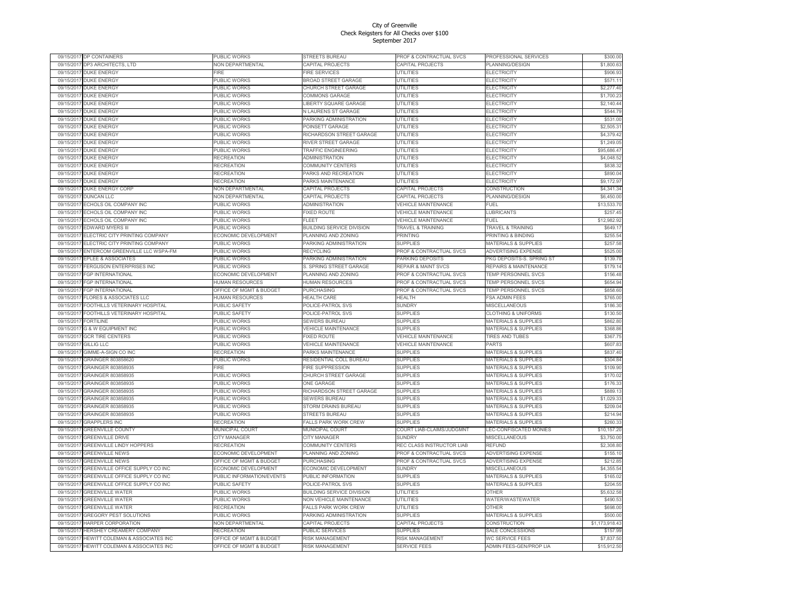| 09/15/2017 | DP CONTAINERS                                               | PUBLIC WORKS              | STREETS BUREAU                            | PROF & CONTRACTUAL SVCS        | PROFESSIONAL SERVICES                      | \$300.00               |
|------------|-------------------------------------------------------------|---------------------------|-------------------------------------------|--------------------------------|--------------------------------------------|------------------------|
|            | 09/15/2017 DP3 ARCHITECTS, LTD                              | NON DEPARTMENTAL          | CAPITAL PROJECTS                          | CAPITAL PROJECTS               | PLANNING/DESIGN                            | \$1,800.63             |
| 09/15/201  | <b>DUKE ENERGY</b>                                          | FIRE                      | <b>FIRE SERVICES</b>                      | UTILITIES                      | <b>ELECTRICITY</b>                         | \$906.93               |
| 09/15/2017 | <b>DUKE ENERGY</b>                                          | PUBLIC WORKS              | <b>BROAD STREET GARAGE</b>                | <b>UTILITIES</b>               | ELECTRICITY                                | \$571.11               |
| 09/15/2017 | <b>DUKE ENERGY</b>                                          | PUBLIC WORKS              | CHURCH STREET GARAGE                      | <b>UTILITIES</b>               | ELECTRICITY                                | \$2,277.40             |
| 09/15/201  | <b>DUKE ENERGY</b>                                          | PUBLIC WORKS              | COMMONS GARAGE                            | <b>UTILITIES</b>               | <b>ELECTRICITY</b>                         | \$1,700.23             |
| 09/15/201  | DUKE ENERGY                                                 | PUBLIC WORKS              | <b>IBERTY SQUARE GARAGE</b>               | <b>UTILITIES</b>               | <b>ELECTRICITY</b>                         | \$2,140.44             |
| 09/15/2017 | <b>DUKE ENERGY</b>                                          | PUBLIC WORKS              | <b>VLAURENS ST GARAGE</b>                 | <b>UTILITIES</b>               | <b>ELECTRICITY</b>                         | \$544.79               |
| 09/15/2017 | <b>DUKE ENERGY</b>                                          | PUBLIC WORKS              | PARKING ADMINISTRATION                    | UTILITIES                      | ELECTRICITY                                | \$531.00               |
| 09/15/2017 | <b>DUKE ENERGY</b>                                          | PUBLIC WORKS              | POINSETT GARAGE                           | UTILITIES                      | <b>ELECTRICITY</b>                         | \$2,505.31             |
| 09/15/2017 | <b>DUKE ENERGY</b>                                          | PUBLIC WORKS              | RICHARDSON STREET GARAGE                  | <b>UTILITIES</b>               | ELECTRICITY                                | \$4,379.42             |
| 09/15/2017 | <b>DUKE ENERGY</b>                                          | PUBLIC WORKS              | <b>RIVER STREET GARAGE</b>                | <b>UTILITIES</b>               | <b>ELECTRICITY</b>                         | \$1,249.05             |
| 09/15/2017 | <b>DUKE ENERGY</b>                                          | PUBLIC WORKS              | <b>TRAFFIC ENGINEERING</b>                | <b>UTILITIES</b>               | <b>ELECTRICITY</b>                         | \$95,686.47            |
| 09/15/2017 | <b>DUKE ENERGY</b>                                          | RECREATION                | ADMINISTRATION                            | <b>UTILITIES</b>               | ELECTRICITY                                | \$4,048.52             |
| 09/15/2017 | <b>DUKE ENERGY</b>                                          | RECREATION                | COMMUNITY CENTERS                         | <b>UTILITIES</b>               | <b>ELECTRICITY</b>                         | \$838.32               |
|            |                                                             |                           |                                           |                                |                                            |                        |
| 09/15/2017 | <b>DUKE ENERGY</b>                                          | RECREATION                | PARKS AND RECREATION                      | <b>UTILITIES</b>               | <b>ELECTRICITY</b>                         | \$890.04               |
| 09/15/201  | <b>DUKE ENERGY</b>                                          | RECREATION                | <b>PARKS MAINTENANCE</b>                  | <b>UTILITIES</b>               | ELECTRICITY                                | \$9,172.97             |
| 09/15/2017 | DUKE ENERGY CORP                                            | <b>NON DEPARTMENTAL</b>   | CAPITAL PROJECTS                          | CAPITAL PROJECTS               | CONSTRUCTION                               | \$4,341.34             |
| 09/15/2017 | <b>DUNCAN LLC</b>                                           | <b>NON DEPARTMENTAL</b>   | CAPITAL PROJECTS                          | CAPITAL PROJECTS               | PLANNING/DESIGN                            | \$6,450.00             |
| 09/15/2017 | ECHOLS OIL COMPANY INC                                      | PUBLIC WORKS              | <b>ADMINISTRATION</b>                     | VEHICLE MAINTENANCE            | FUEL                                       | \$13,533.70            |
| 09/15/2017 | ECHOLS OIL COMPANY INC                                      | PUBLIC WORKS              | <b>EXED ROUTE</b>                         | <b>VEHICLE MAINTENANCE</b>     | <b>LUBRICANTS</b>                          | \$257.45               |
| 09/15/2017 | ECHOLS OIL COMPANY INC                                      | PUBLIC WORKS              | ELEET                                     | <b>VEHICLE MAINTENANCE</b>     | FUFI                                       | \$12,982.92            |
| 09/15/201  | <b>EDWARD MYERS III</b>                                     | PUBLIC WORKS              | <b>BUILDING SERVICE DIVISION</b>          | <b>TRAVEL &amp; TRAINING</b>   | <b>TRAVEL &amp; TRAINING</b>               | \$649.17               |
| 09/15/2017 | ELECTRIC CITY PRINTING COMPANY                              | ECONOMIC DEVELOPMENT      | PLANNING AND ZONING                       | <b>PRINTING</b>                | PRINTING & BINDING                         | \$255.54               |
| 09/15/201  | ELECTRIC CITY PRINTING COMPANY                              | PUBLIC WORKS              | PARKING ADMINISTRATION                    | <b>SUPPLIES</b>                | <b>MATERIALS &amp; SUPPLIES</b>            | \$257.58               |
| 09/15/2017 | ENTERCOM GREENVILLE LLC WSPA-FM                             | PUBLIC WORKS              | RECYCLING                                 | PROF & CONTRACTUAL SVCS        | ADVERTISING EXPENSE                        | \$525.00               |
| 09/15/2017 | <b>EPLEE &amp; ASSOCIATES</b>                               | PUBLIC WORKS              | PARKING ADMINISTRATION                    | PARKING DEPOSITS               | PKG DEPOSITS-S. SPRING ST                  | \$139.70               |
| 09/15/2017 | FERGUSON ENTERPRISES INC                                    | PUBLIC WORKS              | <b>S. SPRING STREET GARAGE</b>            | <b>REPAIR &amp; MAINT SVCS</b> | REPAIRS & MAINTENANCE                      | \$179.14               |
| 09/15/201  | FGP INTERNATIONAL                                           | ECONOMIC DEVELOPMENT      | PLANNING AND ZONING                       | PROF & CONTRACTUAL SVCS        | TEMP PERSONNEL SVCS                        | \$156.48               |
| 09/15/2017 | <b>FGP INTERNATIONAL</b>                                    | <b>HUMAN RESOURCES</b>    | <b>HUMAN RESOURCES</b>                    | PROF & CONTRACTUAL SVCS        | TEMP PERSONNEL SVCS                        | \$654.94               |
| 09/15/2017 | <b>FGP INTERNATIONAL</b>                                    | OFFICE OF MGMT & BUDGET   | <b>PURCHASING</b>                         | PROF & CONTRACTUAL SVCS        | TEMP PERSONNEL SVCS                        | \$858.60               |
| 09/15/2017 | <b>FLORES &amp; ASSOCIATES LLC</b>                          | HUMAN RESOURCES           | <b>HEALTH CARE</b>                        | HEALTH                         | <b>FSA ADMIN FEES</b>                      | \$765.00               |
| 09/15/201  | FOOTHILLS VETERINARY HOSPITAL                               | PUBLIC SAFETY             | POLICE-PATROL SVS                         | <b>SUNDRY</b>                  | MISCELLANEOUS                              | \$186.30               |
| 09/15/2017 | FOOTHILLS VETERINARY HOSPITAL                               | PUBLIC SAFETY             | <b>POLICE-PATROL SVS</b>                  | <b>SUPPLIES</b>                | <b>CLOTHING &amp; UNIFORMS</b>             | \$130.50               |
| 09/15/201  | <b>FORTILINE</b>                                            | PUBLIC WORKS              | <b>SEWERS BUREAU</b>                      | <b>SUPPLIES</b>                | <b>MATERIALS &amp; SUPPLIES</b>            | \$862.80               |
| 09/15/2017 | <b>G &amp; W EQUIPMENT INC</b>                              | PUBLIC WORKS              | <b>VEHICLE MAINTENANCE</b>                | <b>SUPPLIES</b>                | <b>MATERIALS &amp; SUPPLIES</b>            | \$368.86               |
| 09/15/201  | <b>GCR TIRE CENTERS</b>                                     | PUBLIC WORKS              | <b>EXED ROUTE</b>                         | <b>VEHICLE MAINTENANCE</b>     | <b>TIRES AND TUBES</b>                     |                        |
|            |                                                             |                           |                                           |                                |                                            | \$367.75               |
| 09/15/2017 | <b>GILLIG LLC</b>                                           | PUBLIC WORKS              | <b>VEHICLE MAINTENANCE</b>                | VEHICLE MAINTENANCE            | <b>PARTS</b>                               | \$607.83               |
| 09/15/2017 | GIMME-A-SIGN CO INC                                         | RECREATION                | PARKS MAINTENANCE                         | <b>SUPPLIES</b>                | MATERIALS & SUPPLIES                       | \$837.40               |
| 09/15/2017 | GRAINGER 803858620                                          | PUBLIC WORKS              | RESIDENTIAL COLL BUREAU                   | <b>SUPPLIES</b>                | <b>MATERIALS &amp; SUPPLIES</b>            | \$304.84               |
| 09/15/201  | GRAINGER 803858935                                          | -IRE                      | <b>FIRE SUPPRESSION</b>                   | <b>SUPPLIES</b>                | <b>MATERIALS &amp; SUPPLIES</b>            | \$109.90               |
| 09/15/2017 | GRAINGER 803858935                                          | PUBLIC WORKS              | CHURCH STREET GARAGE                      | <b>SUPPLIES</b>                | <b>MATERIALS &amp; SUPPLIES</b>            | \$170.02               |
| 09/15/201  | GRAINGER 803858935                                          | PUBLIC WORKS              | ONE GARAGE                                | <b>SUPPLIES</b>                | <b>MATERIALS &amp; SUPPLIES</b>            | \$176.33               |
| 09/15/2017 | GRAINGER 803858935                                          | PUBLIC WORKS              | RICHARDSON STREET GARAGE                  | <b>SUPPLIES</b>                | <b>MATERIALS &amp; SUPPLIES</b>            | \$889.13               |
| 09/15/201  | <b>GRAINGER 803858935</b>                                   | PUBLIC WORKS              | <b>SEWERS BUREAU</b>                      | <b>SUPPLIES</b>                | <b>MATERIALS &amp; SUPPLIES</b>            | \$1,029.33             |
| 09/15/201  | GRAINGER 803858935                                          | PUBLIC WORKS              | <b>STORM DRAINS BUREAU</b>                | <b>SUPPLIES</b>                | <b>MATERIALS &amp; SUPPLIES</b>            | \$209.04               |
| 09/15/201  | GRAINGER 803858935                                          | PUBLIC WORKS              | <b>STREETS BUREAU</b>                     | <b>SUPPLIES</b>                | <b>MATERIALS &amp; SUPPLIES</b>            | \$214.94               |
| 09/15/2017 | <b>GRAPPLERS INC</b>                                        | <b>RECREATION</b>         | <b>FALLS PARK WORK CREW</b>               | <b>SUPPLIES</b>                | MATERIALS & SUPPLIES                       | \$260.33               |
| 09/15/2017 | <b>GREENVILLE COUNTY</b>                                    | <b>MUNICIPAL COURT</b>    | <b>MUNICIPAL COURT</b>                    | COURT LIAB-CLAIMS/JUDGMNT      | LEC-CONFISCATED MONIES                     | \$10,157.20            |
| 09/15/2017 | <b>GREENVILLE DRIVE</b>                                     | CITY MANAGER              | CITY MANAGER                              | <b>SUNDRY</b>                  | MISCELLANEOUS                              | \$3,750.00             |
| 09/15/2017 | <b>GREENVILLE LINDY HOPPERS</b>                             | RECREATION                | COMMUNITY CENTERS                         | REC CLASS INSTRUCTOR LIAB      | REFUND                                     | \$2,308.80             |
| 09/15/201  | <b>GREENVILLE NEWS</b>                                      | ECONOMIC DEVELOPMENT      | PLANNING AND ZONING                       | PROF & CONTRACTUAL SVCS        | <b>ADVERTISING EXPENSE</b>                 | \$155.10               |
| 09/15/201  | <b>GREENVILLE NEWS</b>                                      | OFFICE OF MGMT & BUDGET   | PURCHASING                                | PROF & CONTRACTUAL SVCS        | <b>ADVERTISING EXPENSE</b>                 | \$212.85               |
| 09/15/2017 | GREENVILLE OFFICE SUPPLY CO INC                             | ECONOMIC DEVELOPMENT      | ECONOMIC DEVELOPMENT                      | <b>SUNDRY</b>                  | MISCELLANEOUS                              | \$4,355.54             |
| 09/15/201  | GREENVILLE OFFICE SUPPLY CO INC                             | PUBLIC INFORMATION/EVENTS | PUBLIC INFORMATION                        | <b>SUPPLIES</b>                | <b>MATERIALS &amp; SUPPLIES</b>            | \$165.02               |
| 09/15/2017 | GREENVILLE OFFICE SUPPLY CO INC                             | PUBLIC SAFETY             | POLICE-PATROL SVS                         | <b>SUPPLIES</b>                | <b>MATERIALS &amp; SUPPLIES</b>            | \$204.55               |
| 09/15/2017 | <b>GREENVILLE WATER</b>                                     | <b>PUBLIC WORKS</b>       | <b>BUILDING SERVICE DIVISION</b>          | <b>UTILITIES</b>               | OTHER                                      | \$5,632.58             |
| 09/15/2017 | <b>GREENVILLE WATER</b>                                     | PUBLIC WORKS              | <b>VON VEHICLE MAINTENANCE</b>            | <b>UTILITIES</b>               | WATER/WASTEWATER                           | \$490.53               |
| 09/15/2017 | <b>GREENVILLE WATER</b>                                     | RECREATION                | FALLS PARK WORK CREW                      | <b>UTILITIES</b>               | OTHER                                      | \$698.00               |
| 09/15/2017 | GREGORY PEST SOLUTIONS                                      | PUBLIC WORKS              | PARKING ADMINISTRATION                    | <b>SUPPLIES</b>                | MATERIALS & SUPPLIES                       | \$500.00               |
| 09/15/201  | HARPER CORPORATION                                          | <b>VON DEPARTMENTAL</b>   | CAPITAL PROJECTS                          | CAPITAL PROJECTS               | CONSTRUCTION                               | \$1,173,918.43         |
| 09/15/201  |                                                             | RECREATION                |                                           | <b>SUPPLIES</b>                |                                            |                        |
| 09/15/2017 | HERSHEY CREAMERY COMPANY<br>HEWITT COLEMAN & ASSOCIATES INC | OFFICE OF MGMT & BUDGET   | PUBLIC SERVICES<br><b>RISK MANAGEMENT</b> | RISK MANAGEMENT                | SALE CONCESSIONS<br><b>WC SERVICE FEES</b> | \$157.99<br>\$7,837.50 |
|            |                                                             |                           |                                           |                                |                                            |                        |
| 09/15/2017 | HEWITT COLEMAN & ASSOCIATES INC                             | OFFICE OF MGMT & BUDGET   | <b>RISK MANAGEMENT</b>                    | <b>SERVICE FEES</b>            | ADMIN FEES-GEN/PROP LIA                    | \$15,912.50            |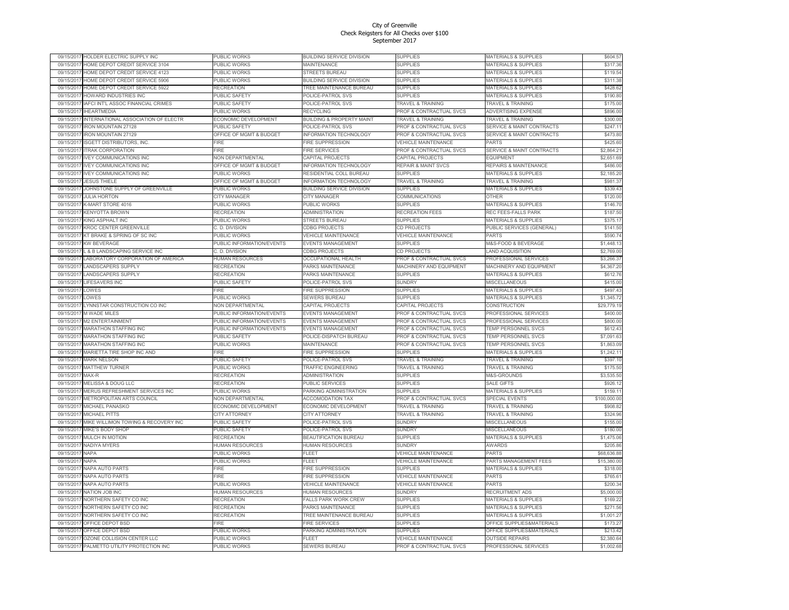| 09/15/201  | IOLDER ELECTRIC SUPPLY INC                | PUBLIC WORKS              | BUILDING SERVICE DIVISION             | SUPPLIES                           | MATERIALS & SUPPLIES                  | \$604.57     |
|------------|-------------------------------------------|---------------------------|---------------------------------------|------------------------------------|---------------------------------------|--------------|
| 09/15/2017 | HOME DEPOT CREDIT SERVICE 3104            | PUBLIC WORKS              | <b>MAINTENANCE</b>                    | <b>SUPPLIES</b>                    | <b>MATERIALS &amp; SUPPLIES</b>       | \$317.36     |
| 09/15/201  | HOME DEPOT CREDIT SERVICE 4123            | PUBLIC WORKS              | <b>STREETS BUREAU</b>                 | <b>SUPPLIES</b>                    | <b>MATERIALS &amp; SUPPLIES</b>       | \$119.54     |
| 09/15/2017 | HOME DEPOT CREDIT SERVICE 5906            | PUBLIC WORKS              | BUILDING SERVICE DIVISION             | <b>SUPPLIES</b>                    | <b>MATERIALS &amp; SUPPLIES</b>       | \$311.38     |
| 09/15/201  | HOME DEPOT CREDIT SERVICE 5922            | RECREATION                | <b><i>TREE MAINTENANCE BUREAU</i></b> | <b>SUPPLIES</b>                    | <b>MATERIALS &amp; SUPPLIES</b>       | \$428.62     |
| 09/15/201  | HOWARD INDUSTRIES INC                     | PUBLIC SAFETY             | <b>POLICE-PATROL SVS</b>              | <b>SUPPLIES</b>                    | <b>MATERIALS &amp; SUPPLIES</b>       | \$190.80     |
| 09/15/201  | <b>IAFCI INT'L ASSOC FINANCIAL CRIMES</b> | PUBLIC SAFETY             | <b>POLICE-PATROL SVS</b>              | <b>TRAVEL &amp; TRAINING</b>       | <b>TRAVEL &amp; TRAINING</b>          | \$175.00     |
| 09/15/2017 | <b>IHEARTMEDIA</b>                        | PUBLIC WORKS              | RECYCLING                             | PROF & CONTRACTUAL SVCS            | ADVERTISING EXPENSE                   | \$896.00     |
| 09/15/2017 | INTERNATIONAL ASSOCIATION OF ELECTR       | ECONOMIC DEVELOPMENT      | <b>BUILDING &amp; PROPERTY MAINT</b>  | TRAVEL & TRAINING                  | <b>TRAVEL &amp; TRAINING</b>          | \$300.00     |
| 09/15/201  | RON MOUNTAIN 27128                        | PUBLIC SAFETY             | <b>POLICE-PATROL SVS</b>              | PROF & CONTRACTUAL SVCS            | <b>SERVICE &amp; MAINT CONTRACTS</b>  | \$247.11     |
| 09/15/201  | <b>RON MOUNTAIN 27129</b>                 | OFFICE OF MGMT & BUDGET   | <b>NFORMATION TECHNOLOGY</b>          | PROF & CONTRACTUAL SVCS            | <b>SERVICE &amp; MAINT CONTRACTS</b>  | \$473.80     |
| 09/15/2017 | <b>ISGETT DISTRIBUTORS, INC.</b>          | FIRE                      | <b>FIRE SUPPRESSION</b>               | <b>VEHICLE MAINTENANCE</b>         | PARTS                                 | \$425.60     |
|            |                                           |                           |                                       |                                    |                                       |              |
| 09/15/201  | <b>TRAK CORPORATION</b>                   | <b>FIRE</b>               | <b>IRE SERVICES</b>                   | PROF & CONTRACTUAL SVCS            | <b>SERVICE &amp; MAINT CONTRACTS</b>  | \$2,864.21   |
| 09/15/2017 | <b>IVEY COMMUNICATIONS INC</b>            | NON DEPARTMENTAL          | <b>CAPITAL PROJECTS</b>               | CAPITAL PROJECTS                   | <b>EQUIPMENT</b>                      | \$2,651.69   |
| 09/15/2017 | <b>IVEY COMMUNICATIONS INC</b>            | OFFICE OF MGMT & BUDGET   | <b>NFORMATION TECHNOLOGY</b>          | <b>REPAIR &amp; MAINT SVCS</b>     | REPAIRS & MAINTENANCE                 | \$486.00     |
| 09/15/201  | <b>IVEY COMMUNICATIONS INC</b>            | PUBLIC WORKS              | RESIDENTIAL COLL BUREAU               | <b>SUPPLIES</b>                    | <b>MATERIALS &amp; SUPPLIES</b>       | \$2,185.20   |
| 09/15/201  | <b>JESUS THIELE</b>                       | OFFICE OF MGMT & BUDGET   | <b>INFORMATION TECHNOLOGY</b>         | <b>TRAVEL &amp; TRAINING</b>       | <b>TRAVEL &amp; TRAINING</b>          | \$981.37     |
| 09/15/2017 | JOHNSTONE SUPPLY OF GREENVILLE            | PUBLIC WORKS              | BUILDING SERVICE DIVISION             | <b>SUPPLIES</b>                    | <b>MATERIALS &amp; SUPPLIES</b>       | \$339.43     |
| 09/15/2017 | <b>JULIA HORTON</b>                       | CITY MANAGER              | CITY MANAGER                          | COMMUNICATIONS                     | OTHER                                 | \$120.00     |
| 09/15/2017 | K-MART STORE 4016                         | PUBLIC WORKS              | PUBLIC WORKS                          | <b>SUPPLIES</b>                    | MATERIALS & SUPPLIES                  | \$146.70     |
| 09/15/2017 | KENYOTTA BROWN                            | RECREATION                | ADMINISTRATION                        | RECREATION FEES                    | REC FEES-FALLS PARK                   | \$187.50     |
| 09/15/201  | KING ASPHALT INC                          | PUBLIC WORKS              | <b>STREETS BUREAU</b>                 | <b>SUPPLIES</b>                    | <b>MATERIALS &amp; SUPPLIES</b>       | \$375.17     |
| 09/15/201  | KROC CENTER GREENVILLE                    | C. D. DIVISION            | CDBG PROJECTS                         | CD PROJECTS                        | PUBLIC SERVICES (GENERAL)             | \$141.50     |
| 09/15/2017 | KT BRAKE & SPRING OF SC INC               | PUBLIC WORKS              | <b>VEHICLE MAINTENANCE</b>            | VEHICLE MAINTENANCE                | <b>PARTS</b>                          | \$590.74     |
| 09/15/2017 | KW BEVERAGE                               | PUBLIC INFORMATION/EVENTS | <b>EVENTS MANAGEMENT</b>              | <b>SUPPLIES</b>                    | <b>M&amp;S-FOOD &amp; BEVERAGE</b>    | \$1,448.13   |
| 09/15/2017 | L & B LANDSCAPING SERVICE INC             | C. D. DIVISION            | CDBG PROJECTS                         | CD PROJECTS                        | <b>LAND ACQUISITION</b>               | \$2,769.00   |
| 09/15/2017 | LABORATORY CORPORATION OF AMERICA         | <b>HUMAN RESOURCES</b>    | OCCUPATIONAL HEALTH                   | PROF & CONTRACTUAL SVCS            | PROFESSIONAL SERVICES                 | \$3,266.37   |
| 09/15/201  | ANDSCAPERS SUPPLY                         |                           |                                       | MACHINERY AND EQUIPMENT            |                                       | \$4,367.20   |
|            |                                           | RECREATION                | <b>PARKS MAINTENANCE</b>              |                                    | <b><i>MACHINERY AND EQUIPMENT</i></b> |              |
| 09/15/2017 | LANDSCAPERS SUPPLY                        | <b>RECREATION</b>         | PARKS MAINTENANCE                     | <b>SUPPLIES</b>                    | MATERIALS & SUPPLIES                  | \$612.76     |
| 09/15/2017 | <b>LIFFSAVERS INC</b>                     | <b>PUBLIC SAFETY</b>      | POLICE-PATROL SVS                     | <b>SUNDRY</b>                      | <b>MISCELLANEOUS</b>                  | \$415.00     |
| 09/15/201  | LOWES                                     | -<br>IRF                  | <b>IRE SUPPRESSION</b>                | <b>SUPPLIES</b>                    | <b>MATERIALS &amp; SUPPLIES</b>       | \$497.43     |
| 09/15/2017 | LOWES                                     | PUBLIC WORKS              | SEWERS BUREAU                         | <b>SUPPLIES</b>                    | <b>MATERIALS &amp; SUPPLIES</b>       | \$1,345.72   |
| 09/15/201  | LYNNSTAR CONSTRUCTION CO INC              | NON DEPARTMENTAL          | CAPITAL PROJECTS                      | CAPITAL PROJECTS                   | CONSTRUCTION                          | \$29,779.19  |
| 09/15/2017 | M WADE MILES                              | PUBLIC INFORMATION/EVENTS | <b>EVENTS MANAGEMENT</b>              | PROF & CONTRACTUAL SVCS            | <b>PROFESSIONAL SERVICES</b>          | \$400.00     |
| 09/15/2017 | M2 ENTERTAINMENT                          | PUBLIC INFORMATION/EVENTS | <b>EVENTS MANAGEMENT</b>              | PROF & CONTRACTUAL SVCS            | PROFESSIONAL SERVICES                 | \$800.00     |
| 09/15/2017 | MARATHON STAFFING INC                     | PUBLIC INFORMATION/EVENTS | <b>EVENTS MANAGEMENT</b>              | PROF & CONTRACTUAL SVCS            | TEMP PERSONNEL SVCS                   | \$612.43     |
| 09/15/2017 | <b>MARATHON STAFFING INC</b>              | PUBLIC SAFETY             | POLICE-DISPATCH BUREAU                | PROF & CONTRACTUAL SVCS            | TEMP PERSONNEL SVCS                   | \$7,091.63   |
| 09/15/2017 | MARATHON STAFFING INC                     | PUBLIC WORKS              | MAINTENANCE                           | PROF & CONTRACTUAL SVCS            | TEMP PERSONNEL SVCS                   | \$1,863.09   |
| 09/15/2017 | MARIETTA TIRE SHOP INC AND                | FIRE                      | FIRE SUPPRESSION                      | <b>SUPPLIES</b>                    | MATERIALS & SUPPLIES                  | \$1,242.11   |
| 09/15/2017 | <b>MARK NELSON</b>                        | PUBLIC SAFETY             | POLICE-PATROL SVS                     | <b>TRAVEL &amp; TRAINING</b>       | <b><i>FRAVEL &amp; TRAINING</i></b>   | \$397.10     |
| 09/15/2017 | <b>MATTHEW TURNER</b>                     | PUBLIC WORKS              | <b><i>TRAFFIC ENGINEERING</i></b>     | <b>TRAVEL &amp; TRAINING</b>       | <b>TRAVEL &amp; TRAINING</b>          | \$175.50     |
| 09/15/201  | MAX-R                                     | RECREATION                | <b>ADMINISTRATION</b>                 | <b>SUPPLIES</b>                    | M&S-GROUNDS                           | \$3,535.50   |
| 09/15/2017 | MELISSA & DOUG LLC                        | RECREATION                | PUBLIC SERVICES                       | <b>SUPPLIES</b>                    | <b>SALE GIFTS</b>                     | \$926.12     |
|            |                                           |                           |                                       |                                    |                                       |              |
| 09/15/201  | MERUS REFRESHMENT SERVICES INC            | PUBLIC WORKS              | PARKING ADMINISTRATION                | <b>SUPPLIES</b>                    | <b>MATERIALS &amp; SUPPLIES</b>       | \$159.11     |
| 09/15/201  | METROPOLITAN ARTS COUNCIL                 | NON DEPARTMENTAL          | <b>ACCOMODATION TAX</b>               | PROF & CONTRACTUAL SVCS            | <b>SPECIAL EVENTS</b>                 | \$100,000.00 |
| 09/15/2017 | MICHAEL PANASKO                           | ECONOMIC DEVELOPMENT      | <b>ECONOMIC DEVELOPMENT</b>           | <b>TRAVEL &amp; TRAINING</b>       | <b>FRAVEL &amp; TRAINING</b>          | \$908.82     |
| 09/15/2017 | <b>MICHAEL PITTS</b>                      | <b>CITY ATTORNEY</b>      | CITY ATTORNEY                         | <b>TRAVEL &amp; TRAINING</b>       | <b>TRAVEL &amp; TRAINING</b>          | \$324.96     |
| 09/15/201  | MIKE WILLIMON TOWING & RECOVERY INC       | PUBLIC SAFETY             | POLICE-PATROL SVS                     | <b>SUNDRY</b>                      | MISCELLANEOUS                         | \$155.00     |
| 09/15/2017 | MIKE'S BODY SHOP                          | PUBLIC SAFETY             | POLICE-PATROL SVS                     | <b>SUNDRY</b>                      | MISCELLANEOUS                         | \$180.00     |
| 09/15/2017 | MULCH IN MOTION                           | <b>RECREATION</b>         | <b>BEAUTIFICATION BUREAU</b>          | <b>SUPPLIES</b>                    | MATERIALS & SUPPLIES                  | \$1,475.06   |
| 09/15/2017 | NADIYA MYERS                              | HUMAN RESOURCES           | HUMAN RESOURCES                       | <b>SUNDRY</b>                      | AWARDS                                | \$205.86     |
| 09/15/201  | NAPA                                      | PUBLIC WORKS              | ELEET                                 | <b>VEHICLE MAINTENANCE</b>         | PARTS                                 | \$68,636,88  |
| 09/15/201  | <b>NAPA</b>                               | PUBLIC WORKS              | FLEET                                 | <b>VEHICLE MAINTENANCE</b>         | PARTS MANAGEMENT FEES                 | \$15,380.00  |
| 09/15/201  | NAPA AUTO PARTS                           | <b>FIRE</b>               | <b>FIRE SUPPRESSION</b>               | <b>SUPPLIES</b>                    | MATERIALS & SUPPLIES                  | \$318.00     |
| 09/15/2017 | NAPA AUTO PARTS                           | FIRE                      | <b>FIRE SUPPRESSION</b>               | VEHICLE MAINTENANCE                | PARTS                                 | \$765.61     |
| 09/15/201  | NAPA AUTO PARTS                           | PUBLIC WORKS              | <b>/EHICLE MAINTENANCE</b>            | <b>VEHICLE MAINTENANCE</b>         | PARTS                                 | \$200.34     |
| 09/15/2017 | NATION JOB INC                            | HUMAN RESOURCES           | HUMAN RESOURCES                       | <b>SUNDRY</b>                      | RECRUITMENT ADS                       | \$5,000.00   |
| 09/15/2017 | NORTHERN SAFETY CO INC                    | <b>RECREATION</b>         | <b>FALLS PARK WORK CREW</b>           | <b>SUPPLIES</b>                    | <b>MATERIALS &amp; SUPPLIES</b>       | \$169.22     |
| 09/15/201  | NORTHERN SAFETY CO INC                    | <b>RECREATION</b>         | PARKS MAINTENANCE                     | <b>SUPPLIES</b>                    | <b>MATERIALS &amp; SUPPLIES</b>       | \$271.56     |
|            |                                           |                           |                                       |                                    |                                       |              |
| 09/15/2017 | NORTHERN SAFETY CO INC                    | <b>RECREATION</b>         | <b><i>TREE MAINTENANCE BUREAU</i></b> | <b>SUPPLIES</b>                    | <b>MATERIALS &amp; SUPPLIES</b>       | \$1,001.27   |
| 09/15/2017 | OFFICE DEPOT BSD                          | <b>FIRF</b>               | <b>FIRE SERVICES</b>                  | <b>SUPPLIES</b>                    | OFFICE SUPPLIES&MATERIALS             | \$173.27     |
| 09/15/201  | OFFICE DEPOT BSD                          | PUBLIC WORKS              | PARKING ADMINISTRATION                | <b>SUPPLIES</b>                    | OFFICE SUPPLIES&MATERIALS             | \$213.42     |
| 09/15/2017 | OZONE COLLISION CENTER LLC                | PUBLIC WORKS              | FLEET                                 | VEHICLE MAINTENANCE                | <b>OUTSIDE REPAIRS</b>                | \$2,380.64   |
| 09/15/2017 | PALMETTO UTILITY PROTECTION INC           | <b>PUBLIC WORKS</b>       | <b>SEWERS BUREAU</b>                  | <b>PROF &amp; CONTRACTUAL SVCS</b> | PROFESSIONAL SERVICES                 | \$1,002.68   |
|            |                                           |                           |                                       |                                    |                                       |              |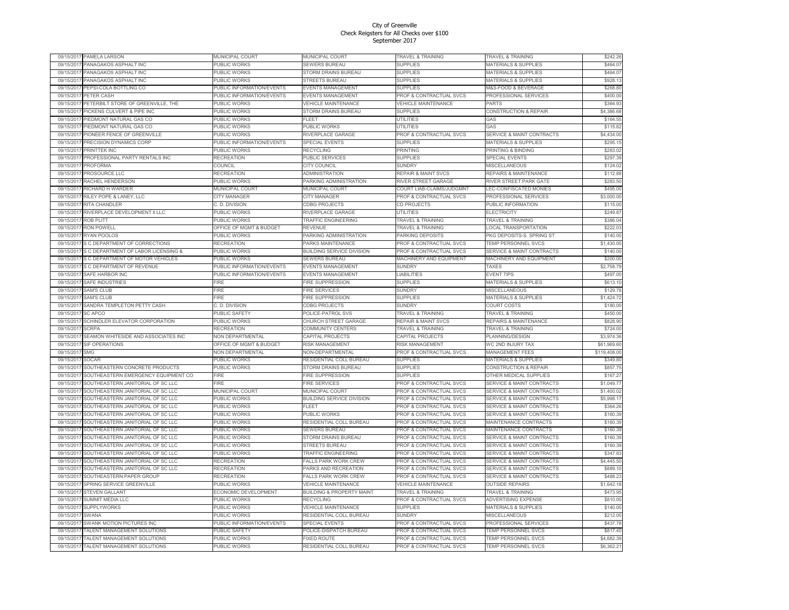| 09/15/201               | PAMELA LARSON                                                          | MUNICIPAL COURT                 | MUNICIPAL COUR <sup>-</sup>                         | TRAVEL & TRAINING                                             | FRAVEL & TRAINING                                                            | \$242.26     |
|-------------------------|------------------------------------------------------------------------|---------------------------------|-----------------------------------------------------|---------------------------------------------------------------|------------------------------------------------------------------------------|--------------|
| 09/15/2017              | PANAGAKOS ASPHALT INC                                                  | PUBLIC WORKS                    | <b>SEWERS BUREAU</b>                                | <b>SUPPLIES</b>                                               | <b>MATERIALS &amp; SUPPLIES</b>                                              | \$464.07     |
| 09/15/201               | PANAGAKOS ASPHALT INC                                                  | PUBLIC WORKS                    | <b>STORM DRAINS BUREAU</b>                          | <b>SUPPLIES</b>                                               | <b>MATERIALS &amp; SUPPLIES</b>                                              | \$464.07     |
| 09/15/2017              | PANAGAKOS ASPHALT INC                                                  | PUBLIC WORKS                    | <b>STREETS BUREAU</b>                               | <b>SUPPLIES</b>                                               | <b>MATERIALS &amp; SUPPLIES</b>                                              | \$928.13     |
| 09/15/201               | PEPSI-COLA BOTTLING CO                                                 | PUBLIC INFORMATION/EVENTS       | <b>FVENTS MANAGEMENT</b>                            | <b>SUPPLIES</b>                                               | <b>M&amp;S-FOOD &amp; BEVERAGE</b>                                           | \$268.80     |
| 09/15/201               | PETER CASH                                                             | PUBLIC INFORMATION/EVENTS       | EVENTS MANAGEMENT                                   | PROF & CONTRACTUAL SVCS                                       | PROFESSIONAL SERVICES                                                        | \$400.00     |
| 09/15/201               | PETERBILT STORE OF GREENVILLE, THE                                     | PUBLIC WORKS                    | <b>VEHICLE MAINTENANCE</b>                          | <b>VEHICLE MAINTENANCE</b>                                    | PARTS                                                                        | \$364.93     |
| 09/15/2017              | PICKENS CULVERT & PIPE INC                                             | PUBLIC WORKS                    | <b>STORM DRAINS BUREAU</b>                          | <b>SUPPLIES</b>                                               | CONSTRUCTION & REPAIR                                                        | \$4,386.68   |
| 09/15/201               | PIEDMONT NATURAL GAS CO                                                | PUBLIC WORKS                    | ELEET                                               | UTILITIES                                                     | GAS                                                                          | \$164.55     |
| 09/15/2017              | PIEDMONT NATURAL GAS CO                                                | PUBLIC WORKS                    | PUBLIC WORKS                                        | <b>UTILITIES</b>                                              | <b>GAS</b>                                                                   | \$115.82     |
| 09/15/201               | PIONEER FENCE OF GREENVILLE                                            | PUBLIC WORKS                    | <b>RIVERPLACE GARAGE</b>                            | PROF & CONTRACTUAL SVCS                                       | <b>SERVICE &amp; MAINT CONTRACTS</b>                                         | \$4,434.00   |
| 09/15/201               | PRECISION DYNAMICS CORP                                                | PUBLIC INFORMATION/EVENTS       | <b>SPECIAL EVENTS</b>                               | <b>SUPPLIES</b>                                               | <b>MATERIALS &amp; SUPPLIES</b>                                              | \$295.15     |
|                         | PRINTTEK INC                                                           |                                 | RECYCLING                                           |                                                               |                                                                              |              |
| 09/15/2017              |                                                                        | PUBLIC WORKS                    |                                                     | PRINTING                                                      | PRINTING & BINDING                                                           | \$283.02     |
| 09/15/2017              | PROFESSIONAL PARTY RENTALS INC                                         | <b>RECREATION</b>               | PUBLIC SERVICES                                     | <b>SUPPLIES</b>                                               | SPECIAL EVENTS                                                               | \$297.39     |
| 09/15/2017              | PROFORMA                                                               | COUNCIL                         | CITY COUNCIL                                        | <b>SUNDRY</b>                                                 | MISCELLANEOUS                                                                | \$124.02     |
| 09/15/201               | <b>PROSOURCE LLC</b>                                                   | RECREATION                      | ADMINISTRATION                                      | <b>REPAIR &amp; MAINT SVCS</b>                                | REPAIRS & MAINTENANCE                                                        | \$112.88     |
| 09/15/201               | RACHEL HENDERSON                                                       | PUBLIC WORKS                    | PARKING ADMINISTRATION                              | RIVER STREET GARAGE                                           | RIVER STREET PARK GATE                                                       | \$283.50     |
| 09/15/201               | RICHARD H WARDER                                                       | <b>MUNICIPAL COURT</b>          | <b>MUNICIPAL COURT</b>                              | COURT LIAB-CLAIMS/JUDGMNT                                     | LEC-CONFISCATED MONIES                                                       | \$495.00     |
| 09/15/2017              | RILEY POPE & LANEY, LLC                                                | CITY MANAGER                    | CITY MANAGER                                        | PROF & CONTRACTUAL SVCS                                       | PROFESSIONAL SERVICES                                                        | \$3,000.00   |
| 09/15/201               | RITA CHANDLER                                                          | C. D. DIVISION                  | <b>CDBG PROJECTS</b>                                | CD PROJECTS                                                   | PUBLIC INFORMATION                                                           | \$115.00     |
| 09/15/2017              | RIVERPLACE DEVELOPMENT II LLC                                          | PUBLIC WORKS                    | <b>RIVERPLACE GARAGE</b>                            | <b>UTILITIES</b>                                              | <b>ELECTRICITY</b>                                                           | \$249.87     |
| 09/15/2017              | <b>ROB PLITT</b>                                                       | PUBLIC WORKS                    | <b><i>TRAFFIC ENGINEERING</i></b>                   | <b>TRAVEL &amp; TRAINING</b>                                  | <b>TRAVEL &amp; TRAINING</b>                                                 | \$386.04     |
| 09/15/201               | RON POWELL                                                             | OFFICE OF MGMT & BUDGET         | REVENUE                                             | <b>TRAVEL &amp; TRAINING</b>                                  | LOCAL TRANSPORTATION                                                         | \$222.03     |
| 09/15/201               | RYAN POOLOS                                                            | PUBLIC WORKS                    | <b>PARKING ADMINISTRATION</b>                       | PARKING DEPOSITS                                              | PKG DEPOSITS-S. SPRING ST                                                    | \$140.00     |
| 09/15/201               | S C DEPARTMENT OF CORRECTIONS                                          | RECREATION                      | <b>PARKS MAINTENANCE</b>                            | PROF & CONTRACTUAL SVCS                                       | <b>TEMP PERSONNEL SVCS</b>                                                   | \$1,430.00   |
| 09/15/2017              | S C DEPARTMENT OF LABOR LICENSING &                                    | PUBLIC WORKS                    | BUILDING SERVICE DIVISION                           | PROF & CONTRACTUAL SVCS                                       | <b>SERVICE &amp; MAINT CONTRACTS</b>                                         | \$140.00     |
| 09/15/2017              | S C DEPARTMENT OF MOTOR VEHICLES                                       | PUBLIC WORKS                    | <b>SEWERS BUREAU</b>                                | MACHINERY AND EQUIPMENT                                       | MACHINERY AND EQUIPMENT                                                      | \$200.00     |
| 09/15/2017              | S C DEPARTMENT OF REVENUE                                              | PUBLIC INFORMATION/EVENTS       | <b>EVENTS MANAGEMENT</b>                            | <b>SUNDRY</b>                                                 | <b>TAXES</b>                                                                 | \$2,758.79   |
|                         |                                                                        |                                 |                                                     |                                                               |                                                                              |              |
| 09/15/201               | SAFE HARBOR INC                                                        | PUBLIC INFORMATION/EVENTS       | <b>EVENTS MANAGEMENT</b>                            | <b>LIABILITIES</b>                                            | <b>EVENT TIPS</b>                                                            | \$497.00     |
| 09/15/2017              | <b>SAFE INDUSTRIES</b>                                                 | FIRE                            | <b>FIRE SUPPRESSION</b>                             | <b>SUPPLIES</b>                                               | MATERIALS & SUPPLIES                                                         | \$613.10     |
| 09/15/201               | <b>SAM'S CLUB</b>                                                      | FIRE                            | <b>FIRE SERVICES</b>                                | <b>SUNDRY</b>                                                 | MISCELLANEOUS                                                                | \$129.78     |
| 09/15/2017              | <b>SAM'S CLUB</b>                                                      | <b>FIRF</b>                     | <b>FIRE SUPPRESSION</b>                             | <b>SUPPLIES</b>                                               | <b>MATERIALS &amp; SUPPLIES</b>                                              | \$1,424.72   |
| 09/15/2017              | SANDRA TEMPLETON PETTY CASH                                            | C. D. DIVISION                  | <b>CDBG PROJECTS</b>                                | <b>SUNDRY</b>                                                 | COURT COSTS                                                                  | \$180.00     |
| 09/15/201               | <b>SC APCO</b>                                                         | PUBLIC SAFETY                   | <b>POLICE-PATROL SVS</b>                            | <b>TRAVEL &amp; TRAINING</b>                                  | <b>RAVEL &amp; TRAINING</b>                                                  | \$450.00     |
| 09/15/201               | SCHINDLER ELEVATOR CORPORATION                                         | PUBLIC WORKS                    | CHURCH STREET GARAGE                                | <b>REPAIR &amp; MAINT SVCS</b>                                | REPAIRS & MAINTENANCE                                                        | \$828.90     |
| 09/15/2017              | <b>SCRPA</b>                                                           | RECREATION                      | COMMUNITY CENTERS                                   | <b>TRAVEL &amp; TRAINING</b>                                  | <b>TRAVEL &amp; TRAINING</b>                                                 | \$724.00     |
| 09/15/201               | SEAMON WHITESIDE AND ASSOCIATES INC                                    | NON DEPARTMENTAL                | CAPITAL PROJECTS                                    | CAPITAL PROJECTS                                              | PLANNING/DESIGN                                                              | \$3,974.36   |
| 09/15/201               | SIF OPERATIONS                                                         | OFFICE OF MGMT & BUDGET         | <b>RISK MANAGEMENT</b>                              | RISK MANAGEMENT                                               | WC 2ND INJURY TAX                                                            | \$61,969.60  |
| 09/15/2017              | <b>SMG</b>                                                             | NON DEPARTMENTAL                | <b>NON-DEPARTMENTAL</b>                             | PROF & CONTRACTUAL SVCS                                       | <b>MANAGEMENT FEES</b>                                                       | \$119,408.00 |
| 09/15/201               | SOCAR                                                                  | PUBLIC WORKS                    | RESIDENTIAL COLL BUREAU                             | <b>SUPPLIES</b>                                               | <b>MATERIALS &amp; SUPPLIES</b>                                              | \$349.80     |
| 09/15/201               | SOUTHEASTERN CONCRETE PRODUCTS                                         | PUBLIC WORKS                    | <b>STORM DRAINS BUREAU</b>                          | <b>SUPPLIES</b>                                               | CONSTRUCTION & REPAIR                                                        | \$857.75     |
| 09/15/2017              | SOUTHEASTERN EMERGENCY EQUIPMENT CO                                    | FIRE                            | <b>FIRE SUPPRESSION</b>                             | <b>SUPPLIES</b>                                               | OTHER MEDICAL SUPPLIES                                                       | \$167.27     |
| 09/15/201               | SOUTHEASTERN JANITORIAL OF SC LLC                                      | <b>FIRE</b>                     | <b>FIRE SERVICES</b>                                | PROF & CONTRACTUAL SVCS                                       | <b>SERVICE &amp; MAINT CONTRACTS</b>                                         | \$1,049.77   |
|                         |                                                                        |                                 |                                                     |                                                               |                                                                              | \$1,400.02   |
| 09/15/2017<br>09/15/201 | SOUTHEASTERN JANITORIAL OF SC LLC<br>SOUTHEASTERN JANITORIAL OF SC LLC | MUNICIPAL COURT<br>PUBLIC WORKS | MUNICIPAL COURT<br><b>BUILDING SERVICE DIVISION</b> | PROF & CONTRACTUAL SVCS<br><b>PROF &amp; CONTRACTUAL SVCS</b> | <b>SERVICE &amp; MAINT CONTRACTS</b><br><b>SERVICE &amp; MAINT CONTRACTS</b> | \$5,998.17   |
| 09/15/201               | SOUTHEASTERN JANITORIAL OF SC LLC                                      | PUBLIC WORKS                    | ELEET                                               | <b>PROF &amp; CONTRACTUAL SVCS</b>                            | <b>SERVICE &amp; MAINT CONTRACTS</b>                                         | \$364.26     |
|                         |                                                                        |                                 |                                                     |                                                               |                                                                              |              |
| 09/15/201               | SOUTHEASTERN JANITORIAL OF SC LLC                                      | PUBLIC WORKS                    | PUBLIC WORKS                                        | PROF & CONTRACTUAL SVCS                                       | <b>SERVICE &amp; MAINT CONTRACTS</b>                                         | \$160.39     |
| 09/15/2017              | SOUTHEASTERN JANITORIAL OF SC LLC                                      | PUBLIC WORKS                    | RESIDENTIAL COLL BUREAU                             | PROF & CONTRACTUAL SVCS                                       | MAINTENANCE CONTRACTS                                                        | \$160.39     |
| 09/15/2017              | SOUTHEASTERN JANITORIAL OF SC LLC                                      | PUBLIC WORKS                    | <b>SEWERS BUREAU</b>                                | PROF & CONTRACTUAL SVCS                                       | MAINTENANCE CONTRACTS                                                        | \$160.39     |
| 09/15/2017              | SOUTHEASTERN JANITORIAL OF SC LLC                                      | PUBLIC WORKS                    | STORM DRAINS BUREAU                                 | PROF & CONTRACTUAL SVCS                                       | <b>SERVICE &amp; MAINT CONTRACTS</b>                                         | \$160.39     |
| 09/15/2017              | SOUTHEASTERN JANITORIAL OF SC LLC                                      | PUBLIC WORKS                    | <b>STREETS BUREAU</b>                               | PROF & CONTRACTUAL SVCS                                       | <b>SERVICE &amp; MAINT CONTRACTS</b>                                         | \$160.39     |
| 09/15/201               | SOUTHEASTERN JANITORIAL OF SC LLC                                      | PUBLIC WORKS                    | <b><i>TRAFFIC ENGINEERING</i></b>                   | <b>PROF &amp; CONTRACTUAL SVCS</b>                            | <b>SERVICE &amp; MAINT CONTRACTS</b>                                         | \$347.83     |
| 09/15/201               | SOUTHEASTERN JANITORIAL OF SC LLC                                      | <b>RECREATION</b>               | FALLS PARK WORK CREW                                | PROF & CONTRACTUAL SVCS                                       | <b>SERVICE &amp; MAINT CONTRACTS</b>                                         | \$4,445.50   |
| 09/15/2017              | SOUTHEASTERN JANITORIAL OF SC LLC                                      | <b>RECREATION</b>               | PARKS AND RECREATION                                | PROF & CONTRACTUAL SVCS                                       | <b>SERVICE &amp; MAINT CONTRACTS</b>                                         | \$889.10     |
| 09/15/201               | SOUTHEASTERN PAPER GROUP                                               | RECREATION                      | <b>FALLS PARK WORK CREW</b>                         | PROF & CONTRACTUAL SVCS                                       | <b>SERVICE &amp; MAINT CONTRACTS</b>                                         | \$488.23     |
| 09/15/2017              | SPRING SERVICE GREENVILLE                                              | PUBLIC WORKS                    | <b>VEHICLE MAINTENANCE</b>                          | <b>VEHICLE MAINTENANCE</b>                                    | <b>OUTSIDE REPAIRS</b>                                                       | \$1,642.18   |
| 09/15/2017              | <b>STEVEN GALLANT</b>                                                  | ECONOMIC DEVELOPMENT            | <b>BUILDING &amp; PROPERTY MAINT</b>                | <b>TRAVEL &amp; TRAINING</b>                                  | <b>TRAVEL &amp; TRAINING</b>                                                 | \$473.95     |
| 09/15/201               | <b>SUMMIT MEDIA LLC</b>                                                | PUBLIC WORKS                    | <b>RECYCLING</b>                                    | PROF & CONTRACTUAL SVCS                                       | ADVERTISING EXPENSE                                                          | \$810.00     |
| 09/15/2017              | SUPPLYWORKS                                                            | PUBLIC WORKS                    | <b>VEHICLE MAINTENANCE</b>                          | <b>SUPPLIES</b>                                               | MATERIALS & SUPPLIES                                                         | \$140.00     |
|                         | SWANA                                                                  |                                 |                                                     |                                                               | MISCELLANEOUS                                                                |              |
| 09/15/2017              |                                                                        | PUBLIC WORKS                    | RESIDENTIAL COLL BUREAU                             | SUNDRY                                                        |                                                                              | \$212.00     |
| 09/15/201               | SWANK MOTION PICTURES INC                                              | PUBLIC INFORMATION/EVENTS       | <b>SPECIAL EVENTS</b>                               | PROF & CONTRACTUAL SVCS                                       | <b>PROFESSIONAL SERVICES</b>                                                 | \$437.78     |
| 09/15/2017              | TALENT MANAGEMENT SOLUTIONS                                            | PUBLIC SAFETY                   | POLICE-DISPATCH BUREAU                              | PROF & CONTRACTUAL SVCS                                       | TEMP PERSONNEL SVCS                                                          | \$817.40     |
| 09/15/2017              | TALENT MANAGEMENT SOLUTIONS                                            | PUBLIC WORKS                    | <b>EXED ROUTE</b>                                   | PROF & CONTRACTUAL SVCS                                       | TEMP PERSONNEL SVCS                                                          | \$4,682.39   |
| 09/15/2017              | TALENT MANAGEMENT SOLUTIONS                                            | PUBLIC WORKS                    | RESIDENTIAL COLL BUREAU                             | <b>PROF &amp; CONTRACTUAL SVCS</b>                            | TEMP PERSONNEL SVCS                                                          | \$6,362.21   |
|                         |                                                                        |                                 |                                                     |                                                               |                                                                              |              |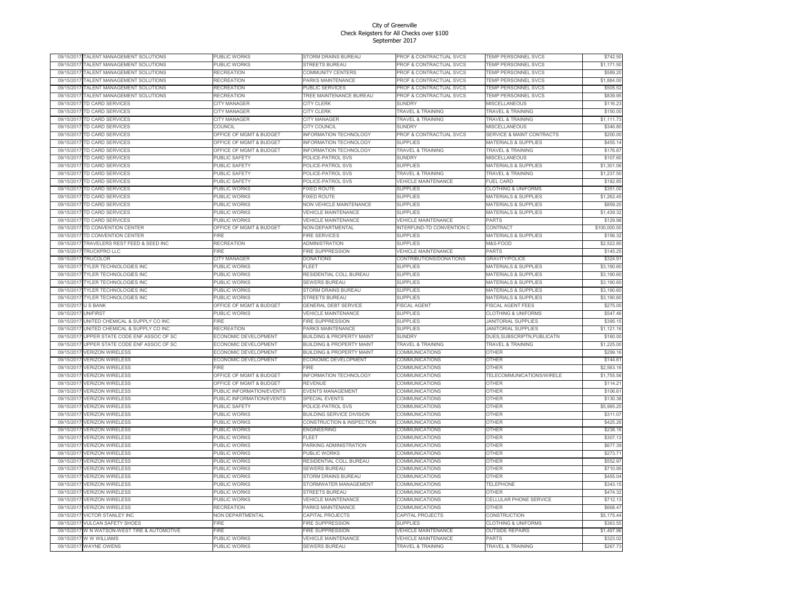| 09/15/201  | TALENT MANAGEMENT SOLUTIONS       | PUBLIC WORKS                       | STORM DRAINS BUREAU                   | PROF & CONTRACTUAL SVCS            | FEMP PERSONNEL SVCS                  | \$742.50     |
|------------|-----------------------------------|------------------------------------|---------------------------------------|------------------------------------|--------------------------------------|--------------|
| 09/15/2017 | TALENT MANAGEMENT SOLUTIONS       | PUBLIC WORKS                       | <b>STREETS BUREAU</b>                 | PROF & CONTRACTUAL SVCS            | TEMP PERSONNEL SVCS                  | \$1,171.50   |
| 09/15/201  | TALENT MANAGEMENT SOLUTIONS       | <b>RECREATION</b>                  | COMMUNITY CENTERS                     | PROF & CONTRACTUAL SVCS            | TEMP PERSONNEL SVCS                  | \$589.20     |
| 09/15/2017 | TALENT MANAGEMENT SOLUTIONS       | <b>RECREATION</b>                  | PARKS MAINTENANCE                     | PROF & CONTRACTUAL SVCS            | <b>TEMP PERSONNEL SVCS</b>           | \$1,884.00   |
| 09/15/2017 | TALENT MANAGEMENT SOLUTIONS       | RECREATION                         | PUBLIC SERVICES                       | <b>PROF &amp; CONTRACTUAL SVCS</b> | <b>TEMP PERSONNEL SVCS</b>           | \$505.52     |
| 09/15/201  | TALENT MANAGEMENT SOLUTIONS       | RECREATION                         | <b><i>TREE MAINTENANCE BUREAU</i></b> | PROF & CONTRACTUAL SVCS            | TEMP PERSONNEL SVCS                  | \$839.95     |
|            |                                   |                                    |                                       |                                    |                                      |              |
| 09/15/201  | TD CARD SERVICES                  | CITY MANAGER                       | CITY CLERK                            | <b>SUNDRY</b>                      | MISCELLANEOUS                        | \$116.23     |
| 09/15/2017 | TD CARD SERVICES                  | CITY MANAGER                       | CITY CLERK                            | TRAVEL & TRAINING                  | <b>TRAVEL &amp; TRAINING</b>         | \$150.00     |
| 09/15/2017 | TD CARD SERVICES                  | CITY MANAGER                       | CITY MANAGER                          | TRAVEL & TRAINING                  | <b>TRAVEL &amp; TRAINING</b>         | \$1,111.73   |
| 09/15/2017 | TD CARD SERVICES                  | COUNCIL                            | <b>CITY COUNCIL</b>                   | <b>SUNDRY</b>                      | MISCELLANEOUS                        | \$346.80     |
| 09/15/2017 | TD CARD SERVICES                  | OFFICE OF MGMT & BUDGET            | <b>INFORMATION TECHNOLOGY</b>         | PROF & CONTRACTUAL SVCS            | <b>SERVICE &amp; MAINT CONTRACTS</b> | \$200.00     |
| 09/15/2017 | TD CARD SERVICES                  | <b>OFFICE OF MGMT &amp; BUDGET</b> | <b>INFORMATION TECHNOLOGY</b>         | <b>SUPPLIES</b>                    | <b>MATERIALS &amp; SUPPLIES</b>      | \$455.14     |
| 09/15/2017 | TD CARD SERVICES                  | OFFICE OF MGMT & BUDGET            | INFORMATION TECHNOLOGY                | TRAVEL & TRAINING                  | <b>TRAVEL &amp; TRAINING</b>         | \$176.87     |
| 09/15/2017 | TD CARD SFRVICES                  | PUBLIC SAFETY                      | POLICE-PATROL SVS                     | <b>SUNDRY</b>                      | <b>MISCELLANEOUS</b>                 | \$107.60     |
| 09/15/2017 | TD CARD SERVICES                  | PUBLIC SAFETY                      | POLICE-PATROL SVS                     | <b>SUPPLIES</b>                    | MATERIALS & SUPPLIES                 | \$1,301.06   |
| 09/15/2017 | TD CARD SERVICES                  | PUBLIC SAFETY                      | POLICE-PATROL SVS                     | TRAVEL & TRAINING                  | <b>FRAVEL &amp; TRAINING</b>         | \$1,237.50   |
| 09/15/2017 | TD CARD SERVICES                  | <b>PUBLIC SAFETY</b>               | POLICE-PATROL SVS                     | <b>VEHICLE MAINTENANCE</b>         | FUEL CARD                            | \$182.85     |
|            |                                   |                                    |                                       |                                    |                                      |              |
| 09/15/2017 | TD CARD SERVICES                  | PUBLIC WORKS                       | <b>IXED ROUTE</b>                     | <b>SUPPLIES</b>                    | <b>CLOTHING &amp; UNIFORMS</b>       | \$351.00     |
| 09/15/2017 | TD CARD SERVICES                  | PUBLIC WORKS                       | <b>FIXED ROUTE</b>                    | <b>SUPPLIES</b>                    | <b>MATERIALS &amp; SUPPLIES</b>      | \$1,262.45   |
| 09/15/2017 | TD CARD SERVICES                  | PUBLIC WORKS                       | <b>NON VEHICLE MAINTENANCE</b>        | <b>SUPPLIES</b>                    | <b>MATERIALS &amp; SUPPLIES</b>      | \$859.20     |
| 09/15/2017 | TD CARD SERVICES                  | PUBLIC WORKS                       | <b>/EHICLE MAINTENANCE</b>            | <b>SUPPLIES</b>                    | <b>MATERIALS &amp; SUPPLIES</b>      | \$1,439.32   |
| 09/15/2017 | TD CARD SERVICES                  | PUBLIC WORKS                       | <b>VEHICLE MAINTENANCE</b>            | <b>VEHICLE MAINTENANCE</b>         | PARTS                                | \$129.98     |
| 09/15/2017 | TD CONVENTION CENTER              | OFFICE OF MGMT & BUDGET            | <b>NON-DEPARTMENTAL</b>               | INTERFUND-TD CONVENTION C          | CONTRACT                             | \$100,000.00 |
| 09/15/2017 | TD CONVENTION CENTER              | FIRE                               | <b>FIRE SERVICES</b>                  | <b>SUPPLIES</b>                    | <b>MATERIALS &amp; SUPPLIES</b>      | \$156.32     |
| 09/15/2017 | TRAVELERS REST FEED & SEED INC    | RECREATION                         | ADMINISTRATION                        | <b>SUPPLIES</b>                    | M&S-FOOD                             | \$2,522.80   |
| 09/15/2017 | <b>TRUCKPRO LLC</b>               | FIRF                               | <b>FIRE SUPPRESSION</b>               | <b>VEHICLE MAINTENANCE</b>         | PARTS                                | \$145.25     |
|            |                                   |                                    |                                       |                                    |                                      |              |
| 09/15/2017 | TRUCOLOR                          | <b>CITY MANAGER</b>                | <b>DONATIONS</b>                      | CONTRIBUTIONS/DONATIONS            | <b>GRAVITY/POLICE</b>                | \$324.91     |
| 09/15/2017 | TYLER TECHNOLOGIES INC            | PUBLIC WORKS                       | <b>FLEET</b>                          | <b>SUPPLIES</b>                    | MATERIALS & SUPPLIES                 | \$3,190.60   |
| 09/15/2017 | TYLER TECHNOLOGIES INC            | PUBLIC WORKS                       | <b>RESIDENTIAL COLL BUREAU</b>        | <b>SUPPLIES</b>                    | MATERIALS & SUPPLIES                 | \$3,190.60   |
| 09/15/2017 | TYLER TECHNOLOGIES INC            | PUBLIC WORKS                       | <b>SEWERS BUREAU</b>                  | <b>SUPPLIES</b>                    | <b>MATERIALS &amp; SUPPLIES</b>      | \$3,190.60   |
| 09/15/201  | TYLER TECHNOLOGIES INC            | PUBLIC WORKS                       | STORM DRAINS BUREAU                   | SUPPLIES                           | MATERIALS & SUPPLIES                 | \$3,190.60   |
| 09/15/2017 | TYLER TECHNOLOGIES INC            | PUBLIC WORKS                       | <b>STREETS BUREAU</b>                 | <b>SUPPLIES</b>                    | <b>MATERIALS &amp; SUPPLIES</b>      | \$3,190.60   |
| 09/15/2017 | <b>USBANK</b>                     | OFFICE OF MGMT & BUDGET            | <b>GENERAL DEBT SERVICE</b>           | <b>FISCAL AGENT</b>                | <b>FISCAL AGENT FEES</b>             | \$275.00     |
| 09/15/2017 | <b>UNIFIRST</b>                   | PUBLIC WORKS                       | <b>VEHICLE MAINTENANCE</b>            | <b>SUPPLIES</b>                    | <b>CLOTHING &amp; UNIFORMS</b>       | \$547.46     |
| 09/15/201  | UNITED CHEMICAL & SUPPLY CO INC   | FIRE                               | <b>FIRE SUPPRESSION</b>               | <b>SUPPLIES</b>                    | <b>JANITORIAL SUPPLIES</b>           | \$395.15     |
| 09/15/201  | UNITED CHEMICAL & SUPPLY CO INC   | RECREATION                         | PARKS MAINTENANCE                     | <b>SUPPLIES</b>                    | <b>JANITORIAL SUPPLIES</b>           | \$1,121.16   |
| 09/15/201  | UPPER STATE CODE ENF ASSOC OF SC  | ECONOMIC DEVELOPMENT               | <b>BUILDING &amp; PROPERTY MAINT</b>  | SUNDRY                             | DUES, SUBSCRIPTN, PUBLICATN          | \$160.00     |
|            |                                   |                                    |                                       |                                    |                                      |              |
| 09/15/2017 | UPPER STATE CODE ENF ASSOC OF SC  | <b>ECONOMIC DEVELOPMENT</b>        | <b>BUILDING &amp; PROPERTY MAINT</b>  | TRAVEL & TRAINING                  | TRAVEL & TRAINING                    | \$1,225.00   |
| 09/15/2017 | <b>VERIZON WIRELESS</b>           | <b>ECONOMIC DEVELOPMENT</b>        | <b>BUILDING &amp; PROPERTY MAINT</b>  | COMMUNICATIONS                     | OTHER                                | \$299.16     |
| 09/15/2017 | <b>VERIZON WIRELESS</b>           | <b>ECONOMIC DEVELOPMENT</b>        | <b>ECONOMIC DEVELOPMENT</b>           | COMMUNICATIONS                     | OTHER                                | \$144.61     |
| 09/15/201  | <b>VERIZON WIRELESS</b>           | <b>FIRE</b>                        | -IRF                                  | COMMUNICATIONS                     | OTHER                                | \$2,563.16   |
| 09/15/201  | <b>VERIZON WIRELESS</b>           | <b>OFFICE OF MGMT &amp; BUDGET</b> | <b>NFORMATION TECHNOLOGY</b>          | COMMUNICATIONS                     | TELECOMMUNICATIONS/WIRELE            | \$1,755.56   |
| 09/15/2017 | <b>VERIZON WIRELESS</b>           | OFFICE OF MGMT & BUDGET            | REVENUE                               | COMMUNICATIONS                     | <b>OTHER</b>                         | \$114.21     |
| 09/15/2017 | <b>VERIZON WIRELESS</b>           | PUBLIC INFORMATION/EVENTS          | EVENTS MANAGEMENT                     | COMMUNICATIONS                     | OTHER                                | \$106.61     |
| 09/15/201  | <b>VERIZON WIRELESS</b>           | PUBLIC INFORMATION/EVENTS          | <b>SPECIAL EVENTS</b>                 | COMMUNICATIONS                     | OTHER                                | \$130.38     |
| 09/15/201  | <b>VERIZON WIRELESS</b>           | PUBLIC SAFETY                      | POLICE-PATROL SVS                     | COMMUNICATIONS                     | OTHER                                | \$5,995.25   |
| 09/15/2017 | <b>VERIZON WIRELESS</b>           | PUBLIC WORKS                       | <b>BUILDING SERVICE DIVISION</b>      | COMMUNICATIONS                     | OTHER                                | \$311.07     |
|            |                                   |                                    |                                       |                                    |                                      |              |
| 09/15/201  | <b>VERIZON WIRELESS</b>           | PUBLIC WORKS                       | CONSTRUCTION & INSPECTION             | COMMUNICATIONS                     | OTHER                                | \$425.26     |
| 09/15/2017 | <b>VERIZON WIRELESS</b>           | PUBLIC WORKS                       | <b>ENGINEERING</b>                    | COMMUNICATIONS                     | <b>OTHER</b>                         | \$238.16     |
| 09/15/201  | <b>VERIZON WIRELESS</b>           | PUBLIC WORKS                       | FI FFT                                | COMMUNICATIONS                     | <b>OTHER</b>                         | \$307.13     |
| 09/15/201  | <b>VERIZON WIRELESS</b>           | PUBLIC WORKS                       | PARKING ADMINISTRATION                | COMMUNICATIONS                     | OTHER                                | \$677.39     |
| 09/15/201  | <b>VERIZON WIRELESS</b>           | PUBLIC WORKS                       | PUBLIC WORKS                          | COMMUNICATIONS                     | OTHER                                | \$273.71     |
| 09/15/201  | <b>VERIZON WIRELESS</b>           | PUBLIC WORKS                       | RESIDENTIAL COLL BUREAU               | COMMUNICATIONS                     | OTHER                                | \$552.97     |
| 09/15/2017 | <b>VERIZON WIRELESS</b>           | PUBLIC WORKS                       | <b>SEWERS BUREAU</b>                  | COMMUNICATIONS                     | OTHER                                | \$710.95     |
| 09/15/2017 | <b>VERIZON WIRELESS</b>           | PUBLIC WORKS                       | <b>STORM DRAINS BUREAU</b>            | COMMUNICATIONS                     | OTHER                                | \$455.04     |
| 09/15/2017 | <b>VERIZON WIRELESS</b>           | PUBLIC WORKS                       | STORMWATER MANAGEMENT                 | COMMUNICATIONS                     | <b>TELEPHONE</b>                     | \$343.15     |
| 09/15/2017 | <b>VERIZON WIRELESS</b>           | PUBLIC WORKS                       | <b>STREETS BUREAU</b>                 | COMMUNICATIONS                     | OTHER                                | \$474.32     |
|            |                                   |                                    |                                       |                                    |                                      |              |
| 09/15/2017 | <b>VERIZON WIRELESS</b>           | PUBLIC WORKS                       | <b>VEHICLE MAINTENANCE</b>            | COMMUNICATIONS                     | CELLULAR PHONE SERVICE               | \$712.13     |
| 09/15/2017 | <b>VERIZON WIRELESS</b>           | <b>RECREATION</b>                  | PARKS MAINTENANCE                     | COMMUNICATIONS                     | OTHER                                | \$668.47     |
| 09/15/2017 | <b>VICTOR STANLEY INC</b>         | <b>NON DEPARTMENTAL</b>            | CAPITAL PROJECTS                      | CAPITAL PROJECTS                   | <b>CONSTRUCTION</b>                  | \$5,175.44   |
| 09/15/201  | VULCAN SAFETY SHOES               | FIRE                               | <b>FIRE SUPPRESSION</b>               | <b>SUPPLIES</b>                    | <b>CLOTHING &amp; UNIFORMS</b>       | \$363.55     |
| 09/15/2017 | W N WATSON-WEST TIRE & AUTOMOTIVE | <b>FIRF</b>                        | <b>FIRE SUPPRESSION</b>               | VEHICLE MAINTENANCE                | <b>OUTSIDE REPAIRS</b>               | \$1,497.96   |
| 09/15/2017 | W W WILLIAMS                      | PUBLIC WORKS                       | <b>/EHICLE MAINTENANCE</b>            | VEHICLE MAINTENANCE                | PARTS                                | \$323.02     |
| 09/15/2017 | <b>WAYNE OWENS</b>                | PUBLIC WORKS                       | SEWERS BUREAU                         | TRAVEL & TRAINING                  | <b>TRAVEL &amp; TRAINING</b>         | \$267.73     |
|            |                                   |                                    |                                       |                                    |                                      |              |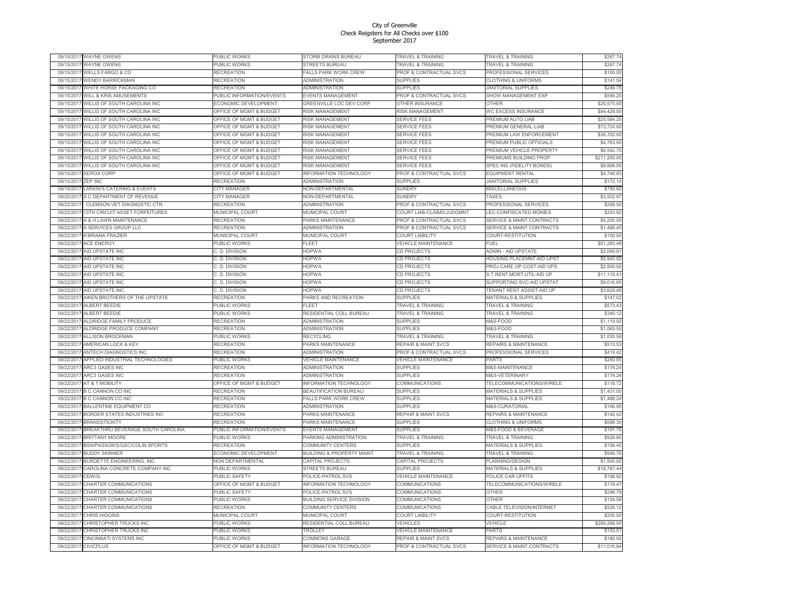| 09/15/201  | WAYNE OWENS                                            | PUBLIC WORKS                       | STORM DRAINS BUREAU                         | TRAVEL & TRAINING                    | FRAVEL & TRAINING                                    | \$267.74             |
|------------|--------------------------------------------------------|------------------------------------|---------------------------------------------|--------------------------------------|------------------------------------------------------|----------------------|
| 09/15/2017 | WAYNE OWENS                                            | PUBLIC WORKS                       | <b>STREETS BUREAU</b>                       | <b>TRAVEL &amp; TRAINING</b>         | TRAVEL & TRAINING                                    | \$267.74             |
| 09/15/201  | <b>WELLS FARGO &amp; CO</b>                            | RECREATION                         | FALLS PARK WORK CREW                        | PROF & CONTRACTUAL SVCS              | PROFESSIONAL SERVICES                                | \$100.00             |
| 09/15/2017 | <b>WENDY BARRICKMAN</b>                                | RECREATION                         | ADMINISTRATION                              | <b>SUPPLIES</b>                      | <b>CLOTHING &amp; UNIFORMS</b>                       | \$141.54             |
| 09/15/201  | WHITE HORSE PACKAGING CO                               | RECREATION                         | ADMINISTRATION                              | <b>SUPPLIES</b>                      | <b>JANITORIAL SUPPLIES</b>                           | \$246.75             |
| 09/15/201  | WILL & KRIS AMUSEMENTS                                 | PUBLIC INFORMATION/EVENTS          | EVENTS MANAGEMENT                           | PROF & CONTRACTUAL SVCS              | SHOW MANAGEMENT EXP                                  | \$599.20             |
| 09/15/201  | <b><i>NILLIS OF SOUTH CAROLINA INC</i></b>             | ECONOMIC DEVELOPMENT               | <b>GREENVILLE LOC DEV CORP</b>              | OTHER INSURANCE                      | OTHER                                                | \$20,575.00          |
| 09/15/201  | WILLIS OF SOUTH CAROLINA INC                           | OFFICE OF MGMT & BUDGET            | <b>RISK MANAGEMENT</b>                      | <b>RISK MANAGEMENT</b>               | WC EXCESS INSURANCE                                  | \$94,429.00          |
| 09/15/201  | WILLIS OF SOUTH CAROLINA INC                           | <b>OFFICE OF MGMT &amp; BUDGET</b> | <b>RISK MANAGEMENT</b>                      | <b>SERVICE FEES</b>                  | PREMIUM AUTO LIAB                                    | \$25,584.25          |
| 09/15/201  | WILLIS OF SOUTH CAROLINA INC                           | <b>OFFICE OF MGMT &amp; BUDGET</b> | <b>RISK MANAGEMENT</b>                      | <b>SERVICE FEES</b>                  | <b>PREMIUM GENERAL LIAB</b>                          | \$73,724.00          |
| 09/15/201  | WILLIS OF SOUTH CAROLINA INC                           | OFFICE OF MGMT & BUDGET            | <b>RISK MANAGEMENT</b>                      | <b>SERVICE FEES</b>                  | PREMIUM LAW ENFORCEMENT                              | \$36,702.00          |
| 09/15/201  | WILLIS OF SOUTH CAROLINA INC                           | <b>OFFICE OF MGMT &amp; BUDGET</b> | <b>RISK MANAGEMENT</b>                      | <b>SERVICE FEES</b>                  | PREMIUM PUBLIC OFFICIALS                             | \$4,763.00           |
| 09/15/2017 | WILLIS OF SOUTH CAROLINA INC                           | OFFICE OF MGMT & BUDGET            | <b>RISK MANAGEMENT</b>                      | <b>SERVICE FEES</b>                  | PREMIUM VEHICLE PROPERTY                             | \$6,542.75           |
|            |                                                        |                                    |                                             |                                      |                                                      |                      |
| 09/15/2017 | WILLIS OF SOUTH CAROLINA INC                           | OFFICE OF MGMT & BUDGET            | <b>RISK MANAGEMENT</b>                      | <b>SERVICE FEES</b>                  | PREMIUMS BUILDING PROP                               | \$211,250.00         |
| 09/15/201  | WILLIS OF SOUTH CAROLINA INC                           | <b>OFFICE OF MGMT &amp; BUDGET</b> | <b>RISK MANAGEMENT</b>                      | <b>SERVICE FEES</b>                  | SPEC INS (FIDELITY BONDS)                            | \$9,998.00           |
| 09/15/201  | <b>XEROX CORE</b>                                      | OFFICE OF MGMT & BUDGET            | NFORMATION TECHNOLOGY                       | PROF & CONTRACTUAL SVCS              | <b>EQUIPMENT RENTAL</b>                              | \$4,748.83           |
| 09/15/201  | ZEP INC                                                | RECREATION                         | ADMINISTRATION                              | <b>SUPPLIES</b>                      | <b>JANITORIAL SUPPLIES</b>                           | \$172.14             |
| 09/19/201  | LARKIN'S CATERING & EVENTS                             | CITY MANAGER                       | <b>VON-DEPARTMENTAL</b>                     | <b>SUNDRY</b>                        | MISCELLANEOUS                                        | \$780.60             |
| 09/20/2017 | S C DEPARTMENT OF REVENUE                              | CITY MANAGER                       | <b>NON-DEPARTMENTAL</b>                     | <b>SUNDRY</b>                        | <b>TAXES</b>                                         | \$3,502.97           |
| 09/22/201  | CLEMSON VET DIAGNOSTIC CTR.                            | RECREATION                         | ADMINISTRATION                              | PROF & CONTRACTUAL SVCS              | PROFESSIONAL SERVICES                                | \$268.50             |
| 09/22/201  | 13TH CIRCUIT ASSET FORFEITURES                         | <b>MUNICIPAL COURT</b>             | <b>MUNICIPAL COURT</b>                      | COURT LIAB-CLAIMS/JUDGMNT            | LEC-CONFISCATED MONIES                               | \$253.92             |
| 09/22/201  | A & H LAWN MAINTENANCE                                 | RECREATION                         | <b>PARKS MAINTENANCE</b>                    | PROF & CONTRACTUAL SVCS              | <b>SERVICE &amp; MAINT CONTRACTS</b>                 | \$4,200.00           |
| 09/22/201  | A SERVICES GROUP LLC                                   | <b>RECREATION</b>                  | ADMINISTRATION                              | PROF & CONTRACTUAL SVCS              | <b>SERVICE &amp; MAINT CONTRACTS</b>                 | \$1,488.45           |
| 09/22/201  | A'BRIANA FRAZIER                                       | <b>MUNICIPAL COURT</b>             | <b>MUNICIPAL COURT</b>                      | <b>COURT LIABILITY</b>               | COURT-RESTITUTION                                    | \$150.00             |
| 09/22/201  | <b>ACE ENERGY</b>                                      | PUBLIC WORKS                       | FLEET                                       | <b>VEHICLE MAINTENANCE</b>           | FUEL                                                 | \$51,285.49          |
| 09/22/2017 | AID UPSTATE INC                                        | C. D. DIVISION                     | HOPWA                                       | CD PROJECTS                          | ADMIN - AID UPSTATE                                  | \$2,099.81           |
| 09/22/2017 | AID UPSTATE INC                                        | C. D. DIVISION                     | <b>HOPWA</b>                                | <b>CD PROJECTS</b>                   | <b>HOUSING PLACEMNT-AID UPST</b>                     | \$5,945.00           |
| 09/22/2017 | AID UPSTATE INC                                        | C. D. DIVISION                     | <b>HOPWA</b>                                | CD PROJECTS                          | PROJ CARE OP COST-AID UPS                            | \$2,500.00           |
| 09/22/201  | AID UPSTATE INC                                        | C. D. DIVISION                     | HOPWA                                       | CD PROJECTS                          | S-T RENT, MORT, UTIL-AID UP                          | \$11,119.41          |
| 09/22/2017 | AID UPSTATE INC                                        | C. D. DIVISION                     | <b>HOPWA</b>                                | <b>CD PROJECTS</b>                   | SUPPORTING SVC-AID UPSTAT                            | \$9,016.85           |
| 09/22/201  | AID UPSTATE INC                                        | C. D. DIVISION                     | <b>HOPWA</b>                                | <b>CD PROJECTS</b>                   | TENANT RENT ASSIST-AID UP                            | \$3,629.48           |
|            |                                                        |                                    |                                             |                                      |                                                      |                      |
| 09/22/201  | AIKEN BROTHERS OF THE UPSTATE                          | RECREATION                         | PARKS AND RECREATION<br>EL E.E.             | <b>SUPPLIES</b>                      | MATERIALS & SUPPLIES                                 | \$147.02             |
| 09/22/201  | ALBERT BEEDIE                                          | PUBLIC WORKS                       |                                             | <b>TRAVEL &amp; TRAINING</b>         | <b>TRAVEL &amp; TRAINING</b>                         | \$573.43             |
| 09/22/201  | ALBERT BEEDIE                                          | PUBLIC WORKS                       | RESIDENTIAL COLL BUREAU                     | <b>TRAVEL &amp; TRAINING</b>         | <b>FRAVEL &amp; TRAINING</b>                         | \$340.12             |
| 09/22/201  | ALDRIDGE FAMILY PRODUCE                                | RECREATION                         | ADMINISTRATION                              | <b>SUPPLIES</b>                      | M&S-FOOD                                             | \$1,119.92           |
| 09/22/2017 | ALDRIDGE PRODUCE COMPANY                               | RECREATION                         | <b>ADMINISTRATION</b>                       | <b>SUPPLIES</b>                      | <b>M&amp;S-FOOD</b>                                  | \$1,065.50           |
| 09/22/201  | <b>ALLISON BROCKMAN</b>                                | PUBLIC WORKS                       | RECYCLING                                   | <b>TRAVEL &amp; TRAINING</b>         | <b>TRAVEL &amp; TRAINING</b>                         | \$1,035.58           |
| 09/22/201  | AMERICAN LOCK & KEY                                    | <b>RECREATION</b>                  | PARKS MAINTENANCE                           | <b>REPAIR &amp; MAINT SVCS</b>       | REPAIRS & MAINTENANCE                                | \$513.53             |
| 09/22/2017 | ANTECH DIAGNOSTICS INC                                 | RECREATION                         | ADMINISTRATION                              | PROF & CONTRACTUAL SVCS              | PROFESSIONAL SERVICES                                | \$419.42             |
| 09/22/2017 | APPLIED INDUSTRIAL TECHNOLOGIES                        | PUBLIC WORKS                       | /EHICLE MAINTENANCE                         | <b>VEHICLE MAINTENANCE</b>           | <b>PARTS</b>                                         | \$260.05             |
| 09/22/201  | <b>ARC3 GASES INC</b>                                  | RECREATION                         | ADMINISTRATION                              | <b>SUPPLIES</b>                      | <b>M&amp;S-MAINTENANCE</b>                           | \$174.24             |
| 09/22/2017 | ARC3 GASES INC                                         | RECREATION                         | <b>ADMINISTRATION</b>                       | <b>SUPPLIES</b>                      | M&S-VETERINARY                                       | \$174.24             |
| 09/22/201  | AT & T MOBILITY                                        | <b>OFFICE OF MGMT &amp; BUDGET</b> | NFORMATION TECHNOLOGY                       | COMMUNICATIONS                       | TELECOMMUNICATIONS/WIRELE                            | \$118.72             |
| 09/22/2017 | <b>B C CANNON CO INC</b>                               | RECREATION                         | <b>BEAUTIFICATION BUREAU</b>                | <b>SUPPLIES</b>                      | MATERIALS & SUPPLIES                                 | \$1,431.00           |
| 09/22/2017 | <b>B C CANNON CO INC</b>                               | <b>RECREATION</b>                  | <b>ALLS PARK WORK CREW</b>                  | <b>SUPPLIES</b>                      | MATERIALS & SUPPLIES                                 | \$1,488.24           |
| 09/22/201  | <b>BALLENTINE EQUIPMENT CO</b>                         | RECREATION                         | ADMINISTRATION                              | <b>SUPPLIES</b>                      | <b>M&amp;S-CURATORIAL</b>                            | \$166.95             |
| 09/22/201  | BORDER STATES INDUSTRIES INC                           | <b>RECREATION</b>                  | PARKS MAINTENANCE                           | <b>REPAIR &amp; MAINT SVCS</b>       | REPAIRS & MAINTENANCE                                | \$142.42             |
| 09/22/2017 | <b>BRANDSTICKITY</b>                                   | <b>RECREATION</b>                  | PARKS MAINTENANCE                           | <b>SUPPLIES</b>                      | <b>CLOTHING &amp; UNIFORMS</b>                       | \$588.30             |
| 09/22/2017 | BREAKTHRU BEVERAGE SOUTH CAROLINA                      | PUBLIC INFORMATION/EVENTS          | <b>EVENTS MANAGEMENT</b>                    | <b>SUPPLIES</b>                      | M&S-FOOD & BEVERAGE                                  | \$191.76             |
| 09/22/2017 |                                                        |                                    |                                             |                                      |                                                      |                      |
| 09/22/2017 | <b>BRITTANY MOORE</b><br>BSN/PASSON'S/GSC/COLIN SPORTS | PUBLIC WORKS<br>RECREATION         | PARKING ADMINISTRATION<br>COMMUNITY CENTERS | TRAVEL & TRAINING<br><b>SUPPLIES</b> | TRAVEL & TRAINING<br><b>MATERIALS &amp; SUPPLIES</b> | \$929.80<br>\$156.45 |
|            |                                                        |                                    |                                             |                                      |                                                      |                      |
| 09/22/201  | <b>BUDDY SKINNER</b>                                   | ECONOMIC DEVELOPMENT               | <b>BUILDING &amp; PROPERTY MAINT</b>        | <b>TRAVEL &amp; TRAINING</b>         | <b>TRAVEL &amp; TRAINING</b>                         | \$948.76             |
| 09/22/201  | BURDETTE ENGINEERING, INC.                             | <b>NON DEPARTMENTAL</b>            | <b>CAPITAL PROJECTS</b>                     | CAPITAL PROJECTS                     | PLANNING/DESIGN                                      | \$1,500.00           |
| 09/22/2017 | CAROLINA CONCRETE COMPANY INC                          | PUBLIC WORKS                       | <b>STREETS BUREAU</b>                       | <b>SUPPLIES</b>                      | <b>MATERIALS &amp; SUPPLIES</b>                      | \$18,787.44          |
| 09/22/201  | CDW/G                                                  | PUBLIC SAFETY                      | <b>POLICE-PATROL SVS</b>                    | VEHICLE MAINTENANCE                  | <b>POLICE CAR UPFITS</b>                             | \$196.92             |
| 09/22/201  | CHARTER COMMUNICATIONS                                 | OFFICE OF MGMT & BUDGET            | <b>INFORMATION TECHNOLOGY</b>               | <b>COMMUNICATIONS</b>                | TELECOMMUNICATIONS/WIRELE                            | \$119.47             |
| 09/22/201  | CHARTER COMMUNICATIONS                                 | PUBLIC SAFETY                      | POLICE-PATROL SVS                           | COMMUNICATIONS                       | OTHER                                                | \$299.79             |
| 09/22/201  | CHARTER COMMUNICATIONS                                 | PUBLIC WORKS                       | <b>BUILDING SERVICE DIVISION</b>            | COMMUNICATIONS                       | <b>OTHER</b>                                         | \$154.58             |
| 09/22/2017 | CHARTER COMMUNICATIONS                                 | RECREATION                         | COMMUNITY CENTERS                           | COMMUNICATIONS                       | CABLE TELEVISION/INTERNET                            | \$528.12             |
| 09/22/2017 | CHRIS HIGGINS                                          | MUNICIPAL COURT                    | MUNICIPAL COURT                             | <b>COURT LIABILITY</b>               | COURT-RESTITUTION                                    | \$200.00             |
| 09/22/201  | CHRISTOPHER TRUCKS INC                                 | PUBLIC WORKS                       | RESIDENTIAL COLL BUREAU                     | <b>VEHICLES</b>                      | /EHICLE                                              | \$289,288.00         |
| 09/22/201  | <b>CHRISTOPHER TRUCKS INC</b>                          | PUBLIC WORKS                       | TROLLEY                                     | <b>VEHICLE MAINTENANCE</b>           | <b>PARTS</b>                                         | \$153.51             |
| 09/22/2017 | CINCINNATI SYSTEMS INC                                 | PUBLIC WORKS                       | COMMONS GARAGE                              | <b>REPAIR &amp; MAINT SVCS</b>       | REPAIRS & MAINTENANCE                                | \$180.00             |
| 09/22/2017 | <b>CIVICPLUS</b>                                       | OFFICE OF MGMT & BUDGET            | <b>NFORMATION TECHNOLOGY</b>                | PROF & CONTRACTUAL SVCS              | <b>SERVICE &amp; MAINT CONTRACTS</b>                 | \$11,016.84          |
|            |                                                        |                                    |                                             |                                      |                                                      |                      |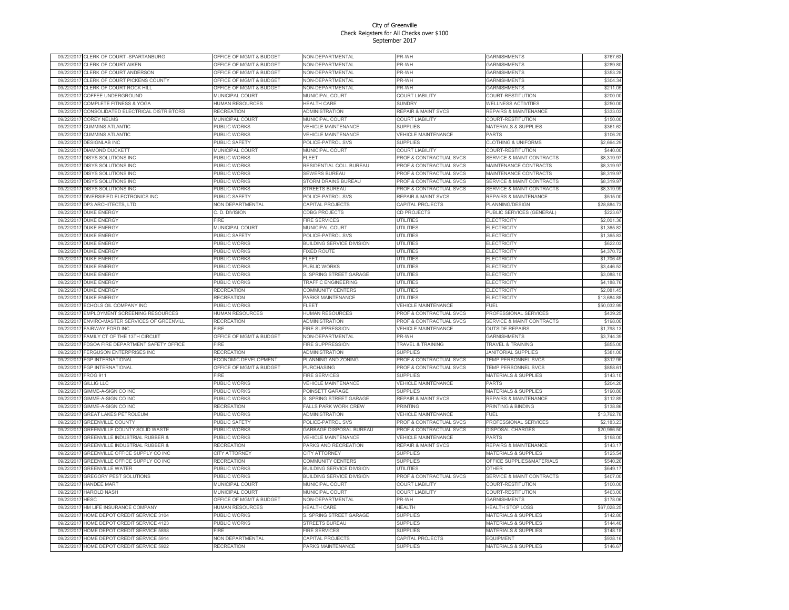|                          | CLERK OF COURT -SPARTANBURG                                      | OFFICE OF MGMT & BUDGE                | VON-DEPARTMENTAI                             | PR-Wŀ                               | GARNISHMENTS                             | \$767.63             |
|--------------------------|------------------------------------------------------------------|---------------------------------------|----------------------------------------------|-------------------------------------|------------------------------------------|----------------------|
| 09/22/2017               | CLERK OF COURT AIKEN                                             | OFFICE OF MGMT & BUDGET               | NON-DEPARTMENTAL                             | PR-WH                               | <b>GARNISHMENTS</b>                      | \$289.80             |
| 09/22/201                | CLERK OF COURT ANDERSON                                          | OFFICE OF MGMT & BUDGET               | NON-DEPARTMENTAL                             | PR-WH                               | GARNISHMENTS                             | \$353.28             |
| 09/22/2017               | CLERK OF COURT PICKENS COUNTY                                    | OFFICE OF MGMT & BUDGET               | <b>NON-DEPARTMENTAL</b>                      | PR-WH                               | <b>GARNISHMENTS</b>                      | \$304.34             |
| 09/22/2011               | CLERK OF COURT ROCK HILL                                         | OFFICE OF MGMT & BUDGET               | <b>NON-DEPARTMENTAL</b>                      | PR-WH                               | GARNISHMENTS                             | \$211.05             |
| 09/22/201                | COFFEE UNDERGROUND                                               | MUNICIPAL COURT                       | <b>MUNICIPAL COURT</b>                       | <b>COURT LIABILITY</b>              | COURT-RESTITUTION                        | \$200.00             |
| 09/22/201                | COMPLETE FITNESS & YOGA                                          | <b>HUMAN RESOURCES</b>                | <b>HEALTH CARE</b>                           | <b>SUNDRY</b>                       | <b>WELLNESS ACTIVITIES</b>               | \$250.00             |
| 09/22/2017               | CONSOLIDATED ELECTRICAL DISTRIBTORS                              | RECREATION                            | ADMINISTRATION                               | <b>REPAIR &amp; MAINT SVCS</b>      | REPAIRS & MAINTENANCE                    | \$333.03             |
| 09/22/2017               | <b>COREY NELMS</b>                                               | MUNICIPAL COURT                       | <b>MUNICIPAL COURT</b>                       | <b>COURT LIABILITY</b>              | COURT-RESTITUTION                        | \$150.00             |
| 09/22/2011               | <b>CUMMINS ATLANTIC</b>                                          | PUBLIC WORKS                          | <b>/EHICLE MAINTENANCE</b>                   | <b>SUPPLIES</b>                     | MATERIALS & SUPPLIES                     | \$361.62             |
| 09/22/201                | <b>CUMMINS ATLANTIC</b>                                          | PUBLIC WORKS                          | <b>VEHICLE MAINTENANCE</b>                   | VEHICLE MAINTENANCE                 | PARTS                                    | \$106.20             |
| 09/22/2017               | <b>DESIGNLAB INC</b>                                             | <b>PUBLIC SAFETY</b>                  | POLICE-PATROL SVS                            | <b>SUPPLIES</b>                     | <b>CLOTHING &amp; UNIFORMS</b>           | \$2,664.29           |
|                          |                                                                  |                                       |                                              |                                     |                                          |                      |
| 09/22/2017               | DIAMOND DUCKETT                                                  | MUNICIPAL COURT                       | MUNICIPAL COURT                              | <b>COURT LIABILITY</b>              | COURT-RESTITUTION                        | \$440.00             |
| 09/22/2017               | DISYS SOLUTIONS INC                                              | PUBLIC WORKS                          | <b>FLEET</b>                                 | PROF & CONTRACTUAL SVCS             | SERVICE & MAINT CONTRACTS                | \$8,319.97           |
| 09/22/2017               | DISYS SOLUTIONS INC                                              | <b>PUBLIC WORKS</b>                   | RESIDENTIAL COLL BUREAU                      | PROF & CONTRACTUAL SVCS             | MAINTENANCE CONTRACTS                    | \$8,319.97           |
| 09/22/201                | <b>DISYS SOLUTIONS INC</b>                                       | PUBLIC WORKS                          | <b>SEWERS BUREAU</b>                         | PROF & CONTRACTUAL SVCS             | <b>MAINTENANCE CONTRACTS</b>             | \$8,319.97           |
| 09/22/2011               | <b>DISYS SOLUTIONS INC</b>                                       | <b>PUBLIC WORKS</b>                   | <b>STORM DRAINS BUREAU</b>                   | PROF & CONTRACTUAL SVCS             | <b>SERVICE &amp; MAINT CONTRACTS</b>     | \$8,319.97           |
| 09/22/2017               | <b>DISYS SOLUTIONS INC</b>                                       | PUBLIC WORKS                          | <b>STREETS BUREAU</b>                        | PROF & CONTRACTUAL SVCS             | <b>SERVICE &amp; MAINT CONTRACTS</b>     | \$8,319.99           |
| 09/22/2011               | DIVERSIFIED ELECTRONICS INC                                      | <b>PUBLIC SAFETY</b>                  | <b>POLICE-PATROL SVS</b>                     | REPAIR & MAINT SVCS                 | REPAIRS & MAINTENANCE                    | \$515.00             |
| 09/22/2017               | DP3 ARCHITECTS, LTD                                              | NON DEPARTMENTAL                      | CAPITAL PROJECTS                             | CAPITAL PROJECTS                    | PLANNING/DESIGN                          | \$28,884.73          |
| 09/22/2017               | <b>DUKE ENERGY</b>                                               | C. D. DIVISION                        | <b>CDBG PROJECTS</b>                         | <b>CD PROJECTS</b>                  | PUBLIC SERVICES (GENERAL)                | \$223.67             |
| 09/22/201                | <b>DUKE ENERGY</b>                                               | <b>FIRE</b>                           | <b>IRE SERVICES</b>                          | <b>UTILITIES</b>                    | ELECTRICITY                              | \$2,001.36           |
| 09/22/2017               | <b>DUKE ENERGY</b>                                               | MUNICIPAL COURT                       | MUNICIPAL COURT                              | UTILITIES                           | ELECTRICITY                              | \$1,365.82           |
| 09/22/2013               | <b>DUKE ENERGY</b>                                               | <b>PUBLIC SAFETY</b>                  | POLICE-PATROL SVS                            | <b>UTILITIES</b>                    | ELECTRICITY                              | \$1,365.83           |
| 09/22/2017               | <b>DUKE ENERGY</b>                                               | PUBLIC WORKS                          | BUILDING SERVICE DIVISION                    | UTILITIES                           | ELECTRICITY                              | \$622.03             |
| 09/22/2017               | <b>DUKE ENERGY</b>                                               | PUBLIC WORKS                          | <b>FIXED ROUTE</b>                           | <b>UTILITIES</b>                    | ELECTRICITY                              | \$4,370.72           |
| 09/22/2017               | <b>DUKE ENERGY</b>                                               | <b>PUBLIC WORKS</b>                   | FLEET                                        | <b>UTILITIES</b>                    | <b>ELECTRICITY</b>                       | \$1,706.49           |
|                          | DUKE ENERGY                                                      | PUBLIC WORKS                          |                                              | <b>UTILITIES</b>                    |                                          | \$3,446.52           |
| 09/22/2017               |                                                                  |                                       | PUBLIC WORKS                                 |                                     | ELECTRICITY                              |                      |
| 09/22/2017               | <b>DUKE ENERGY</b>                                               | PUBLIC WORKS                          | S. SPRING STREET GARAGE                      | <b>UTILITIES</b>                    | <b>ELECTRICITY</b>                       | \$3,088.10           |
| 09/22/2013               | <b>DUKE ENERGY</b>                                               | PUBLIC WORKS                          | TRAFFIC ENGINEERING                          | <b>UTILITIES</b>                    | ELECTRICITY                              | \$4,188.76           |
| 09/22/2011               | <b>DUKE ENERGY</b>                                               | RECREATION                            | COMMUNITY CENTERS                            | UTILITIES                           | <b>ELECTRICITY</b>                       | \$2,081.45           |
| 09/22/2017               | <b>DUKE ENERGY</b>                                               | <b>RECREATION</b>                     | PARKS MAINTENANCE                            | <b>UTILITIES</b>                    | <b>ELECTRICITY</b>                       | \$13,684.88          |
|                          | ECHOLS OIL COMPANY INC                                           | PUBLIC WORKS                          | <b>FLEET</b>                                 |                                     |                                          |                      |
| 09/22/2017               |                                                                  |                                       |                                              | VEHICLE MAINTENANCE                 | FUEL                                     | \$50,032.99          |
| 09/22/2017               | EMPLOYMENT SCREENING RESOURCES                                   | <b>IUMAN RESOURCES</b>                | HUMAN RESOURCES                              | PROF & CONTRACTUAL SVCS             | <b>PROFESSIONAL SERVICES</b>             | \$439.25             |
| 09/22/2011               | ENVIRO-MASTER SERVICES OF GREENVILL                              | <b>RECREATION</b>                     | <b>ADMINISTRATION</b>                        | PROF & CONTRACTUAL SVCS             | <b>SERVICE &amp; MAINT CONTRACTS</b>     | \$198.00             |
| 09/22/2017               | <b>FAIRWAY FORD INC</b>                                          | FIRF                                  | FIRE SUPPRESSION                             | <b>VEHICLE MAINTENANCE</b>          | <b>OUTSIDE REPAIRS</b>                   | \$1,798.13           |
| 09/22/2017               | FAMILY CT OF THE 13TH CIRCUIT                                    | OFFICE OF MGMT & BUDGET               | <b>NON-DEPARTMENTAL</b>                      | PR-WH                               | <b>GARNISHMENTS</b>                      | \$3,744.39           |
| 09/22/2017               | FDSOA FIRE DEPARTMENT SAFETY OFFICE                              | FIRE                                  | FIRE SUPPRESSION                             | TRAVEL & TRAINING                   | TRAVEL & TRAINING                        | \$855.00             |
| 09/22/2017               | FERGUSON ENTERPRISES INC                                         | <b>RECREATION</b>                     | <b>ADMINISTRATION</b>                        | <b>SUPPLIES</b>                     | <b>JANITORIAL SUPPLIES</b>               | \$381.00             |
| 09/22/2017               | <b>GP INTERNATIONAL</b>                                          | ECONOMIC DEVELOPMENT                  | PLANNING AND ZONING                          | PROF & CONTRACTUAL SVCS             | <b>TEMP PERSONNEL SVCS</b>               | \$312.95             |
|                          |                                                                  |                                       |                                              |                                     |                                          |                      |
| 09/22/2017               | <b>FGP INTERNATIONAL</b>                                         | OFFICE OF MGMT & BUDGET<br>FIRE       | <b>PURCHASING</b>                            | PROF & CONTRACTUAL SVCS             | <b>TEMP PERSONNEL SVCS</b>               | \$858.61             |
| 09/22/201                | ROG <sub>911</sub>                                               |                                       | <b>FIRE SERVICES</b>                         | <b>SUPPLIES</b>                     | <b>MATERIALS &amp; SUPPLIES</b>          | \$143.10             |
| 09/22/2017               | <b>GILLIG LLC</b>                                                | PUBLIC WORKS                          | <b>VEHICLE MAINTENANCE</b>                   | <b>VEHICLE MAINTENANCE</b>          | PARTS                                    | \$204.20             |
| 09/22/2011               | GIMME-A-SIGN CO INC                                              | PUBLIC WORKS                          | POINSETT GARAGE                              | SUPPLIES                            | <b>MATERIALS &amp; SUPPLIES</b>          | \$190.80             |
| 09/22/2011               | GIMME-A-SIGN CO INC                                              | PUBLIC WORKS                          | S. SPRING STREET GARAGE                      | <b>REPAIR &amp; MAINT SVCS</b>      | <b>REPAIRS &amp; MAINTENANCE</b>         | \$112.89             |
| 09/22/2011               | GIMME-A-SIGN CO INC                                              | <b>RECREATION</b>                     | ALLS PARK WORK CREW                          | <b>PRINTING</b>                     | <b>PRINTING &amp; BINDING</b>            | \$138.86             |
| 09/22/201                | <b>GREAT LAKES PETROLEUM</b>                                     | <b>PUBLIC WORKS</b>                   | <b>ADMINISTRATION</b>                        | <b>VEHICLE MAINTENANCE</b>          | FUEL                                     | \$13,762.78          |
| 09/22/2017               | <b>GREENVILLE COUNTY</b>                                         | PUBLIC SAFETY                         | POLICE-PATROL SVS                            | PROF & CONTRACTUAL SVCS             | PROFESSIONAL SERVICES                    | \$2,183.23           |
| 09/22/2011               | GREENVILLE COUNTY SOLID WASTE                                    | PUBLIC WORKS                          | GARBAGE DISPOSAL BUREAU                      | PROF & CONTRACTUAL SVCS             | <b>DISPOSAL CHARGES</b>                  | \$20,966.50          |
| 09/22/2011               | GREENVILLE INDUSTRIAL RUBBER &                                   | PUBLIC WORKS                          | <b>VEHICLE MAINTENANCE</b>                   | VEHICLE MAINTENANCE                 | PARTS                                    | \$198.00             |
| 09/22/201                | GREENVILLE INDUSTRIAL RUBBER &                                   | <b>RECREATION</b>                     | PARKS AND RECREATION                         | <b>REPAIR &amp; MAINT SVCS</b>      | <b>REPAIRS &amp; MAINTENANCE</b>         | \$143.17             |
| 09/22/2011               | <b>GREENVILLE OFFICE SUPPLY CO INC</b>                           | <b>CITY ATTORNEY</b>                  | <b>CITY ATTORNEY</b>                         | <b>SUPPLIES</b>                     | <b>MATERIALS &amp; SUPPLIES</b>          | \$125.54             |
| 09/22/2011               | GREENVILLE OFFICE SUPPLY CO INC                                  | <b>RECREATION</b>                     | COMMUNITY CENTERS                            | <b>SUPPLIES</b>                     | OFFICE SUPPLIES&MATERIALS                | \$540.26             |
| 09/22/2011               | <b>GREENVILLE WATER</b>                                          | PUBLIC WORKS                          | <b>BUILDING SERVICE DIVISION</b>             | <b>UTILITIES</b>                    | <b>OTHER</b>                             | \$649.17             |
| 09/22/2011               | GREGORY PEST SOLUTIONS                                           | PUBLIC WORKS                          | <b>BUILDING SERVICE DIVISION</b>             | PROF & CONTRACTUAL SVCS             | <b>SERVICE &amp; MAINT CONTRACTS</b>     | \$407.00             |
| 09/22/201                | HANDEE MART                                                      | MUNICIPAL COURT                       | MUNICIPAL COUR <sup>-</sup>                  | <b>COURT LIABILITY</b>              | COURT-RESTITUTION                        | \$100.00             |
| 09/22/201                | <b>HAROLD NASH</b>                                               | MUNICIPAL COURT                       | MUNICIPAL COUR <sup>-</sup>                  |                                     |                                          |                      |
|                          | <b>HESC</b>                                                      |                                       |                                              | <b>COURT LIABILITY</b>              | COURT-RESTITUTION                        | \$463.00             |
| 09/22/2017               |                                                                  | OFFICE OF MGMT & BUDGET               | <b>NON-DEPARTMENTAL</b>                      | PR-WH                               | <b>GARNISHMENTS</b>                      | \$178.06             |
| 09/22/2011               | HM LIFE INSURANCE COMPANY                                        | HUMAN RESOURCES                       | <b>HEALTH CARE</b>                           | <b>HEALTH</b>                       | HEALTH STOP LOSS                         | \$67,028.25          |
| 09/22/2017               | HOME DEPOT CREDIT SERVICE 3104                                   | PUBLIC WORKS                          | S. SPRING STREET GARAGE                      | <b>SUPPLIES</b>                     | <b>MATERIALS &amp; SUPPLIES</b>          | \$142.80             |
| 09/22/201                | HOME DEPOT CREDIT SERVICE 4123                                   | <b>PUBLIC WORKS</b>                   | <b>STREETS BUREAU</b>                        | <b>SUPPLIES</b>                     | <b>MATERIALS &amp; SUPPLIES</b>          | \$144.40             |
| 09/22/201                | HOME DEPOT CREDIT SERVICE 5898                                   | -<br>IRF                              | <b>FIRE SERVICES</b>                         | <b>SUPPLIES</b>                     | <b>MATERIALS &amp; SUPPLIES</b>          | \$148.18             |
| 09/22/2017<br>09/22/2017 | HOME DEPOT CREDIT SERVICE 5914<br>HOME DEPOT CREDIT SERVICE 5922 | NON DEPARTMENTAL<br><b>RECREATION</b> | CAPITAL PROJECTS<br><b>PARKS MAINTENANCE</b> | CAPITAL PROJECTS<br><b>SUPPLIES</b> | <b>FOUIPMENT</b><br>MATERIALS & SUPPLIES | \$938.16<br>\$146.67 |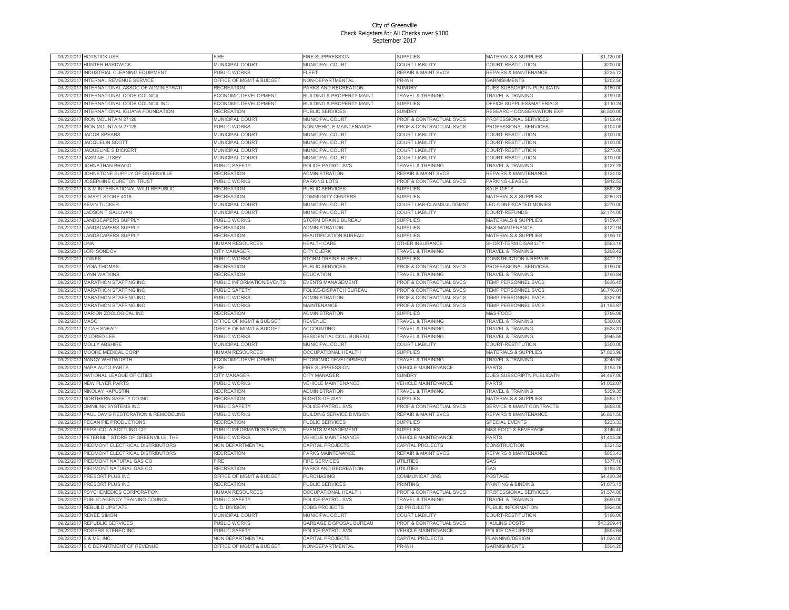| 09/22/201  | <b>HOTSTICK USA</b>                  | <b>IRF</b>                         | <b>FIRE SUPPRESSION</b>                 | <b>SUPPLIES</b>                | <b>MATERIALS &amp; SUPPLIES</b>      | \$1,120.00  |
|------------|--------------------------------------|------------------------------------|-----------------------------------------|--------------------------------|--------------------------------------|-------------|
| 09/22/201  | HUNTER HARDWICK                      | MUNICIPAL COURT                    | MUNICIPAL COURT                         | <b>COURT LIABILITY</b>         | COURT-RESTITUTION                    | \$200.00    |
| 09/22/201  | <b>INDUSTRIAL CLEANING EQUIPMENT</b> | PUBLIC WORKS                       | FI FFT                                  | <b>REPAIR &amp; MAINT SVCS</b> | <b>REPAIRS &amp; MAINTENANCE</b>     | \$225.72    |
| 09/22/201  | NTERNAL REVENUE SERVICE              | OFFICE OF MGMT & BUDGET            | <b>NON-DEPARTMENTAL</b>                 | PR-WH                          | <b>GARNISHMENTS</b>                  | \$202.50    |
| 09/22/201  | INTERNATIONAL ASSOC OF ADMINISTRATI  | <b>RECREATION</b>                  | PARKS AND RECREATION                    | <b>SUNDRY</b>                  | DUES, SUBSCRIPTN, PUBLICATN          | \$150.00    |
| 09/22/201  | INTERNATIONAL CODE COUNCIL           | ECONOMIC DEVELOPMENT               | <b>BUILDING &amp; PROPERTY MAINT</b>    | <b>TRAVEL &amp; TRAINING</b>   | <b>TRAVEL &amp; TRAINING</b>         | \$199.00    |
| 09/22/2011 | INTERNATIONAL CODE COUNCIL INC       | ECONOMIC DEVELOPMENT               | <b>BUILDING &amp; PROPERTY MAINT</b>    | <b>SUPPLIES</b>                | OFFICE SUPPLIES&MATERIALS            | \$110.24    |
| 09/22/2011 | INTERNATIONAL IGUANA FOUNDATION      | <b>RECREATION</b>                  | <b>PUBLIC SERVICES</b>                  | SUNDRY                         | RESEARCH CONSERVATION EXP            | \$6,500.00  |
| 09/22/201  | <b>IRON MOUNTAIN 27128</b>           | MUNICIPAL COURT                    | MUNICIPAL COURT                         | PROF & CONTRACTUAL SVCS        | PROFESSIONAL SERVICES                | \$102.46    |
| 09/22/201  | RON MOUNTAIN 27128                   | PUBLIC WORKS                       | <b>NON VEHICLE MAINTENANCE</b>          | PROF & CONTRACTUAL SVCS        | PROFESSIONAL SERVICES                | \$104.08    |
| 09/22/201  | <b>JACOB SPEARS</b>                  | MUNICIPAL COURT                    | MUNICIPAL COURT                         | <b>COURT LIABILITY</b>         | COURT-RESTITUTION                    | \$100.00    |
| 09/22/201  | <b>JACQUELIN SCOTT</b>               | MUNICIPAL COURT                    | <b>MUNICIPAL COURT</b>                  | <b>COURT LIABILITY</b>         | COURT-RESTITUTION                    | \$100.00    |
| 09/22/2011 | JAQUELINE S DICKERT                  | MUNICIPAL COURT                    | <b>MUNICIPAL COURT</b>                  | COURT LIABILITY                | COURT-RESTITUTION                    | \$275.00    |
| 09/22/2017 | <b>JASMINE UTSEY</b>                 | MUNICIPAL COURT                    | MUNICIPAL COURT                         | <b>COURT LIABILITY</b>         | COURT-RESTITUTION                    | \$100.00    |
| 09/22/2013 | JOHNATHAN BRAGG                      | PUBLIC SAFETY                      | POLICE-PATROL SVS                       | TRAVEL & TRAINING              | TRAVEL & TRAINING                    | \$127.28    |
| 09/22/201  | JOHNSTONE SUPPLY OF GREENVILLE       | RECREATION                         | ADMINISTRATION                          | <b>REPAIR &amp; MAINT SVCS</b> | <b>REPAIRS &amp; MAINTENANCE</b>     | \$124.02    |
| 09/22/2011 | JOSEPHINE CURETON TRUST              | PUBLIC WORKS                       | PARKING LOTS                            | PROF & CONTRACTUAL SVCS        | PARKING-LEASES                       | \$912.53    |
| 09/22/201  | K & M INTERNATIONAL WILD REPUBLIC    | <b>RECREATION</b>                  | PUBLIC SERVICES                         | <b>SUPPLIES</b>                | <b>SALE GIFTS</b>                    | \$692.36    |
|            |                                      |                                    |                                         |                                |                                      |             |
| 09/22/2011 | K-MART STORE 4016                    | RECREATION                         | COMMUNITY CENTERS                       | <b>SUPPLIES</b>                | MATERIALS & SUPPLIES                 | \$260.31    |
| 09/22/2011 | <b>KEVIN TUCKER</b>                  | MUNICIPAL COURT                    | MUNICIPAL COURT                         | COURT LIAB-CLAIMS/JUDGMNT      | LEC-CONFISCATED MONIES               | \$270.00    |
| 09/22/201  | <b>LADSON T GALLIVAN</b>             | MUNICIPAL COURT                    | <b>MUNICIPAL COURT</b>                  | <b>COURT LIABILITY</b>         | COURT-REFUNDS                        | \$2,174.00  |
| 09/22/201  | <b>LANDSCAPERS SUPPLY</b>            | PUBLIC WORKS                       | <b>STORM DRAINS BUREAU</b>              | <b>SUPPLIES</b>                | <b>MATERIALS &amp; SUPPLIES</b>      | \$159.47    |
| 09/22/201  | LANDSCAPERS SUPPLY                   | <b>RECREATION</b>                  | <b>ADMINISTRATION</b>                   | <b>SUPPLIES</b>                | M&S-MAINTENANCE                      | \$122.94    |
| 09/22/201  | LANDSCAPERS SUPPLY                   | <b>RECREATION</b>                  | BEAUTIFICATION BUREAU                   | <b>SUPPLIES</b>                | MATERIALS & SUPPLIES                 | \$196.10    |
| 09/22/201  | <b>INA</b>                           | HUMAN RESOURCES                    | <b>HEALTH CARE</b>                      | OTHER INSURANCE                | <b>SHORT-TERM DISABILITY</b>         | \$563.16    |
| 09/22/201  | LORI SONDOV                          | CITY MANAGER                       | CITY CLERK                              | TRAVEL & TRAINING              | <b>TRAVEL &amp; TRAINING</b>         | \$208.42    |
| 09/22/201  | LOWES                                | <b>PUBLIC WORKS</b>                | STORM DRAINS BUREAU                     | <b>SUPPLIES</b>                | <b>CONSTRUCTION &amp; REPAIR</b>     | \$472.12    |
| 09/22/201  | YDIA THOMAS                          | RECREATION                         | PUBLIC SERVICES                         | PROF & CONTRACTUAL SVCS        | <b>PROFESSIONAL SERVICES</b>         | \$150.00    |
| 09/22/201  | YNN WATKINS                          | RECREATION                         | <b>EDUCATION</b>                        | TRAVEL & TRAINING              | <b>TRAVEL &amp; TRAINING</b>         | \$790.84    |
| 09/22/201  | <b>MARATHON STAFFING INC</b>         | PUBLIC INFORMATION/EVENTS          | <b>EVENTS MANAGEMENT</b>                | PROF & CONTRACTUAL SVCS        | TEMP PERSONNEL SVCS                  | \$636.45    |
| 09/22/201  | <b>MARATHON STAFFING INC</b>         | PUBLIC SAFETY                      | POLICE-DISPATCH BUREAU                  | PROF & CONTRACTUAL SVCS        | <b>TEMP PERSONNEL SVCS</b>           | \$6,716.81  |
| 09/22/201  | <b>MARATHON STAFFING INC</b>         | PUBLIC WORKS                       | ADMINISTRATION                          | PROF & CONTRACTUAL SVCS        | TEMP PERSONNEL SVCS                  | \$327.90    |
| 09/22/201  | <b>MARATHON STAFFING INC</b>         | PUBLIC WORKS                       | <b>MAINTENANCE</b>                      | PROF & CONTRACTUAL SVCS        | TEMP PERSONNEL SVCS                  | \$1,155.87  |
| 09/22/201  | MARION ZOOLOGICAL INC                | RECREATION                         | <b>ADMINISTRATION</b>                   | <b>SUPPLIES</b>                | <b>M&amp;S-FOOD</b>                  | \$786.06    |
| 09/22/201  | MASC                                 | OFFICE OF MGMT & BUDGET            | REVENUE                                 | TRAVEL & TRAINING              | <b>TRAVEL &amp; TRAINING</b>         | \$300.00    |
| 09/22/201  | MICAH SNEAD                          | OFFICE OF MGMT & BUDGET            | <b>ACCOUNTING</b>                       | TRAVEL & TRAINING              | TRAVEL & TRAINING                    | \$523.31    |
| 09/22/201  | MILDRED LEE                          | PUBLIC WORKS                       | RESIDENTIAL COLL BUREAU                 | TRAVEL & TRAINING              | <b>FRAVEL &amp; TRAINING</b>         | \$945.58    |
| 09/22/201  | MOLLY ABSHIRE                        | MUNICIPAL COURT                    | MUNICIPAL COURT                         | <b>COURT LIABILITY</b>         | COURT-RESTITUTION                    | \$300.00    |
| 09/22/201  | MOORE MEDICAL CORP                   | HUMAN RESOURCES                    | OCCUPATIONAL HEALTH                     | <b>SUPPLIES</b>                | <b>MATERIALS &amp; SUPPLIES</b>      | \$7,023.98  |
| 09/22/201  | NANCY WHITWORTH                      | ECONOMIC DEVELOPMENT               | ECONOMIC DEVELOPMENT                    | TRAVEL & TRAINING              | <b>TRAVEL &amp; TRAINING</b>         | \$245.50    |
| 09/22/201  | <b>VAPA AUTO PARTS</b>               | <b>IRF</b>                         |                                         | <b>VEHICLE MAINTENANCE</b>     | <b>PARTS</b>                         | \$193.76    |
| 09/22/201  | NATIONAL LEAGUE OF CITIES            | CITY MANAGER                       | FIRE SUPPRESSION<br><b>CITY MANAGER</b> | <b>SUNDRY</b>                  | DUES, SUBSCRIPTN, PUBLICATN          | \$4,467.00  |
|            |                                      |                                    |                                         |                                |                                      |             |
| 09/22/201  | <b>VEW FLYER PARTS</b>               | PUBLIC WORKS                       | <b>VEHICLE MAINTENANCE</b>              | VEHICLE MAINTENANCE            | PARTS                                | \$1,002.87  |
| 09/22/201  | NIKOLAY KAPUSTIN                     | RECREATION                         | ADMINISTRATION                          | TRAVEL & TRAINING              | TRAVEL & TRAINING                    | \$359.35    |
| 09/22/201  | NORTHERN SAFETY CO INC               | RECREATION                         | RIGHTS-OF-WAY                           | <b>SUPPLIES</b>                | MATERIALS & SUPPLIES                 | \$553.17    |
| 09/22/201  | OMNILINK SYSTEMS INC                 | PUBLIC SAFET                       | POLICE-PATROL SVS                       | PROF & CONTRACTUAL SVCS        | <b>SERVICE &amp; MAINT CONTRACTS</b> | \$858.00    |
| 09/22/201  | PAUL DAVIS RESTORATION & REMODELING  | PUBLIC WORKS                       | <b>BUILDING SERVICE DIVISION</b>        | <b>REPAIR &amp; MAINT SVCS</b> | <b>REPAIRS &amp; MAINTENANCE</b>     | \$6,801.50  |
| 09/22/201  | PECAN PIE PRODUCTIONS                | RECREATION                         | PUBLIC SERVICES                         | <b>SUPPLIES</b>                | <b>SPECIAL EVENTS</b>                | \$233.33    |
| 09/22/201  | PEPSI-COLA BOTTLING CO               | PUBLIC INFORMATION/EVENTS          | EVENTS MANAGEMENT                       | <b>SUPPLIES</b>                | M&S-FOOD & BEVERAGE                  | \$146.40    |
| 09/22/201  | PETERBILT STORE OF GREENVILLE, THE   | PUBLIC WORKS                       | <b>VEHICLE MAINTENANCE</b>              | VEHICLE MAINTENANCE            | PARTS                                | \$1,405.36  |
| 09/22/201  | PIEDMONT ELECTRICAL DISTRIBUTORS     | <b>NON DEPARTMENTAL</b>            | CAPITAL PROJECTS                        | CAPITAL PROJECTS               | CONSTRUCTION                         | \$321.52    |
| 09/22/201  | PIEDMONT ELECTRICAL DISTRIBUTORS     | <b>RECREATION</b>                  | PARKS MAINTENANCE                       | <b>REPAIR &amp; MAINT SVCS</b> | <b>REPAIRS &amp; MAINTENANCE</b>     | \$853.43    |
| 09/22/201  | PIEDMONT NATURAL GAS CO              | <b>IRE</b>                         | <b>FIRE SERVICES</b>                    | <b>UTILITIES</b>               | GAS                                  | \$377.18    |
| 09/22/201  | PIEDMONT NATURAL GAS CO              | RECREATION                         | PARKS AND RECREATION                    | <b>UTILITIES</b>               | GAS                                  | \$188.20    |
| 09/22/201  | <b>PRESORT PLUS INC</b>              | <b>OFFICE OF MGMT &amp; BUDGET</b> | PURCHASING                              | COMMUNICATIONS                 | <b>POSTAGE</b>                       | \$4,400.34  |
| 09/22/201  | PRESORT PLUS INC                     | RECREATION                         | PUBLIC SERVICES                         | <b>PRINTING</b>                | PRINTING & BINDING                   | \$1,073.15  |
| 09/22/201  | PSYCHEMEDICS CORPORATION             | HUMAN RESOURCES                    | OCCUPATIONAL HEALTH                     | PROF & CONTRACTUAL SVCS        | PROFESSIONAL SERVICES                | \$1,574.00  |
| 09/22/2011 | PUBLIC AGENCY TRAINING COUNCIL       | PUBLIC SAFETY                      | POLICE-PATROL SVS                       | TRAVEL & TRAINING              | <b>FRAVEL &amp; TRAINING</b>         | \$650.00    |
| 09/22/201  | <b>REBUILD UPSTATE</b>               | C. D. DIVISION                     | <b>CDBG PROJECTS</b>                    | <b>CD PROJECTS</b>             | PUBLIC INFORMATION                   | \$924.00    |
| 09/22/201  | RENEE SIMON                          | MUNICIPAL COURT                    | <b>MUNICIPAL COURT</b>                  | <b>COURT LIABILITY</b>         | COURT-RESTITUTION                    | \$166.00    |
| 09/22/201  | REPUBLIC SERVICES                    | PUBLIC WORKS                       | <b>GARBAGE DISPOSAL BUREAU</b>          | PROF & CONTRACTUAL SVCS        | <b>HAULING COSTS</b>                 | \$43,269.41 |
| 09/22/201  | ROGERS STEREO INC                    | PUBLIC SAFETY                      | POLICE-PATROL SVS                       | <b>VEHICLE MAINTENANCE</b>     | POLICE CAR UPFITS                    | \$893.64    |
| 09/22/201  | S & ME, INC.                         | <b>NON DEPARTMENTAL</b>            | CAPITAL PROJECTS                        | CAPITAL PROJECTS               | PLANNING/DESIGN                      | \$1,024.00  |
| 09/22/2017 | S C DEPARTMENT OF REVENUE            | OFFICE OF MGMT & BUDGET            | NON-DEPARTMENTAL                        | PR-WH                          | <b>GARNISHMENTS</b>                  | \$504.25    |
|            |                                      |                                    |                                         |                                |                                      |             |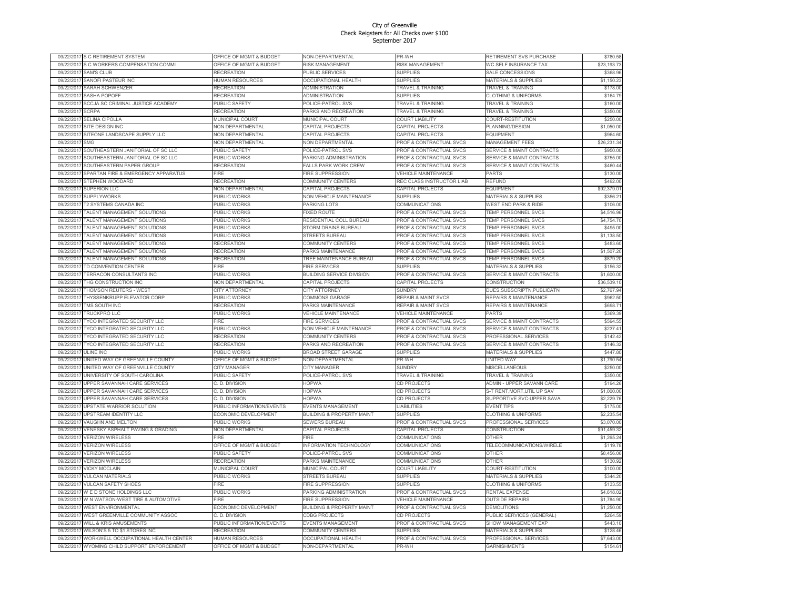| 09/22/2017 | S C RETIREMENT SYSTEM                    | <b>DFFICE OF MGMT &amp; BUDGET</b> | <b>VON-DEPARTMENTAL</b>              | <b>R-WH</b>                        | RETIREMENT SVS PURCHASE              | \$780.58    |
|------------|------------------------------------------|------------------------------------|--------------------------------------|------------------------------------|--------------------------------------|-------------|
| 09/22/2017 | S C WORKERS COMPENSATION COMMI           | OFFICE OF MGMT & BUDGET            | RISK MANAGEMENT                      | RISK MANAGEMENT                    | WC SELF INSURANCE TAX                | \$23,193.73 |
| 09/22/2017 | <b>SAM'S CLUB</b>                        | <b>RECREATION</b>                  | PUBLIC SERVICES                      | <b>SUPPLIES</b>                    | SALE CONCESSIONS                     | \$368.96    |
| 09/22/2017 | SANOFI PASTEUR INC                       | HUMAN RESOURCES                    | <b>OCCUPATIONAL HEALTH</b>           | <b>SUPPLIES</b>                    | MATERIALS & SUPPLIES                 | \$1,150.23  |
| 09/22/201  | SARAH SCHWENZER                          | RECREATION                         | ADMINISTRATION                       | TRAVEL & TRAINING                  | <b>TRAVEL &amp; TRAINING</b>         | \$178.00    |
| 09/22/201  | SASHA POPOFF                             | RECREATION                         | <b>ADMINISTRATION</b>                | <b>SUPPLIES</b>                    | <b>CLOTHING &amp; UNIFORMS</b>       | \$164.79    |
| 09/22/201  | SCCJA SC CRIMINAL JUSTICE ACADEMY        | PUBLIC SAFETY                      | <b>POLICE-PATROL SVS</b>             | TRAVEL & TRAINING                  | <b>FRAVEL &amp; TRAINING</b>         | \$160.00    |
| 09/22/201  | <b>SCRPA</b>                             | RECREATION                         | PARKS AND RECREATION                 | TRAVEL & TRAINING                  | TRAVEL & TRAINING                    | \$350.00    |
| 09/22/201  | <b>SELINA CIPOLLA</b>                    | <b>MUNICIPAL COURT</b>             | <b>MUNICIPAL COURT</b>               | <b>COURT LIABILITY</b>             | COURT-RESTITUTION                    | \$250.00    |
| 09/22/201  | SITE DESIGN INC                          | <b>NON DEPARTMENTAL</b>            | <b>CAPITAL PROJECTS</b>              |                                    | PLANNING/DESIGN                      |             |
|            |                                          |                                    |                                      | CAPITAL PROJECTS                   |                                      | \$1,050.00  |
| 09/22/201  | SITEONE LANDSCAPE SUPPLY LLC             | <b>NON DEPARTMENTAL</b>            | <b>CAPITAL PROJECTS</b>              | CAPITAL PROJECTS                   | <b>FOUIPMENT</b>                     | \$964.60    |
| 09/22/201  | SMG                                      | NON DEPARTMENTAL                   | NON DEPARTMENTAL                     | PROF & CONTRACTUAL SVCS            | <b>MANAGEMENT FEES</b>               | \$26,231.34 |
| 09/22/201  | SOUTHEASTERN JANITORIAL OF SC LLC        | PUBLIC SAFETY                      | <b>POLICE-PATROL SVS</b>             | PROF & CONTRACTUAL SVCS            | <b>SERVICE &amp; MAINT CONTRACTS</b> | \$950.00    |
| 09/22/2017 | SOUTHEASTERN JANITORIAL OF SC LLC        | PUBLIC WORKS                       | PARKING ADMINISTRATION               | PROF & CONTRACTUAL SVCS            | <b>SERVICE &amp; MAINT CONTRACTS</b> | \$755.00    |
| 09/22/201  | SOUTHEASTERN PAPER GROUP                 | <b>RECREATION</b>                  | FALLS PARK WORK CREW                 | PROF & CONTRACTUAL SVCS            | <b>SERVICE &amp; MAINT CONTRACTS</b> | \$460.44    |
| 09/22/201  | SPARTAN FIRE & EMERGENCY APPARATUS       | <b>IRE</b>                         | <b>FIRE SUPPRESSION</b>              | <b>VEHICLE MAINTENANCE</b>         | <b>PARTS</b>                         | \$130.00    |
| 09/22/201  | STEPHEN WOODARD                          | <b>RECREATION</b>                  | COMMUNITY CENTERS                    | REC CLASS INSTRUCTOR LIAB          | <b>REFUND</b>                        | \$492.00    |
| 09/22/2017 | <b>SUPERION LLC</b>                      | NON DEPARTMENTAL                   | CAPITAL PROJECTS                     | CAPITAL PROJECTS                   | <b>EQUIPMENT</b>                     | \$92,379.01 |
| 09/22/201  | <b>SUPPLYWORKS</b>                       | PUBLIC WORKS                       | <b>VON VEHICLE MAINTENANCE</b>       | <b>SUPPLIES</b>                    | <b>MATERIALS &amp; SUPPLIES</b>      | \$356.21    |
| 09/22/2017 | T2 SYSTEMS CANADA INC                    | PUBLIC WORKS                       | PARKING LOTS                         | COMMUNICATIONS                     | <b>WEST END PARK &amp; RIDE</b>      | \$106.00    |
| 09/22/2017 | TALENT MANAGEMENT SOLUTIONS              | PUBLIC WORKS                       | <b>EXED ROUTE</b>                    | PROF & CONTRACTUAL SVCS            | <b>TEMP PERSONNEL SVCS</b>           | \$4,516.96  |
| 09/22/201  | TALENT MANAGEMENT SOLUTIONS              | PUBLIC WORKS                       | RESIDENTIAL COLL BUREAU              | PROF & CONTRACTUAL SVCS            | <b>TEMP PERSONNEL SVCS</b>           | \$4,754.70  |
|            |                                          |                                    |                                      |                                    |                                      |             |
| 09/22/201  | TALENT MANAGEMENT SOLUTIONS              | PUBLIC WORKS                       | <b>STORM DRAINS BUREAU</b>           | PROF & CONTRACTUAL SVCS            | <b>TEMP PERSONNEL SVCS</b>           | \$495.00    |
| 09/22/2017 | TALENT MANAGEMENT SOLUTIONS              | PUBLIC WORKS                       | <b>STREETS BUREAU</b>                | PROF & CONTRACTUAL SVCS            | TEMP PERSONNEL SVCS                  | \$1,138.50  |
| 09/22/201  | TALENT MANAGEMENT SOLUTIONS              | RECREATION                         | COMMUNITY CENTERS                    | PROF & CONTRACTUAL SVCS            | <b>FEMP PERSONNEL SVCS</b>           | \$483.60    |
| 09/22/201  | TALENT MANAGEMENT SOLUTIONS              | RECREATION                         | PARKS MAINTENANCE                    | <b>PROF &amp; CONTRACTUAL SVCS</b> | <b>TEMP PERSONNEL SVCS</b>           | \$1,507.20  |
| 09/22/2017 | TALENT MANAGEMENT SOLUTIONS              | RECREATION                         | <b>TREE MAINTENANCE BUREAU</b>       | <b>PROF &amp; CONTRACTUAL SVCS</b> | <b>TEMP PERSONNEL SVCS</b>           | \$879.20    |
| 09/22/201  | TD CONVENTION CENTER                     | <b>FIRE</b>                        | <b>IRE SERVICES</b>                  | <b>SUPPLIES</b>                    | MATERIALS & SUPPLIES                 | \$156.32    |
| 09/22/201  | TERRACON CONSULTANTS INC                 | PUBLIC WORKS                       | BUILDING SERVICE DIVISION            | PROF & CONTRACTUAL SVCS            | <b>SERVICE &amp; MAINT CONTRACTS</b> | \$1,600.00  |
| 09/22/2017 | THG CONSTRUCTION INC                     | NON DEPARTMENTAL                   | CAPITAL PROJECTS                     | CAPITAL PROJECTS                   | CONSTRUCTION                         | \$36,539.10 |
| 09/22/201  | THOMSON REUTERS - WEST                   | <b>CITY ATTORNEY</b>               | CITY ATTORNEY                        | SUNDR'                             | DUES, SUBSCRIPTN, PUBLICATN          | \$2,767.94  |
| 09/22/2017 | THYSSENKRUPP ELEVATOR CORP               | PUBLIC WORKS                       | COMMONS GARAGE                       | REPAIR & MAINT SVCS                | REPAIRS & MAINTENANCE                | \$962.50    |
| 09/22/2017 | TMS SOUTH INC                            | <b>RECREATION</b>                  | PARKS MAINTENANCE                    | <b>REPAIR &amp; MAINT SVCS</b>     | <b>REPAIRS &amp; MAINTENANCE</b>     | \$698.71    |
| 09/22/201  | TRUCKPRO LLC                             | PUBLIC WORKS                       | <b>/EHICLE MAINTENANCE</b>           | <b>VEHICLE MAINTENANCE</b>         | <b>PARTS</b>                         | \$369.39    |
| 09/22/2017 | TYCO INTEGRATED SECURITY LLC             | FIRE                               | <b>FIRE SERVICES</b>                 | PROF & CONTRACTUAL SVCS            | <b>SERVICE &amp; MAINT CONTRACTS</b> | \$594.55    |
| 09/22/201  | TYCO INTEGRATED SECURITY LLC             | PUBLIC WORKS                       | <b>NON VEHICLE MAINTENANCE</b>       | PROF & CONTRACTUAL SVCS            | <b>SERVICE &amp; MAINT CONTRACTS</b> | \$237.41    |
|            |                                          |                                    |                                      |                                    |                                      |             |
| 09/22/201  | TYCO INTEGRATED SECURITY LLC             | RECREATION                         | COMMUNITY CENTERS                    | PROF & CONTRACTUAL SVCS            | <b>PROFESSIONAL SERVICES</b>         | \$142.42    |
| 09/22/2017 | TYCO INTEGRATED SECURITY LLC             | RECREATION                         | PARKS AND RECREATION                 | PROF & CONTRACTUAL SVCS            | <b>SERVICE &amp; MAINT CONTRACTS</b> | \$146.32    |
| 09/22/201  | <b>ULINE INC</b>                         | PUBLIC WORKS                       | <b>BROAD STREET GARAGE</b>           | <b>SUPPLIES</b>                    | MATERIALS & SUPPLIES                 | \$447.80    |
| 09/22/201  | UNITED WAY OF GREENVILLE COUNTY          | <b>OFFICE OF MGMT &amp; BUDGET</b> | <b>VON-DEPARTMENTAL</b>              | PR-WH                              | <b>JNITED WAY</b>                    | \$1,790.54  |
| 09/22/201  | UNITED WAY OF GREENVILLE COUNTY          | <b>CITY MANAGER</b>                | <b>CITY MANAGER</b>                  | SUNDRY                             | MISCELLANEOUS                        | \$250.00    |
| 09/22/201  | UNIVERSITY OF SOUTH CAROLINA             | PUBLIC SAFETY                      | POLICE-PATROL SVS                    | <b>TRAVEL &amp; TRAINING</b>       | <b>TRAVEL &amp; TRAINING</b>         | \$350.00    |
| 09/22/201  | UPPER SAVANNAH CARE SERVICES             | C. D. DIVISION                     | <b>OPWA</b>                          | CD PROJECTS                        | ADMIN - UPPER SAVANN CARE            | \$194.26    |
| 09/22/2017 | UPPER SAVANNAH CARE SERVICES             | C. D. DIVISION                     | <b>HOPWA</b>                         | CD PROJECTS                        | S-T RENT,MORT,UTIL UP SAV            | \$1,000.00  |
| 09/22/2017 | UPPER SAVANNAH CARE SERVICES             | C. D. DIVISION                     | <b>HOPWA</b>                         | CD PROJECTS                        | SUPPORTIVE SVC-UPPER SAVA            | \$2,229.76  |
| 09/22/201  | UPSTATE WARRIOR SOLUTION                 | PUBLIC INFORMATION/EVENTS          | <b>EVENTS MANAGEMENT</b>             | <b>LIABILITIES</b>                 | <b>EVENT TIPS</b>                    | \$175.00    |
| 09/22/201  | UPSTREAM IDENTITY LLC                    | ECONOMIC DEVELOPMENT               | <b>BUILDING &amp; PROPERTY MAINT</b> | <b>SUPPLIES</b>                    | <b>CLOTHING &amp; UNIFORMS</b>       | \$2,235.54  |
| 09/22/201  | VAUGHN AND MELTON                        | PUBLIC WORKS                       | <b>SEWERS BUREAU</b>                 | PROF & CONTRACTUAL SVCS            | PROFESSIONAL SERVICES                | \$3,070.00  |
| 09/22/201  | VENESKY ASPHALT PAVING & GRADING         | <b>NON DEPARTMENTAL</b>            | CAPITAL PROJECTS                     | CAPITAL PROJECTS                   | CONSTRUCTION                         | \$91,459.32 |
| 09/22/2017 | <b>VERIZON WIRELESS</b>                  | FIRE                               | FIRE                                 | COMMUNICATIONS                     | OTHER                                | \$1,265.24  |
| 09/22/201  | <b>VERIZON WIRELESS</b>                  | OFFICE OF MGMT & BUDGET            | <b>NFORMATION TECHNOLOGY</b>         | COMMUNICATIONS                     | TELECOMMUNICATIONS/WIRELE            | \$119.78    |
| 09/22/201  | <b>VERIZON WIRELESS</b>                  | PUBLIC SAFETY                      | POLICE-PATROL SVS                    | COMMUNICATIONS                     | <b>OTHER</b>                         | \$8,456.06  |
|            |                                          |                                    |                                      |                                    |                                      |             |
| 09/22/2017 | <b>VERIZON WIRELESS</b>                  | RECREATION                         | PARKS MAINTENANCE                    | COMMUNICATIONS                     | OTHER                                | \$130.92    |
| 09/22/2017 | VICKY MCCLAIN                            | MUNICIPAL COURT                    | MUNICIPAL COURT                      | <b>COURT LIABILITY</b>             | COURT-RESTITUTION                    | \$100.00    |
| 09/22/2017 | <b>VULCAN MATERIALS</b>                  | PUBLIC WORKS                       | <b>STREETS BUREAU</b>                | <b>SUPPLIES</b>                    | <b>MATERIALS &amp; SUPPLIES</b>      | \$344.20    |
| 09/22/201  | <b>VULCAN SAFETY SHOES</b>               | <b>FIRF</b>                        | <b>FIRE SUPPRESSION</b>              | <b>SUPPLIES</b>                    | <b>CLOTHING &amp; UNIFORMS</b>       | \$133.55    |
| 09/22/2017 | W E D STONE HOLDINGS LLC                 | PUBLIC WORKS                       | PARKING ADMINISTRATION               | <b>PROF &amp; CONTRACTUAL SVCS</b> | RENTAL EXPENSE                       | \$4,618.02  |
| 09/22/201  | W N WATSON-WEST TIRE & AUTOMOTIVE        | <b>FIRE</b>                        | <b>IRE SUPPRESSION</b>               | <b>VEHICLE MAINTENANCE</b>         | <b>OUTSIDE REPAIRS</b>               | \$1,784.90  |
| 09/22/2017 | WEST ENVIRONMENTAL                       | ECONOMIC DEVELOPMENT               | <b>BUILDING &amp; PROPERTY MAINT</b> | PROF & CONTRACTUAL SVCS            | <b>DEMOLITIONS</b>                   | \$1,250.00  |
| 09/22/2017 | WEST GREENVILLE COMMUNITY ASSOC          | C. D. DIVISION                     | <b>CDBG PROJECTS</b>                 | CD PROJECTS                        | PUBLIC SERVICES (GENERAL)            | \$264.59    |
| 09/22/201  | <b><i>NILL &amp; KRIS AMUSEMENTS</i></b> | PUBLIC INFORMATION/EVENTS          | <b>EVENTS MANAGEMENT</b>             | PROF & CONTRACTUAL SVCS            | SHOW MANAGEMENT EXF                  | \$443.10    |
| 09/22/201  | WILSON'S 5 TO \$1 STORES INC             | RECREATION                         | <b>COMMUNITY CENTERS</b>             | <b>SUPPLIES</b>                    | <b>MATERIALS &amp; SUPPLIES</b>      | \$128.46    |
| 09/22/2017 | WORKWELL OCCUPATIONAL HEALTH CENTER      | <b>HUMAN RESOURCES</b>             | <b>OCCUPATIONAL HEALTH</b>           | PROF & CONTRACTUAL SVCS            | PROFESSIONAL SERVICES                | \$7,643.00  |
| 09/22/2017 | WYOMING CHILD SUPPORT ENFORCEMENT        | OFFICE OF MGMT & BUDGET            | NON-DEPARTMENTAL                     | PR-WH                              | <b>GARNISHMENTS</b>                  | \$154.61    |
|            |                                          |                                    |                                      |                                    |                                      |             |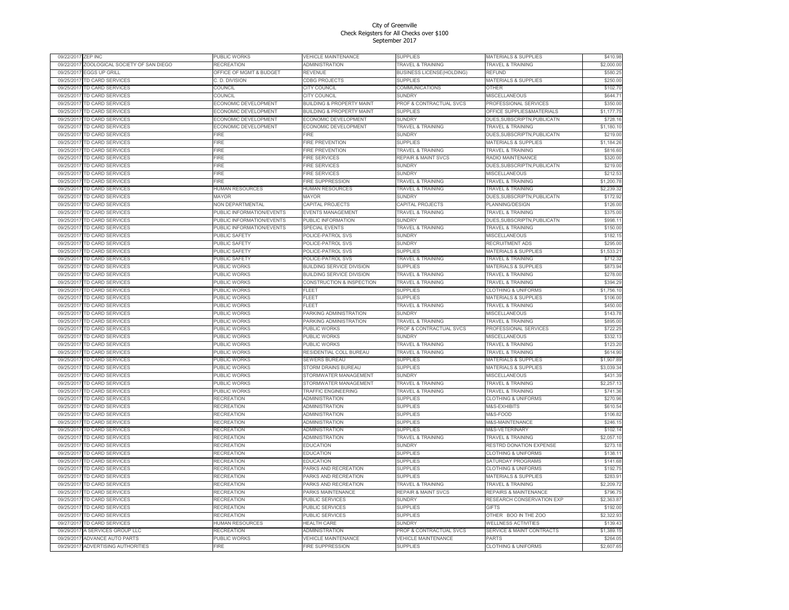| 09/22/2017 | <b>ZEP INC</b>                  | PUBLIC WORKS                | <b>VEHICLE MAINTENANCE</b>           | <b>SUPPLIES</b>                    | <b>MATERIALS &amp; SUPPLIES</b>      | \$410.98   |
|------------|---------------------------------|-----------------------------|--------------------------------------|------------------------------------|--------------------------------------|------------|
| 09/22/201  | ZOOLOGICAL SOCIETY OF SAN DIEGO | <b>RECREATION</b>           | <b>ADMINISTRATION</b>                | TRAVEL & TRAINING                  | <b>TRAVEL &amp; TRAINING</b>         | \$2,000.00 |
| 09/25/201  | <b>EGGS UP GRILL</b>            | OFFICE OF MGMT & BUDGET     | REVENUE                              | BUSINESS LICENSE(HOLDING)          | <b>REELIND</b>                       | \$580.25   |
| 09/25/201  | <b>TD CARD SERVICES</b>         | C. D. DIVISION              | <b>CDBG PROJECTS</b>                 | <b>SUPPLIES</b>                    | <b>MATERIALS &amp; SUPPLIES</b>      | \$250.00   |
| 09/25/201  | <b>TD CARD SERVICES</b>         | COUNCIL                     | CITY COUNCIL                         | <b>COMMUNICATIONS</b>              | OTHER                                | \$102.70   |
| 09/25/201  | TD CARD SERVICES                | COUNCIL                     | CITY COUNCIL                         | <b>SUNDRY</b>                      | MISCELL ANEQUS                       | \$644.71   |
| 09/25/201  | <b>TD CARD SERVICES</b>         | <b>ECONOMIC DEVELOPMENT</b> | <b>BUILDING &amp; PROPERTY MAINT</b> | PROF & CONTRACTUAL SVCS            | <b>PROFESSIONAL SERVICES</b>         | \$350.00   |
| 09/25/201  | TD CARD SERVICES                | <b>ECONOMIC DEVELOPMENT</b> | <b>BUILDING &amp; PROPERTY MAINT</b> | <b>SUPPLIES</b>                    | OFFICE SUPPLIES&MATERIALS            | \$1,177.75 |
| 09/25/201  | TD CARD SERVICES                | <b>ECONOMIC DEVELOPMENT</b> | ECONOMIC DEVELOPMENT                 | SUNDRY                             | DUES, SUBSCRIPTN, PUBLICATN          | \$728.16   |
| 09/25/201  | <b>TD CARD SERVICES</b>         | <b>ECONOMIC DEVELOPMENT</b> | ECONOMIC DEVELOPMENT                 | <b>TRAVEL &amp; TRAINING</b>       | <b><i>FRAVEL &amp; TRAINING</i></b>  | \$1,180.10 |
| 09/25/201  | TD CARD SERVICES                | -<br>IRE                    | FIRF                                 | SUNDRY                             | DUES, SUBSCRIPTN, PUBLICATN          | \$219.00   |
| 09/25/201  | TD CARD SERVICES                | <b>FIRE</b>                 | <b>FIRE PREVENTION</b>               | <b>SUPPLIES</b>                    | <b>MATERIALS &amp; SUPPLIES</b>      | \$1,184.26 |
| 09/25/201  | <b>TD CARD SERVICES</b>         | <b>IRE</b>                  | FIRE PREVENTION                      | <b>TRAVEL &amp; TRAINING</b>       | <b>FRAVEL &amp; TRAINING</b>         | \$816.60   |
| 09/25/201  | TD CARD SERVICES                | <b>IRE</b>                  | <b>FIRE SERVICES</b>                 | <b>REPAIR &amp; MAINT SVCS</b>     | RADIO MAINTENANCE                    | \$320.00   |
| 09/25/201  | TD CARD SFRVICES                | <b>FIRF</b>                 | <b>FIRE SERVICES</b>                 | <b>SUNDRY</b>                      | DUES, SUBSCRIPTN, PUBLICATN          | \$219.00   |
| 09/25/201  | <b>ID CARD SERVICES</b>         | -IRE                        | <b>FIRE SERVICES</b>                 | <b>SUNDRY</b>                      | <b>MISCELLANEOUS</b>                 | \$212.53   |
| 09/25/201  | TD CARD SERVICES                | -<br>IRF                    | FIRE SUPPRESSION                     | <b>TRAVEL &amp; TRAINING</b>       | <b>TRAVEL &amp; TRAINING</b>         | \$1,200.78 |
| 09/25/201  | <b>TD CARD SERVICES</b>         | HUMAN RESOURCES             | HUMAN RESOURCES                      | <b>TRAVEL &amp; TRAINING</b>       | <b>TRAVEL &amp; TRAINING</b>         | \$2,239.32 |
| 09/25/201  | <b>TD CARD SERVICES</b>         | <b>MAYOR</b>                | <b>MAYOR</b>                         | <b>SUNDRY</b>                      | DUES, SUBSCRIPTN, PUBLICATN          | \$172.92   |
| 09/25/201  | TD CARD SERVICES                | <b>NON DEPARTMENTAL</b>     | CAPITAL PROJECTS                     | CAPITAL PROJECTS                   | PLANNING/DESIGN                      | \$126.00   |
| 09/25/201  | TD CARD SERVICES                | PUBLIC INFORMATION/EVENTS   | EVENTS MANAGEMENT                    | <b>TRAVEL &amp; TRAINING</b>       | <b>TRAVEL &amp; TRAINING</b>         | \$375.00   |
| 09/25/201  | <b>TD CARD SERVICES</b>         | PUBLIC INFORMATION/EVENTS   | PUBLIC INFORMATION                   | <b>SUNDRY</b>                      | <b>DUES, SUBSCRIPTN, PUBLICATN</b>   | \$998.11   |
| 09/25/201  | TD CARD SERVICES                | PUBLIC INFORMATION/EVENTS   | SPECIAL EVENTS                       | TRAVEL & TRAINING                  | <b>TRAVEL &amp; TRAINING</b>         | \$150.00   |
| 09/25/201  | TD CARD SERVICES                | PUBLIC SAFETY               | POLICE-PATROL SVS                    | SUNDRY                             | MISCELLANEOUS                        | \$182.15   |
| 09/25/201  | <b>TD CARD SERVICES</b>         | PUBLIC SAFETY               | POLICE-PATROL SVS                    | <b>SUNDRY</b>                      | <b>RECRUITMENT ADS</b>               | \$295.00   |
| 09/25/201  | TD CARD SERVICES                | PUBLIC SAFETY               | POLICE-PATROL SVS                    | SUPPLIES                           | <b>MATERIALS &amp; SUPPLIES</b>      | \$1,533.21 |
| 09/25/201  | <b>TD CARD SFRVICES</b>         | PUBLIC SAFETY               | POLICE-PATROL SVS                    | <b>TRAVEL &amp; TRAINING</b>       | <b>TRAVEL &amp; TRAINING</b>         | \$712.32   |
| 09/25/201  |                                 |                             |                                      |                                    |                                      |            |
|            | <b>TD CARD SERVICES</b>         | <b>UBLIC WORKS</b>          | <b>BUILDING SERVICE DIVISION</b>     | <b>SUPPLIES</b>                    | <b>MATERIALS &amp; SUPPLIES</b>      | \$873.94   |
| 09/25/201  | TD CARD SERVICES                | PUBLIC WORKS                | <b>BUILDING SERVICE DIVISION</b>     | TRAVEL & TRAINING                  | <b>TRAVEL &amp; TRAINING</b>         | \$278.00   |
| 09/25/201  | TD CARD SFRVICES                | PUBLIC WORKS                | CONSTRUCTION & INSPECTION            | TRAVEL & TRAINING                  | TRAVEL & TRAINING                    | \$394.29   |
| 09/25/20   | <b>TD CARD SERVICES</b>         | PUBLIC WORKS                | FLEET                                | <b>SUPPLIES</b>                    | <b>CLOTHING &amp; UNIFORMS</b>       | \$1,756.10 |
| 09/25/201  | TD CARD SERVICES                | PUBLIC WORKS                | FLEET                                | <b>SUPPLIES</b>                    | <b>MATERIALS &amp; SUPPLIES</b>      | \$106.00   |
| 09/25/201  | TD CARD SERVICES                | PUBLIC WORKS                | FLEET                                | TRAVEL & TRAINING                  | <b>TRAVEL &amp; TRAINING</b>         | \$450.00   |
| 09/25/201  | <b>TD CARD SERVICES</b>         | <b>UBLIC WORKS</b>          | PARKING ADMINISTRATION               | <b>SUNDRY</b>                      | <b>MISCELLANEOUS</b>                 | \$143.78   |
| 09/25/201  | TD CARD SERVICES                | PUBLIC WORKS                | PARKING ADMINISTRATION               | TRAVEL & TRAINING                  | <b>TRAVEL &amp; TRAINING</b>         | \$895.00   |
| 09/25/201  | TD CARD SERVICES                | PUBLIC WORKS                | <b>PUBLIC WORKS</b>                  | PROF & CONTRACTUAL SVCS            | PROFESSIONAL SERVICES                | \$722.25   |
| 09/25/201  | <b>TD CARD SERVICES</b>         | PUBLIC WORKS                | PUBLIC WORKS                         | <b>SUNDRY</b>                      | <b>MISCELLANEOUS</b>                 | \$332.13   |
| 09/25/201  | TD CARD SERVICES                | PUBLIC WORKS                | PUBLIC WORKS                         | TRAVEL & TRAINING                  | <b>TRAVEL &amp; TRAINING</b>         | \$123.20   |
| 09/25/201  | <b>TD CARD SERVICES</b>         | PUBLIC WORKS                | RESIDENTIAL COLL BUREAU              | <b>TRAVEL &amp; TRAINING</b>       | <b>TRAVEL &amp; TRAINING</b>         | \$614.90   |
| 09/25/201  | <b>ID CARD SERVICES</b>         | <b>UBLIC WORKS</b>          | <b>SEWERS BUREAU</b>                 | <b>SUPPLIES</b>                    | <b>MATERIALS &amp; SUPPLIES</b>      | \$1,907.89 |
| 09/25/201  | TD CARD SERVICES                | PUBLIC WORKS                | STORM DRAINS BUREAU                  | SUPPLIES                           | <b>MATERIALS &amp; SUPPLIES</b>      | \$3,039.34 |
| 09/25/201  | TD CARD SERVICES                | PUBLIC WORKS                | STORMWATER MANAGEMENT                | <b>SUNDRY</b>                      | MISCELLANEOUS                        | \$431.39   |
| 09/25/201  | <b>TD CARD SERVICES</b>         | <b>UBLIC WORKS</b>          | STORMWATER MANAGEMENT                | TRAVEL & TRAINING                  | <b>FRAVEL &amp; TRAINING</b>         | \$2,257.13 |
| 09/25/201  | TD CARD SERVICES                | PUBLIC WORKS                | TRAFFIC ENGINEERING                  | TRAVEL & TRAINING                  | <b>TRAVEL &amp; TRAINING</b>         | \$741.36   |
| 09/25/2011 | TD CARD SERVICES                | <b>RECREATION</b>           | ADMINISTRATION                       | <b>SUPPLIES</b>                    | <b>CLOTHING &amp; UNIFORMS</b>       | \$270.96   |
| 09/25/20   | <b>ID CARD SERVICES</b>         | RECREATION                  | ADMINISTRATION                       | <b>SUPPLIES</b>                    | <b>M&amp;S-EXHIBITS</b>              | \$610.54   |
| 09/25/201  | TD CARD SERVICES                | RECREATION                  | ADMINISTRATION                       | SUPPLIES                           | M&S-FOOD                             | \$106.82   |
| 09/25/201  | TD CARD SERVICES                | <b>RECREATION</b>           | ADMINISTRATION                       | <b>SUPPLIES</b>                    | M&S-MAINTENANCE                      | \$246.15   |
| 09/25/201  | <b>TD CARD SERVICES</b>         | RECREATION                  | <b>ADMINISTRATION</b>                | <b>SUPPLIES</b>                    | <b>M&amp;S-VETERINARY</b>            | \$102.14   |
| 09/25/2011 | TD CARD SERVICES                | <b>RECREATION</b>           | <b>ADMINISTRATION</b>                | TRAVEL & TRAINING                  | <b>TRAVEL &amp; TRAINING</b>         | \$2,057.10 |
| 09/25/201  | <b>TD CARD SERVICES</b>         | RECREATION                  | <b>EDUCATION</b>                     | SUNDRY                             | RESTRD DONATION EXPENSE              | \$273.18   |
| 09/25/201  | <b>ID CARD SERVICES</b>         | RECREATION                  | <b>EDUCATION</b>                     | <b>SUPPLIES</b>                    | <b>CLOTHING &amp; UNIFORMS</b>       | \$138.11   |
| 09/25/201  | TD CARD SERVICES                | RECREATION                  | <b>EDUCATION</b>                     | SUPPLIES                           | SATURDAY PROGRAMS                    | \$141.68   |
| 09/25/201  | TD CARD SERVICES                | <b>RECREATION</b>           | PARKS AND RECREATION                 | <b>SUPPLIES</b>                    | <b>CLOTHING &amp; UNIFORMS</b>       | \$192.75   |
| 09/25/201  | <b>TD CARD SERVICES</b>         | RECREATION                  | PARKS AND RECREATION                 | <b>SUPPLIES</b>                    | <b>MATERIALS &amp; SUPPLIES</b>      | \$283.91   |
| 09/25/201  | <b>TD CARD SERVICES</b>         | RECREATION                  | PARKS AND RECREATION                 | TRAVEL & TRAINING                  | <b>TRAVEL &amp; TRAINING</b>         | \$2,209.72 |
| 09/25/201  | <b>TD CARD SERVICES</b>         | <b>RECREATION</b>           | PARKS MAINTENANCE                    | <b>REPAIR &amp; MAINT SVCS</b>     | <b>REPAIRS &amp; MAINTENANCE</b>     | \$796.75   |
| 09/25/201  | <b>ID CARD SERVICES</b>         | RECREATION                  | PUBLIC SERVICES                      | <b>SUNDRY</b>                      | RESEARCH CONSERVATION EXP            | \$2,363.87 |
| 09/25/201  | TD CARD SERVICES                | <b>RECREATION</b>           | PUBLIC SERVICES                      | <b>SUPPLIES</b>                    | GIFTS                                | \$192.00   |
| 09/25/201  | TD CARD SERVICES                | <b>RECREATION</b>           | PUBLIC SERVICES                      | <b>SUPPLIES</b>                    | OTHER BOO IN THE ZOO                 | \$2,322.93 |
| 09/27/201  | <b><i>FD CARD SERVICES</i></b>  | HUMAN RESOURCES             | <b>HEALTH CARE</b>                   | <b>SUNDRY</b>                      | <b><i>NELLNESS ACTIVITIES</i></b>    | \$139.43   |
| 09/29/201  | A SERVICES GROUP LLC            | RECREATION                  | ADMINISTRATION                       | <b>PROF &amp; CONTRACTUAL SVCS</b> | <b>SERVICE &amp; MAINT CONTRACTS</b> | \$1,389.15 |
| 09/29/201  | <b>ADVANCE AUTO PARTS</b>       | PUBLIC WORKS                | <b>VEHICLE MAINTENANCE</b>           | <b>VEHICLE MAINTENANCE</b>         | PARTS                                | \$264.05   |
| 09/29/201  | ADVERTISING AUTHORITIES         | <b>FIRE</b>                 | <b>FIRE SUPPRESSION</b>              | <b>SUPPLIES</b>                    | <b>CLOTHING &amp; UNIFORMS</b>       | \$2,607.65 |
|            |                                 |                             |                                      |                                    |                                      |            |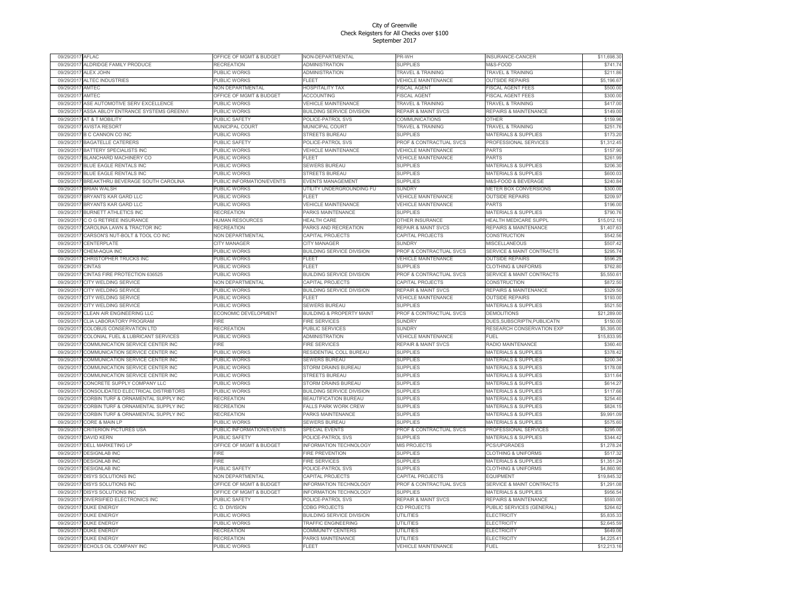| 09/29/201  | AFLAC                                        | <b>DFFICE OF MGMT &amp; BUDGET</b> | NON-DEPARTMENTAL                     | PR-WH                                   | <b>NSURANCE-CANCER</b>               | \$11,698.30               |
|------------|----------------------------------------------|------------------------------------|--------------------------------------|-----------------------------------------|--------------------------------------|---------------------------|
| 09/29/2011 | ALDRIDGE FAMILY PRODUCE                      | <b>RECREATION</b>                  | ADMINISTRATION                       | <b>SUPPLIES</b>                         | M&S-FOOD                             | \$741.74                  |
| 09/29/201  | <b>ALEX JOHN</b>                             | PUBLIC WORKS                       | <b>ADMINISTRATION</b>                | TRAVEL & TRAINING                       | <b>TRAVEL &amp; TRAINING</b>         | \$211.86                  |
| 09/29/201  | ALTEC INDUSTRIES                             | <b>UBLIC WORKS</b>                 | <b>FLEET</b>                         | VEHICLE MAINTENANCE                     | <b>OUTSIDE REPAIRS</b>               | \$5,196.67                |
| 09/29/2011 | AMTEC                                        | NON DEPARTMENTAL                   | HOSPITALITY TAX                      | <b>FISCAL AGENT</b>                     | <b>FISCAL AGENT FEES</b>             | \$500.00                  |
| 09/29/201  | AMTEC                                        | OFFICE OF MGMT & BUDGET            | <b>ACCOUNTING</b>                    | <b>FISCAL AGENT</b>                     | <b>FISCAL AGENT FEES</b>             | \$300.00                  |
| 09/29/201  | ASE AUTOMOTIVE SERV EXCELLENCE               | PUBLIC WORKS                       | <b>VEHICLE MAINTENANCE</b>           | <b>TRAVEL &amp; TRAINING</b>            | <b>FRAVEL &amp; TRAINING</b>         | \$417.00                  |
| 09/29/201  | ASSA ABLOY ENTRANCE SYSTEMS GREENVI          | PUBLIC WORKS                       | BUILDING SERVICE DIVISION            | <b>REPAIR &amp; MAINT SVCS</b>          | REPAIRS & MAINTENANCE                | \$149.00                  |
| 09/29/201  | <b>AT &amp; T MOBILITY</b>                   | PUBLIC SAFETY                      | POLICE-PATROL SVS                    | <b>COMMUNICATIONS</b>                   | OTHER                                | \$159.96                  |
| 09/29/201  | <b>AVISTA RESORT</b>                         | <b>MUNICIPAL COURT</b>             | <b>MUNICIPAL COURT</b>               | <b>TRAVEL &amp; TRAINING</b>            | <b><i>FRAVEL &amp; TRAINING</i></b>  | \$251.76                  |
| 09/29/201  | <b>B C CANNON CO INC</b>                     | PUBLIC WORKS                       | STREETS BUREAU                       | <b>SUPPLIES</b>                         | MATERIALS & SUPPLIES                 | \$173.20                  |
| 09/29/201  | <b>BAGATELLE CATERERS</b>                    | PUBLIC SAFETY                      | POLICE-PATROL SVS                    | PROF & CONTRACTUAL SVCS                 | PROFESSIONAL SERVICES                | \$1,312.45                |
| 09/29/201  | BATTERY SPECIALISTS INC                      | PUBLIC WORKS                       | <b>VEHICLE MAINTENANCE</b>           | <b>VEHICLE MAINTENANCE</b>              | PARTS                                | \$157.90                  |
| 09/29/201  | BLANCHARD MACHINERY CO                       | PUBLIC WORKS                       | FLEET                                | <b>VEHICLE MAINTENANCE</b>              | <b>PARTS</b>                         | \$261.99                  |
| 09/29/201  | BLUE EAGLE RENTALS INC                       | PUBLIC WORKS                       | SEWERS BUREAU                        | <b>SUPPLIES</b>                         | <b>MATERIALS &amp; SUPPLIES</b>      | \$206.30                  |
| 09/29/201  | <b>BLUE EAGLE RENTALS INC</b>                | PUBLIC WORKS                       | <b>STREETS BUREAU</b>                | <b>SUPPLIES</b>                         | <b>MATERIALS &amp; SUPPLIES</b>      | \$600.03                  |
| 09/29/201  | BREAKTHRU BEVERAGE SOUTH CAROLINA            | PUBLIC INFORMATION/EVENTS          | EVENTS MANAGEMENT                    | <b>SUPPLIES</b>                         | <b>M&amp;S-FOOD &amp; BEVERAGE</b>   | \$240.84                  |
| 09/29/201  | <b>BRIAN WALSH</b>                           | <b>UBLIC WORKS</b>                 | UTILITY UNDERGROUNDING FU            | <b>SUNDRY</b>                           | METER BOX CONVERSIONS                | \$300.00                  |
| 09/29/201  | BRYANTS KAR GARD LLC                         | PUBLIC WORKS                       | FLEET                                | <b>VEHICLE MAINTENANCE</b>              | <b>OUTSIDE REPAIRS</b>               | \$209.97                  |
| 09/29/201  | BRYANTS KAR GARD LLC                         | PUBLIC WORKS                       | <b>VEHICLE MAINTENANCE</b>           | VEHICLE MAINTENANCE                     | PARTS                                | \$196.00                  |
| 09/29/201  | BURNETT ATHLETICS INC                        | RECREATION                         | PARKS MAINTENANCE                    | <b>SUPPLIES</b>                         | <b>MATERIALS &amp; SUPPLIES</b>      | \$790.76                  |
| 09/29/201  | COG RETIREE INSURANCE                        | HUMAN RESOURCES                    | <b>HEALTH CARE</b>                   | OTHER INSURANCE                         | <b>HEALTH MEDICARE SUPPL</b>         | \$15,012.10               |
| 09/29/201  | CAROLINA LAWN & TRACTOR INC                  | RECREATION                         | PARKS AND RECREATION                 | <b>REPAIR &amp; MAINT SVCS</b>          | REPAIRS & MAINTENANCE                | \$1,407.63                |
| 09/29/201  | CARSON'S NUT-BOLT & TOOL CO INC              | <b>NON DEPARTMENTAL</b>            | CAPITAL PROJECTS                     | CAPITAL PROJECTS                        | CONSTRUCTION                         | \$542.56                  |
| 09/29/201  | <b>ENTERPLATE</b>                            | <b>CITY MANAGER</b>                |                                      | <b>SUNDRY</b>                           | <b>MISCELLANEOUS</b>                 |                           |
|            |                                              | PUBLIC WORKS                       | CITY MANAGER                         |                                         |                                      | \$507.42<br>\$295.74      |
| 09/29/201  | CHEM-AQUA INC                                |                                    | <b>BUILDING SERVICE DIVISION</b>     | PROF & CONTRACTUAL SVCS                 | <b>SERVICE &amp; MAINT CONTRACTS</b> |                           |
| 09/29/201  | CHRISTOPHER TRUCKS INC                       | PUBLIC WORKS                       | FLEET                                | <b>VEHICLE MAINTENANCE</b>              | <b>OUTSIDE REPAIRS</b>               | \$596.25                  |
| 09/29/201  | CINTAS                                       | <b>UBLIC WORKS</b>                 | FLEET                                | <b>SUPPLIES</b>                         | <b>CLOTHING &amp; UNIFORMS</b>       | \$762.80                  |
| 09/29/201  | CINTAS FIRE PROTECTION 636525                | PUBLIC WORKS                       | BUILDING SERVICE DIVISION            | PROF & CONTRACTUAL SVCS                 | <b>SERVICE &amp; MAINT CONTRACTS</b> | \$5,550.61                |
| 09/29/201  | CITY WELDING SERVICE                         | <b>NON DEPARTMENTAL</b>            | CAPITAL PROJECTS                     | CAPITAL PROJECTS                        | CONSTRUCTION                         | \$872.50                  |
| 09/29/201  | CITY WELDING SERVICE                         | PUBLIC WORKS                       | <b>BUILDING SERVICE DIVISION</b>     | <b>REPAIR &amp; MAINT SVCS</b>          | <b>REPAIRS &amp; MAINTENANCE</b>     | \$329.50                  |
| 09/29/201  | CITY WELDING SERVICE                         | PUBLIC WORKS                       | FI FFT                               | <b>VEHICLE MAINTENANCE</b>              | <b>OUTSIDE REPAIRS</b>               | \$193.00                  |
| 09/29/201  | CITY WELDING SERVICE                         | PUBLIC WORKS                       | <b>SEWERS BUREAU</b>                 | <b>SUPPLIES</b>                         | MATERIALS & SUPPLIES                 | \$521.50                  |
| 09/29/201  | CLEAN AIR ENGINEERING LLC                    | CONOMIC DEVELOPMENT                | <b>BUILDING &amp; PROPERTY MAINT</b> | PROF & CONTRACTUAL SVCS                 | DEMOLITIONS                          | \$21,289.00               |
| 09/29/201  | <b>CLIA LABORATORY PROGRAM</b>               | <b>IRF</b>                         | <b>FIRE SERVICES</b>                 | <b>SUNDRY</b>                           | DUES,SUBSCRIPTN,PUBLICATN            | \$150.00                  |
| 09/29/201  | COLOBUS CONSERVATION LTD                     | RECREATION                         | PUBLIC SERVICES                      | <b>SUNDRY</b>                           | RESEARCH CONSERVATION EXP            | \$5,395.00                |
| 09/29/201  | COLONIAL FUEL & LUBRICANT SERVICES           | <b>PUBLIC WORKS</b>                | <b>ADMINISTRATION</b>                | <b>VEHICLE MAINTENANCE</b>              | FUEI                                 | \$15,833.95               |
| 09/29/201  | COMMUNICATION SERVICE CENTER INC             | <b>IRE</b>                         | <b>FIRE SERVICES</b>                 | <b>REPAIR &amp; MAINT SVCS</b>          | RADIO MAINTENANCE                    | \$360.40                  |
| 09/29/201  | COMMUNICATION SERVICE CENTER INC             | <b>UBLIC WORKS</b>                 | RESIDENTIAL COLL BUREAU              | <b>SUPPLIES</b>                         | MATERIALS & SUPPLIES                 | \$378.42                  |
| 09/29/201  | COMMUNICATION SERVICE CENTER INC             | PUBLIC WORKS                       | <b>SEWERS BUREAU</b>                 | <b>SUPPLIES</b>                         | MATERIALS & SUPPLIES                 | \$200.34                  |
| 09/29/201  | COMMUNICATION SERVICE CENTER INC             | PUBLIC WORKS                       | STORM DRAINS BUREAU                  | <b>SUPPLIES</b>                         | <b>MATERIALS &amp; SUPPLIES</b>      | \$178.08                  |
| 09/29/201  | COMMUNICATION SERVICE CENTER INC             | PUBLIC WORKS                       | <b>STREETS BUREAU</b>                | <b>SUPPLIES</b>                         | <b>MATERIALS &amp; SUPPLIES</b>      | \$311.64                  |
| 09/29/2011 | CONCRETE SUPPLY COMPANY LLC                  | PUBLIC WORKS                       | STORM DRAINS BUREAU                  | <b>SUPPLIES</b>                         | MATERIALS & SUPPLIES                 | \$614.27                  |
| 09/29/201  | CONSOLIDATED ELECTRICAL DISTRIBTORS          | PUBLIC WORKS                       | BUILDING SERVICE DIVISION            | <b>SUPPLIES</b>                         | MATERIALS & SUPPLIES                 | \$117.66                  |
| 09/29/201  | CORBIN TURF & ORNAMENTAL SUPPLY INC          | RECREATION                         | <b>BEAUTIFICATION BUREAU</b>         | <b>SUPPLIES</b>                         | <b>MATERIALS &amp; SUPPLIES</b>      | \$254.40                  |
| 09/29/201  | CORBIN TURF & ORNAMENTAL SUPPLY INC          | RECREATION                         | FALLS PARK WORK CREW                 | <b>SUPPLIES</b>                         | <b>MATERIALS &amp; SUPPLIES</b>      | \$824.15                  |
| 09/29/201  | CORBIN TURF & ORNAMENTAL SUPPLY INC          | RECREATION                         | PARKS MAINTENANCE                    | <b>SUPPLIES</b>                         | <b>MATERIALS &amp; SUPPLIES</b>      | \$9,991.09                |
| 09/29/201  | CORE & MAIN LP                               | <b>UBLIC WORKS</b>                 | <b>SEWERS BUREAU</b>                 | <b>SUPPLIES</b>                         | <b>MATERIALS &amp; SUPPLIES</b>      | \$575.60                  |
| 09/29/201  | CRITERION PICTURES USA                       | PUBLIC INFORMATION/EVENTS          | <b>SPECIAL EVENTS</b>                | PROF & CONTRACTUAL SVCS                 | PROFESSIONAL SERVICES                | \$295.00                  |
| 09/29/201  | DAVID KERN                                   | <b>PUBLIC SAFETY</b>               | POLICE-PATROL SVS                    | <b>SUPPLIES</b>                         | MATERIALS & SUPPLIES                 | \$344.42                  |
| 09/29/201  | <b>DELL MARKETING LF</b>                     | <b>OFFICE OF MGMT &amp; BUDGET</b> | <b>NFORMATION TECHNOLOGY</b>         | <b>MIS PROJECTS</b>                     | <b>PCS/UPGRADES</b>                  | \$1,278.24                |
| 09/29/201  | <b>DESIGNLAB INC</b>                         | <b>IRF</b>                         | <b>FIRE PREVENTION</b>               | <b>SUPPLIES</b>                         | <b>CLOTHING &amp; UNIFORMS</b>       | \$517.32                  |
| 09/29/201  | <b>DESIGNLAB INC</b>                         | <b>IRE</b>                         | <b>FIRE SERVICES</b>                 | <b>SUPPLIES</b>                         | MATERIALS & SUPPLIES                 | \$1,351.24                |
| 09/29/201  | <b>DESIGNLAB INC</b>                         | <b>UBLIC SAFETY</b>                | POLICE-PATROL SVS                    | <b>SUPPLIES</b>                         | <b>CLOTHING &amp; UNIFORMS</b>       | \$4,860.90                |
| 09/29/201  | DISYS SOLUTIONS INC                          | <b>NON DEPARTMENTAL</b>            | CAPITAL PROJECTS                     | CAPITAL PROJECTS                        | EQUIPMENT                            | \$19,845.32               |
| 09/29/201  | DISYS SOLUTIONS INC                          | OFFICE OF MGMT & BUDGET            | <b>INFORMATION TECHNOLOGY</b>        | <b>PROF &amp; CONTRACTUAL SVCS</b>      | <b>SERVICE &amp; MAINT CONTRACTS</b> | \$1,291.08                |
| 09/29/201  | DISYS SOLUTIONS INC                          | <b>OFFICE OF MGMT &amp; BUDGET</b> | <b>INFORMATION TECHNOLOGY</b>        | <b>SUPPLIES</b>                         | <b>MATERIALS &amp; SUPPLIES</b>      | \$956.54                  |
| 09/29/2011 | DIVERSIFIED ELECTRONICS INC                  | PUBLIC SAFETY                      | POLICE-PATROL SVS                    | REPAIR & MAINT SVCS                     | REPAIRS & MAINTENANCE                | \$593.00                  |
| 09/29/201  | DUKE ENERGY                                  | C. D. DIVISION                     | <b>CDBG PROJECTS</b>                 | <b>CD PROJECTS</b>                      | PUBLIC SERVICES (GENERAL)            | \$264.62                  |
| 09/29/201  | <b>DUKE ENERGY</b>                           | PUBLIC WORKS                       | BUILDING SERVICE DIVISION            | <b>UTILITIES</b>                        | <b>ELECTRICITY</b>                   | \$5,835.33                |
| 09/29/201  | DUKE ENERGY                                  | PUBLIC WORKS                       | TRAFFIC ENGINEERING                  | UTILITIES                               | ELECTRICITY                          | \$2,645.59                |
| 09/29/201  | DUKE ENERGY                                  | RECREATION                         | COMMUNITY CENTERS                    | UTILITIES                               | ELECTRICITY                          | \$649.06                  |
| 09/29/201  |                                              |                                    |                                      |                                         |                                      |                           |
|            |                                              |                                    |                                      |                                         |                                      |                           |
| 09/29/2017 | <b>DUKE ENERGY</b><br>ECHOLS OIL COMPANY INC | RECREATION<br>PUBLIC WORKS         | PARKS MAINTENANCE<br>FLEET           | <b>UTILITIES</b><br>VEHICLE MAINTENANCE | <b>ELECTRICITY</b><br><b>FUEL</b>    | \$4,225.41<br>\$12,213.16 |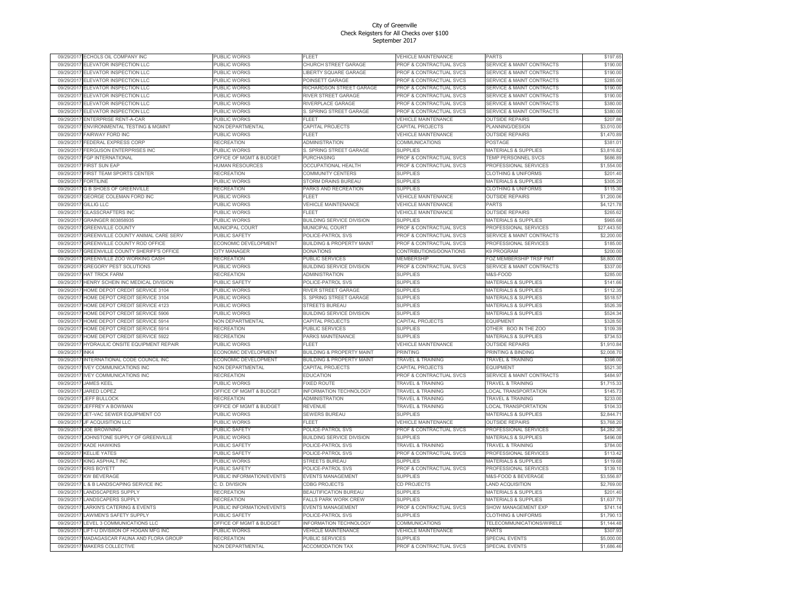| 09/29/2017              | ECHOLS OIL COMPANY INC                                           | PUBLIC WORKS                           | <b>TLEET</b>                         | <b>VEHICLE MAINTENANCE</b>         | <b>PARTS</b>                             | \$197.65             |
|-------------------------|------------------------------------------------------------------|----------------------------------------|--------------------------------------|------------------------------------|------------------------------------------|----------------------|
| 09/29/201               | ELEVATOR INSPECTION LLC                                          | <b>PUBLIC WORKS</b>                    | CHURCH STREET GARAGE                 | PROF & CONTRACTUAL SVCS            | <b>SERVICE &amp; MAINT CONTRACTS</b>     | \$190.00             |
| 09/29/2011              | ELEVATOR INSPECTION LLC                                          | PUBLIC WORKS                           | <b>LIBERTY SQUARE GARAGE</b>         | PROF & CONTRACTUAL SVCS            | <b>SERVICE &amp; MAINT CONTRACTS</b>     | \$190.00             |
| 09/29/2017              | ELEVATOR INSPECTION LLC                                          | PUBLIC WORKS                           | POINSETT GARAGE                      | PROF & CONTRACTUAL SVCS            | <b>SERVICE &amp; MAINT CONTRACTS</b>     | \$285.00             |
| 09/29/201               | ELEVATOR INSPECTION LLC                                          | <b>PUBLIC WORKS</b>                    | RICHARDSON STREET GARAGE             | PROF & CONTRACTUAL SVCS            | <b>SERVICE &amp; MAINT CONTRACTS</b>     | \$190.00             |
| 09/29/201               | ELEVATOR INSPECTION LLC                                          | PUBLIC WORKS                           | RIVER STREET GARAGE                  | PROF & CONTRACTUAL SVCS            | <b>SERVICE &amp; MAINT CONTRACTS</b>     | \$190.00             |
| 09/29/2017              | ELEVATOR INSPECTION LLC                                          | <b>PUBLIC WORKS</b>                    | RIVERPLACE GARAGE                    | PROF & CONTRACTUAL SVCS            | <b>SERVICE &amp; MAINT CONTRACTS</b>     | \$380.00             |
| 09/29/2011              | ELEVATOR INSPECTION LLC                                          | PUBLIC WORKS                           | S. SPRING STREET GARAGE              | PROF & CONTRACTUAL SVCS            | <b>SERVICE &amp; MAINT CONTRACTS</b>     | \$380.00             |
| 09/29/2017              | ENTERPRISE RENT-A-CAR                                            | PUBLIC WORKS                           | FI FFT                               | VEHICLE MAINTENANCE                | <b>OUTSIDE REPAIRS</b>                   | \$207.86             |
| 09/29/2011              | ENVIRONMENTAL TESTING & MGMNT                                    | NON DEPARTMENTAL                       | CAPITAL PROJECTS                     | CAPITAL PROJECTS                   | PLANNING/DESIGN                          | \$3,010.00           |
| 09/29/2017              | FAIRWAY FORD INC                                                 | PUBLIC WORKS                           | FLEET                                | <b>VEHICLE MAINTENANCE</b>         | <b>OUTSIDE REPAIRS</b>                   | \$1,470.89           |
| 09/29/201               | <b>EDERAL EXPRESS CORP</b>                                       | <b>RECREATION</b>                      | <b>ADMINISTRATION</b>                | COMMUNICATIONS                     | POSTAGE                                  | \$381.01             |
| 09/29/2017              | <b>FERGUSON ENTERPRISES INC</b>                                  | PUBLIC WORKS                           | S. SPRING STREET GARAGE              | <b>SUPPLIES</b>                    | MATERIALS & SUPPLIES                     | \$3,816.82           |
| 09/29/2011              | <b>FGP INTERNATIONAL</b>                                         | OFFICE OF MGMT & BUDGET                | <b>PURCHASING</b>                    | PROF & CONTRACTUAL SVCS            | TEMP PERSONNEL SVCS                      | \$686.89             |
| 09/29/2017              | <b>FIRST SUN EAP</b>                                             | <b>HUMAN RESOURCES</b>                 | OCCUPATIONAL HEALTH                  | PROF & CONTRACTUAL SVCS            | PROFESSIONAL SERVICES                    | \$1,554.00           |
| 09/29/201               | <b>FIRST TEAM SPORTS CENTER</b>                                  | RECREATION                             | COMMUNITY CENTERS                    | <b>SUPPLIES</b>                    | <b>CLOTHING &amp; UNIFORMS</b>           | \$201.40             |
| 09/29/2017              | <b>FORTILINE</b>                                                 | <b>PUBLIC WORKS</b>                    | <b>STORM DRAINS BUREAU</b>           | <b>SUPPLIES</b>                    | <b>MATERIALS &amp; SUPPLIES</b>          | \$305.20             |
| 09/29/2011              | <b>G B SHOES OF GREENVILLE</b>                                   | <b>RECREATION</b>                      | PARKS AND RECREATION                 | <b>SUPPLIES</b>                    | <b>CLOTHING &amp; UNIFORMS</b>           | \$115.30             |
| 09/29/2017              | GEORGE COLEMAN FORD INC                                          | PUBLIC WORKS                           | ELEET                                | <b>VEHICLE MAINTENANCE</b>         | <b>OUTSIDE REPAIRS</b>                   | \$1,200.06           |
| 09/29/201               | <b>GILLIG LLC</b>                                                | PUBLIC WORKS                           | <b>VEHICLE MAINTENANCE</b>           | <b>VEHICLE MAINTENANCE</b>         | <b>PARTS</b>                             | \$4,121.78           |
| 09/29/2017              | <b>GLASSCRAFTERS INC</b>                                         | <b>PUBLIC WORKS</b>                    | <b>FI FFT</b>                        | <b>VEHICLE MAINTENANCE</b>         | <b>OUTSIDE REPAIRS</b>                   | \$265.62             |
| 09/29/201               | GRAINGER 803858935                                               | PUBLIC WORKS                           | <b>BUILDING SERVICE DIVISION</b>     | <b>SUPPLIES</b>                    | <b>MATERIALS &amp; SUPPLIES</b>          | \$965.68             |
| 09/29/2017              | <b>GREENVILLE COUNTY</b>                                         | MUNICIPAL COURT                        | MUNICIPAL COURT                      | PROF & CONTRACTUAL SVCS            | PROFESSIONAL SERVICES                    | \$27,443.50          |
| 09/29/2011              | GREENVILLE COUNTY ANIMAL CARE SERV                               | PUBLIC SAFETY                          | POLICE-PATROL SVS                    | PROF & CONTRACTUAL SVCS            | <b>SERVICE &amp; MAINT CONTRACTS</b>     | \$2,200.00           |
| 09/29/2017              | GREENVILLE COUNTY ROD OFFICE                                     | ECONOMIC DEVELOPMENT                   | <b>BUILDING &amp; PROPERTY MAINT</b> | PROF & CONTRACTUAL SVCS            | PROFESSIONAL SERVICES                    | \$185.00             |
| 09/29/2017              | GREENVILLE COUNTY SHERIFF'S OFFICE                               | CITY MANAGER                           | DONATIONS                            | CONTRIBUTIONS/DONATIONS            | K9 PROGRAM                               | \$200.00             |
| 09/29/2017              | GREENVILLE ZOO WORKING CASH                                      | <b>RECREATION</b>                      | PUBLIC SERVICES                      | <b>MEMBERSHIP</b>                  | FOZ MEMBERSHIP TRSF PMT                  | \$8,800.00           |
| 09/29/2017              | <b>GREGORY PEST SOLUTIONS</b>                                    | PUBLIC WORKS                           | BUILDING SERVICE DIVISION            | PROF & CONTRACTUAL SVCS            | <b>SERVICE &amp; MAINT CONTRACTS</b>     | \$337.00             |
| 09/29/2017              | HAT TRICK FARM                                                   | <b>RECREATION</b>                      | <b>ADMINISTRATION</b>                | <b>SUPPLIES</b>                    | M&S-FOOD                                 | \$285.00             |
| 09/29/2011              | HENRY SCHEIN INC MEDICAL DIVISION                                | PUBLIC SAFETY                          | POLICE-PATROL SVS                    | <b>SUPPLIES</b>                    | <b>MATERIALS &amp; SUPPLIES</b>          | \$141.66             |
| 09/29/201               | HOME DEPOT CREDIT SERVICE 3104                                   | PUBLIC WORKS                           | RIVER STREET GARAGE                  | <b>SUPPLIES</b>                    | <b>MATERIALS &amp; SUPPLIES</b>          | \$112.35             |
| 09/29/2017              | HOME DEPOT CREDIT SERVICE 3104                                   | <b>PUBLIC WORKS</b>                    | S. SPRING STREET GARAGE              | <b>SUPPLIES</b>                    | <b>MATERIALS &amp; SUPPLIES</b>          | \$518.57             |
| 09/29/201               | HOME DEPOT CREDIT SERVICE 4123                                   | PUBLIC WORKS                           | <b>STREETS BUREAU</b>                | <b>SUPPLIES</b>                    | <b>MATERIALS &amp; SUPPLIES</b>          | \$526.39             |
| 09/29/2011              | HOME DEPOT CREDIT SERVICE 5906                                   | PUBLIC WORKS                           | BUILDING SERVICE DIVISION            | <b>SUPPLIES</b>                    | <b>MATERIALS &amp; SUPPLIES</b>          | \$524.34             |
| 09/29/2011<br>09/29/201 | HOME DEPOT CREDIT SERVICE 5914                                   | NON DEPARTMENTAL                       | CAPITAL PROJECTS                     | CAPITAL PROJECTS                   | <b>EQUIPMENT</b><br>OTHER BOO IN THE ZOO | \$328.50             |
| 09/29/201               | HOME DEPOT CREDIT SERVICE 5914<br>HOME DEPOT CREDIT SERVICE 5922 | <b>RECREATION</b><br><b>RECREATION</b> | PUBLIC SERVICES<br>PARKS MAINTENANCE | <b>SUPPLIES</b><br><b>SUPPLIES</b> | <b>MATERIALS &amp; SUPPLIES</b>          | \$109.39<br>\$734.53 |
| 09/29/2017              | HYDRAULIC ONSITE EQUIPMENT REPAIR                                | PUBLIC WORKS                           | <b>FLEET</b>                         | VEHICLE MAINTENANCE                | <b>OUTSIDE REPAIRS</b>                   | \$1,910.84           |
| 09/29/201               | INK4                                                             | ECONOMIC DEVELOPMENT                   | <b>BUILDING &amp; PROPERTY MAINT</b> | PRINTING                           | PRINTING & BINDING                       | \$2,008.70           |
| 09/29/2011              | INTERNATIONAL CODE COUNCIL INC                                   | ECONOMIC DEVELOPMENT                   | <b>BUILDING &amp; PROPERTY MAINT</b> | <b>FRAVEL &amp; TRAINING</b>       | <b>FRAVEL &amp; TRAINING</b>             | \$398.00             |
| 09/29/2017              | <b>IVEY COMMUNICATIONS INC</b>                                   | NON DEPARTMENTAL                       | CAPITAL PROJECTS                     | CAPITAL PROJECTS                   | EQUIPMENT                                | \$521.30             |
| 09/29/2017              | <b>IVEY COMMUNICATIONS INC</b>                                   | <b>RECREATION</b>                      | <b>EDUCATION</b>                     | PROF & CONTRACTUAL SVCS            | <b>SERVICE &amp; MAINT CONTRACTS</b>     | \$484.97             |
| 09/29/2017              | <b>JAMES KEEL</b>                                                | PUBLIC WORKS                           | <b>FIXED ROUTE</b>                   | <b>TRAVEL &amp; TRAINING</b>       | <b>TRAVEL &amp; TRAINING</b>             | \$1,715.33           |
| 09/29/2017              | JARED LOPEZ                                                      | OFFICE OF MGMT & BUDGET                | <b>INFORMATION TECHNOLOGY</b>        | <b>TRAVEL &amp; TRAINING</b>       | LOCAL TRANSPORTATION                     | \$145.73             |
| 09/29/2011              | JEFF BULLOCK                                                     | RECREATION                             | <b>ADMINISTRATION</b>                | TRAVEL & TRAINING                  | TRAVEL & TRAINING                        | \$233.00             |
| 09/29/201               | <b>IFFFREY A BOWMAN</b>                                          | OFFICE OF MGMT & BUDGET                | REVENUE                              | <b>FRAVEL &amp; TRAINING</b>       | OCAL TRANSPORTATION                      | \$104.33             |
| 09/29/2017              | JET-VAC SEWER EQUIPMENT CO                                       | PUBLIC WORKS                           | SEWERS BUREAU                        | <b>SUPPLIES</b>                    | <b>MATERIALS &amp; SUPPLIES</b>          | \$2,844.71           |
| 09/29/2011              | JF ACQUISITION LLC                                               | PUBLIC WORKS                           | <b>FLEET</b>                         | VEHICLE MAINTENANCE                | <b>OUTSIDE REPAIRS</b>                   | \$3,768.20           |
| 09/29/2017              | <b>JOE BROWNING</b>                                              | PUBLIC SAFETY                          | POLICE-PATROL SVS                    | PROF & CONTRACTUAL SVCS            | PROFESSIONAL SERVICES                    | \$4,282.30           |
| 09/29/2017              | JOHNSTONE SUPPLY OF GREENVILLE                                   | PUBLIC WORKS                           | BUILDING SERVICE DIVISION            | <b>SUPPLIES</b>                    | <b>MATERIALS &amp; SUPPLIES</b>          | \$496.08             |
| 09/29/2017              | <b>KADE HAWKINS</b>                                              | <b>PUBLIC SAFETY</b>                   | POLICE-PATROL SVS                    | <b>TRAVEL &amp; TRAINING</b>       | <b>TRAVEL &amp; TRAINING</b>             | \$784.00             |
| 09/29/201               | <b>CELLIE YATES</b>                                              | <b>UBLIC SAFETY</b>                    | POLICE-PATROL SVS                    | PROF & CONTRACTUAL SVCS            | <b>PROFESSIONAL SERVICES</b>             | \$113.42             |
| 09/29/2017              | KING ASPHALT INC                                                 | PUBLIC WORKS                           | STREETS BUREAU                       | <b>SUPPLIES</b>                    | <b>MATERIALS &amp; SUPPLIES</b>          | \$119.68             |
| 09/29/2011              | <b>KRIS BOYETT</b>                                               | PUBLIC SAFETY                          | POLICE-PATROL SVS                    | PROF & CONTRACTUAL SVCS            | PROFESSIONAL SERVICES                    | \$139.10             |
| 09/29/2017              | <b>KW BEVERAGE</b>                                               | PUBLIC INFORMATION/EVENTS              | <b>EVENTS MANAGEMENT</b>             | <b>SUPPLIES</b>                    | <b>M&amp;S-FOOD &amp; BEVERAGE</b>       | \$3,556.87           |
| 09/29/2017              | L & B LANDSCAPING SERVICE INC                                    | C. D. DIVISION                         | CDBG PROJECTS                        | CD PROJECTS                        | <b>LAND ACQUISITION</b>                  | \$2,769.00           |
| 09/29/2017              | <b>LANDSCAPERS SUPPLY</b>                                        | <b>RECREATION</b>                      | <b>BEAUTIFICATION BUREAU</b>         | <b>SUPPLIES</b>                    | <b>MATERIALS &amp; SUPPLIES</b>          | \$201.40             |
| 09/29/201               | ANDSCAPERS SUPPLY                                                | RECREATION                             | ALLS PARK WORK CREW                  | <b>SUPPLIES</b>                    | MATERIALS & SUPPLIES                     | \$1,637.70           |
| 09/29/2017              | LARKIN'S CATERING & EVENTS                                       | PUBLIC INFORMATION/EVENTS              | EVENTS MANAGEMENT                    | PROF & CONTRACTUAL SVCS            | SHOW MANAGEMENT EXF                      | \$741.14             |
| 09/29/2011              | LAWMEN'S SAFETY SUPPLY                                           | <b>PUBLIC SAFETY</b>                   | POLICE-PATROL SVS                    | <b>SUPPLIES</b>                    | <b>CLOTHING &amp; UNIFORMS</b>           | \$1,790.13           |
| 09/29/201               | EVEL 3 COMMUNICATIONS LLC                                        | OFFICE OF MGMT & BUDGET                | <b>NFORMATION TECHNOLOGY</b>         | COMMUNICATIONS                     | TELECOMMUNICATIONS/WIRELE                | \$1,144.48           |
| 09/29/2017              | LIFT-U DIVISIION OF HOGAN MFG INC                                | PUBLIC WORKS                           | <b>VEHICLE MAINTENANCE</b>           | VEHICLE MAINTENANCE                | <b>PARTS</b>                             | \$307.93             |
| 09/29/2017              | MADAGASCAR FAUNA AND FLORA GROUP                                 | <b>RECREATION</b>                      | PUBLIC SERVICES                      | <b>SUPPLIES</b>                    | <b>SPECIAL EVENTS</b>                    | \$5,000.00           |
| 09/29/2017              | <b>MAKERS COLLECTIVE</b>                                         | NON DEPARTMENTAL                       | <b>ACCOMODATION TAX</b>              | PROF & CONTRACTUAL SVCS            | <b>SPECIAL EVENTS</b>                    | \$1,686.46           |
|                         |                                                                  |                                        |                                      |                                    |                                          |                      |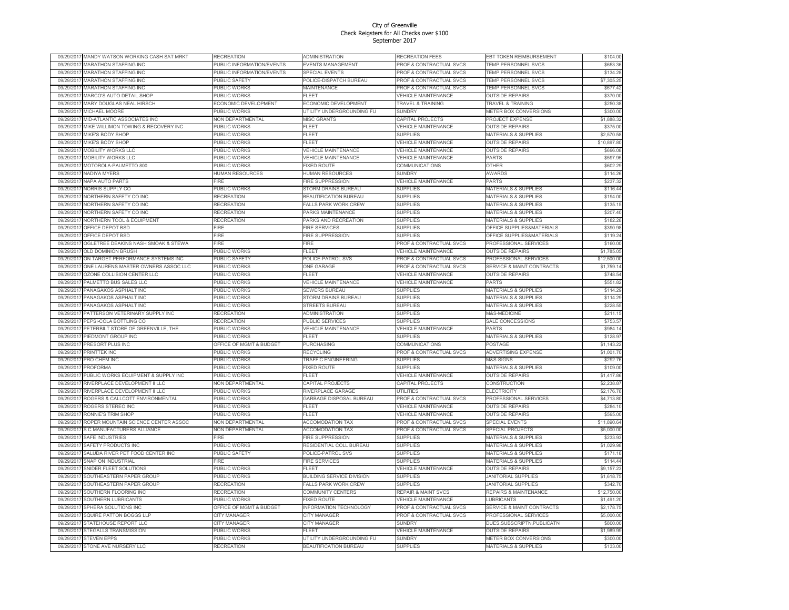| 09/29/2017               | MANDY WATSON WORKING CASH SAT MRKT                           | <b>RECREATION</b>                        | <b>ADMINISTRATION</b>                         | RECREATION FEES                               | EBT TOKEN REIMBURSEMENT                                    | \$104.00             |
|--------------------------|--------------------------------------------------------------|------------------------------------------|-----------------------------------------------|-----------------------------------------------|------------------------------------------------------------|----------------------|
| 09/29/2011               | <b>MARATHON STAFFING INC</b>                                 | PUBLIC INFORMATION/EVENTS                | EVENTS MANAGEMENT                             | PROF & CONTRACTUAL SVCS                       | TEMP PERSONNEL SVCS                                        | \$653.36             |
| 09/29/2017               | <b>MARATHON STAFFING INC</b>                                 | PUBLIC INFORMATION/EVENTS                | SPECIAL EVENTS                                | PROF & CONTRACTUAL SVCS                       | TEMP PERSONNEL SVCS                                        | \$134.28             |
| 09/29/2017               | <b>MARATHON STAFFING INC</b>                                 | <b>PUBLIC SAFETY</b>                     | <b>POLICE-DISPATCH BUREAU</b>                 | PROF & CONTRACTUAL SVCS                       | <b>TEMP PERSONNEL SVCS</b>                                 | \$7,305.25           |
| 09/29/201                | MARATHON STAFFING INC                                        | PUBLIC WORKS                             | <b>MAINTENANCE</b>                            | PROF & CONTRACTUAL SVCS                       | TEMP PERSONNEL SVCS                                        | \$677.42             |
| 09/29/2011               | MARCO'S AUTO DETAIL SHOF                                     | <b>PUBLIC WORKS</b>                      | FLEET                                         | <b>VEHICLE MAINTENANCE</b>                    | <b>OUTSIDE REPAIRS</b>                                     | \$370.00             |
| 09/29/2017               | MARY DOUGLAS NEAL HIRSCH                                     | ECONOMIC DEVELOPMENT                     | ECONOMIC DEVELOPMENT                          | <b>TRAVEL &amp; TRAINING</b>                  | <b>TRAVEL &amp; TRAINING</b>                               | \$250.38             |
| 09/29/2017               | MICHAEL MOORE                                                | PUBLIC WORKS                             | UTILITY UNDERGROUNDING FU                     | SUNDRY                                        | METER BOX CONVERSIONS                                      | \$300.00             |
| 09/29/2017               | MID-ATLANTIC ASSOCIATES INC                                  | NON DEPARTMENTAL                         | <b>MISC GRANTS</b>                            | CAPITAL PROJECTS                              | PROJECT EXPENSE                                            | \$1,888.32           |
| 09/29/2017               | MIKE WILLIMON TOWING & RECOVERY INC                          | PUBLIC WORKS                             | FLEET                                         | <b>VEHICLE MAINTENANCE</b>                    | <b>OUTSIDE REPAIRS</b>                                     | \$375.00             |
| 09/29/2017               | <b>MIKE'S BODY SHOF</b>                                      | PUBLIC WORKS                             | FLEET                                         | SUPPLIES                                      | <b>MATERIALS &amp; SUPPLIES</b>                            | \$2,570.58           |
| 09/29/201                | MIKE'S BODY SHOF                                             | <b>PUBLIC WORKS</b>                      | FLEET                                         | <b>VEHICLE MAINTENANCE</b>                    | <b>OUTSIDE REPAIRS</b>                                     | \$10,897.80          |
| 09/29/2017               | MOBILITY WORKS LLC                                           | PUBLIC WORKS                             | <b>VEHICLE MAINTENANCE</b>                    | VEHICLE MAINTENANCE                           | <b>OUTSIDE REPAIRS</b>                                     | \$696.08             |
| 09/29/2017               | MOBILITY WORKS LLC                                           | PUBLIC WORKS                             | <b>VEHICLE MAINTENANCE</b>                    | <b>VEHICLE MAINTENANCE</b>                    | <b>PARTS</b>                                               | \$597.95             |
| 09/29/2017               | MOTOROLA-PALMETTO 800                                        | PUBLIC WORKS                             | <b>FIXED ROUTE</b>                            | COMMUNICATIONS                                | <b>OTHER</b>                                               | \$602.29             |
| 09/29/2011               | <b>VADIYA MYERS</b>                                          | <b>HUMAN RESOURCES</b>                   | <b>IUMAN RESOURCES</b>                        | <b>SUNDRY</b>                                 | AWARDS                                                     | \$114.26             |
| 09/29/2017               | NAPA AUTO PARTS                                              | -IRE                                     | <b>FIRE SUPPRESSION</b>                       | <b>VEHICLE MAINTENANCE</b>                    | PARTS                                                      | \$237.32             |
| 09/29/2017               | <b>VORRIS SUPPLY CO</b>                                      | PUBLIC WORKS                             | STORM DRAINS BUREAU                           | <b>SUPPLIES</b>                               | <b>MATERIALS &amp; SUPPLIES</b>                            | \$116.44             |
| 09/29/2017               | NORTHERN SAFETY CO INC                                       | <b>RECREATION</b>                        | BEAUTIFICATION BUREAU                         | <b>SUPPLIES</b>                               | MATERIALS & SUPPLIES                                       | \$194.00             |
| 09/29/2017               | NORTHERN SAFETY CO INC                                       | <b>RECREATION</b>                        | FALLS PARK WORK CREW                          | <b>SUPPLIES</b>                               | <b>MATERIALS &amp; SUPPLIES</b>                            | \$135.15             |
| 09/29/2017               | NORTHERN SAFETY CO INC                                       | <b>RECREATION</b>                        | PARKS MAINTENANCE                             | <b>SUPPLIES</b>                               | <b>MATERIALS &amp; SUPPLIES</b>                            | \$207.40             |
| 09/29/2011               | <b>NORTHERN TOOL &amp; EQUIPMENT</b>                         | RECREATION                               | ARKS AND RECREATION                           | <b>SUPPLIES</b>                               | <b>MATERIALS &amp; SUPPLIES</b>                            | \$182.28             |
| 09/29/2017               | OFFICE DEPOT BSD                                             | FIRE                                     | FIRE SERVICES                                 | <b>SUPPLIES</b>                               | OFFICE SUPPLIES&MATERIALS                                  | \$390.98             |
| 09/29/2017               | OFFICE DEPOT BSD                                             | <b>FIRE</b>                              | FIRE SUPPRESSION                              | <b>SUPPLIES</b>                               | OFFICE SUPPLIES&MATERIALS                                  | \$119.24             |
| 09/29/2017               | OGLETREE DEAKINS NASH SMOAK & STEWA                          | <b>FIRE</b>                              | <b>IRE</b>                                    | PROF & CONTRACTUAL SVCS                       | PROFESSIONAL SERVICES                                      | \$160.00             |
| 09/29/2017               | OLD DOMINION BRUSH                                           | PUBLIC WORKS                             | FLEET                                         | <b>VEHICLE MAINTENANCE</b>                    | <b>OUTSIDE REPAIRS</b>                                     | \$1,785.05           |
| 09/29/2017               | ON TARGET PERFORMANCE SYSTEMS INC                            | PUBLIC SAFFTY                            | POLICE-PATROL SVS                             | PROF & CONTRACTUAL SVCS                       | PROFESSIONAL SERVICES                                      | \$12,500.00          |
| 09/29/201                | ONE LAURENS MASTER OWNERS ASSOC LLC                          | PUBLIC WORKS                             | <b>ONE GARAGE</b>                             | PROF & CONTRACTUAL SVCS                       | <b>SERVICE &amp; MAINT CONTRACTS</b>                       | \$1,759.14           |
| 09/29/2017               | OZONE COLLISION CENTER LLC                                   | PUBLIC WORKS                             | <b>FLEET</b>                                  | VEHICLE MAINTENANCE                           | <b>OUTSIDE REPAIRS</b>                                     | \$748.54             |
| 09/29/2011               | PALMETTO BUS SALES LLC                                       | PUBLIC WORKS                             | VEHICLE MAINTENANCE                           | <b>VEHICLE MAINTENANCE</b>                    | PARTS                                                      | \$551.82             |
| 09/29/201                | ANAGAKOS ASPHALT INC                                         | <b>UBLIC WORKS</b>                       | <b>SEWERS BUREAU</b>                          | <b>SUPPLIES</b>                               | <b>MATERIALS &amp; SUPPLIES</b>                            | \$114.29             |
| 09/29/2017               | PANAGAKOS ASPHALT INC                                        | PUBLIC WORKS                             | STORM DRAINS BUREAU                           | <b>SUPPLIES</b>                               | <b>MATERIALS &amp; SUPPLIES</b>                            | \$114.29             |
| 09/29/2011               | PANAGAKOS ASPHALT INC                                        | PUBLIC WORKS                             | <b>STREETS BUREAU</b>                         | <b>SUPPLIES</b>                               | <b>MATERIALS &amp; SUPPLIES</b><br><b>A&amp;S-MEDICINE</b> | \$228.55             |
| 09/29/2011               | PATTERSON VETERINARY SUPPLY INC                              | <b>RECREATION</b>                        | <b>IDMINISTRATION</b>                         | <b>SUPPLIES</b>                               |                                                            | \$211.15             |
| 09/29/2017<br>09/29/201  | PEPSI-COLA BOTTLING CO<br>PETERBILT STORE OF GREENVILLE, THE | <b>RECREATION</b><br><b>PUBLIC WORKS</b> | PUBLIC SERVICES<br><b>VEHICLE MAINTENANCE</b> | <b>SUPPLIES</b><br><b>VEHICLE MAINTENANCE</b> | SALE CONCESSIONS<br>PARTS                                  | \$753.57<br>\$984.14 |
| 09/29/201                | PIEDMONT GROUP INC                                           | <b>PUBLIC WORKS</b>                      | FLEE <sup>-</sup>                             | <b>SUPPLIES</b>                               | <b>MATERIALS &amp; SUPPLIES</b>                            | \$128.97             |
|                          |                                                              |                                          |                                               |                                               | POSTAGE                                                    | \$1,143.22           |
| 09/29/2017<br>09/29/2011 | PRESORT PLUS INC<br>PRINTTEK INC                             | OFFICE OF MGMT & BUDGET<br>PUBLIC WORKS  | PURCHASING<br><b>RECYCLING</b>                | COMMUNICATIONS<br>PROF & CONTRACTUAL SVCS     | ADVERTISING EXPENSE                                        | \$1,001.70           |
| 09/29/2017               | PRO CHEM INC                                                 | PUBLIC WORKS                             | <b>TRAFFIC ENGINEERING</b>                    | SUPPLIES                                      | <b>M&amp;S-SIGNS</b>                                       | \$292.76             |
| 09/29/2011               | <b>PROFORMA</b>                                              | PUBLIC WORKS                             | <b>IXED ROUTE</b>                             | <b>SUPPLIES</b>                               | <b>MATERIALS &amp; SUPPLIES</b>                            | \$109.00             |
| 09/29/201                | PUBLIC WORKS EQUIPMENT & SUPPLY INC                          | <b>PUBLIC WORKS</b>                      | FLEET                                         | <b>VEHICLE MAINTENANCE</b>                    | <b>OUTSIDE REPAIRS</b>                                     | \$1,417.86           |
| 09/29/201                | RIVERPLACE DEVELOPMENT II LLC                                | NON DEPARTMENTAL                         | CAPITAL PROJECTS                              | CAPITAL PROJECTS                              | <b>CONSTRUCTION</b>                                        | \$2,238.87           |
| 09/29/2017               | RIVERPLACE DEVELOPMENT II LLC                                | PUBLIC WORKS                             | RIVERPLACE GARAGE                             | UTILITIES                                     | ELECTRICITY                                                | \$2,176.78           |
| 09/29/2011               | ROGERS & CALLCOTT ENVIRONMENTAL                              | PUBLIC WORKS                             | GARBAGE DISPOSAL BUREAU                       | PROF & CONTRACTUAL SVCS                       | PROFESSIONAL SERVICES                                      | \$4,713.80           |
| 09/29/201                | ROGERS STEREO INC                                            | <b>PUBLIC WORKS</b>                      | FLEET                                         | <b>VEHICLE MAINTENANCE</b>                    | <b>OUTSIDE REPAIRS</b>                                     | \$284.10             |
| 09/29/201                | RONNIF'S TRIM SHOF                                           | <b>PUBLIC WORKS</b>                      | ELEET                                         | <b>VEHICLE MAINTENANCE</b>                    | <b>OUTSIDE REPAIRS</b>                                     | \$595.00             |
| 09/29/2017               | ROPER MOUNTAIN SCIENCE CENTER ASSOC                          | NON DEPARTMENTAL                         | <b>ACCOMODATION TAX</b>                       | PROF & CONTRACTUAL SVCS                       | <b>SPECIAL EVENTS</b>                                      | \$11,890.64          |
| 09/29/2011               | S C MANUFACTURERS ALLIANCE                                   | NON DEPARTMENTAL                         | <b>ACCOMODATION TAX</b>                       | PROF & CONTRACTUAL SVCS                       | SPECIAL PROJECTS                                           | \$5,000.00           |
| 09/29/2017               | <b>SAFE INDUSTRIES</b>                                       | <b>FIRF</b>                              | <b>FIRE SUPPRESSION</b>                       | <b>SUPPLIES</b>                               | <b>MATERIALS &amp; SUPPLIES</b>                            | \$233.93             |
| 09/29/2017               | SAFETY PRODUCTS INC                                          | PUBLIC WORKS                             | RESIDENTIAL COLL BUREAU                       | <b>SUPPLIES</b>                               | <b>MATERIALS &amp; SUPPLIES</b>                            | \$1,029.98           |
| 09/29/201                | SALUDA RIVER PET FOOD CENTER INC                             | PUBLIC SAFETY                            | <b>POLICE-PATROL SVS</b>                      | <b>SUPPLIES</b>                               | <b>MATERIALS &amp; SUPPLIES</b>                            | \$171.18             |
| 09/29/2011               | SNAP ON INDUSTRIAL                                           | <b>FIRE</b>                              | <b>IRE SERVICES</b>                           | <b>SUPPLIES</b>                               | MATERIALS & SUPPLIES                                       | \$114.44             |
| 09/29/2017               | SNIDER FLEET SOLUTIONS                                       | PUBLIC WORKS                             | EL EET                                        | <b>VEHICLE MAINTENANCE</b>                    | <b>OUTSIDE REPAIRS</b>                                     | \$9,157.23           |
| 09/29/2011               | SOUTHEASTERN PAPER GROUP                                     | PUBLIC WORKS                             | <b>BUILDING SERVICE DIVISION</b>              | <b>SUPPLIES</b>                               | <b>IANITORIAL SUPPLIES</b>                                 | \$1,618.75           |
| 09/29/2017               | SOUTHEASTERN PAPER GROUP                                     | RECREATION                               | FALLS PARK WORK CREW                          | <b>SUPPLIES</b>                               | <b>JANITORIAL SUPPLIES</b>                                 | \$342.70             |
| 09/29/201                | SOUTHERN FLOORING INC                                        | <b>RECREATION</b>                        | COMMUNITY CENTERS                             | <b>REPAIR &amp; MAINT SVCS</b>                | REPAIRS & MAINTENANCE                                      | \$12,750.00          |
| 09/29/2017               | SOUTHERN LUBRICANTS                                          | PUBLIC WORKS                             | <b>FIXED ROUTE</b>                            | <b>VEHICLE MAINTENANCE</b>                    | <b>LUBRICANTS</b>                                          | \$1,491.20           |
| 09/29/2011               | SPHERA SOLUTIONS INC                                         | OFFICE OF MGMT & BUDGET                  | <b>INFORMATION TECHNOLOGY</b>                 | PROF & CONTRACTUAL SVCS                       | <b>SERVICE &amp; MAINT CONTRACTS</b>                       | \$2,178.75           |
| 09/29/2017               | SQUIRE PATTON BOGGS LLF                                      | <b>CITY MANAGER</b>                      | <b>CITY MANAGER</b>                           | PROF & CONTRACTUAL SVCS                       | PROFESSIONAL SERVICES                                      | \$5,000.00           |
| 09/29/201                | STATEHOUSE REPORT LLC                                        | <b>CITY MANAGER</b>                      | CITY MANAGER                                  | SUNDRY                                        | DUES, SUBSCRIPTN, PUBLICATN                                | \$800.00             |
| 09/29/201                | STEGALLS TRANSMISSION                                        | PUBLIC WORKS                             | FI FFT                                        | <b>VEHICLE MAINTENANCE</b>                    | <b>OUTSIDE REPAIRS</b>                                     | \$1,989.99           |
| 09/29/2011               | <b>STEVEN EPPS</b>                                           | PUBLIC WORKS                             | UTILITY UNDERGROUNDING FU                     | <b>SUNDRY</b>                                 | METER BOX CONVERSIONS                                      | \$300.00             |
| 09/29/2017               | STONE AVE NURSERY LLC                                        | <b>RECREATION</b>                        | BEAUTIFICATION BUREAU                         | <b>SUPPLIES</b>                               | <b>MATERIALS &amp; SUPPLIES</b>                            | \$133.00             |
|                          |                                                              |                                          |                                               |                                               |                                                            |                      |